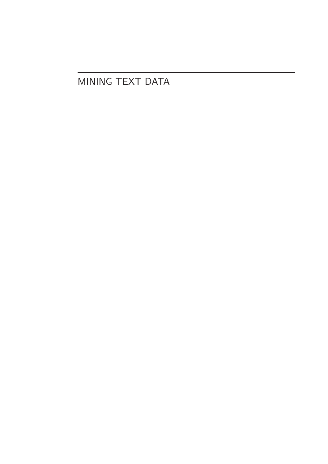MINING TEXT DATA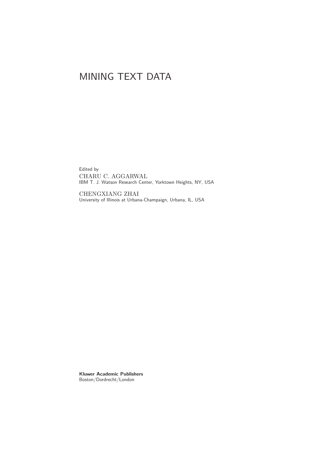# MINING TEXT DATA

Edited by CHARU C. AGGARWAL IBM T. J. Watson Research Center, Yorktown Heights, NY, USA

CHENGXIANG ZHAI University of Illinois at Urbana-Champaign, Urbana, IL, USA

**Kluwer Academic Publishers** Boston/Dordrecht/London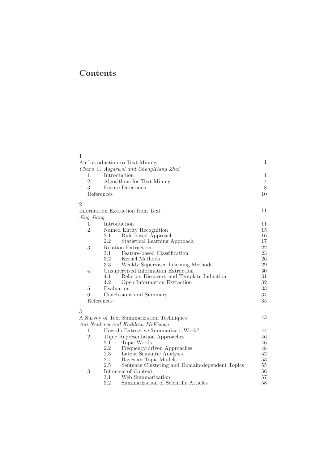# **Contents**

| 1              |                                                        |                |
|----------------|--------------------------------------------------------|----------------|
|                | An Introduction to Text Mining                         | 1              |
|                | Charu C. Aggarwal and ChengXiang Zhai                  |                |
| 1.             | Introduction                                           | $\mathbf 1$    |
| 2.             | Algorithms for Text Mining                             | $\overline{4}$ |
| 3.             | <b>Future Directions</b>                               | $8\,$          |
|                | References                                             | 10             |
| $\overline{2}$ |                                                        |                |
|                | Information Extraction from Text                       | 11             |
| Jing Jiang     |                                                        |                |
| 1.             | Introduction                                           | 11             |
| 2.             | Named Entity Recognition                               | 15             |
|                | 2.1<br>Rule-based Approach                             | 16             |
|                | 2.2<br>Statistical Learning Approach                   | 17             |
| 3.             | Relation Extraction                                    | 22             |
|                | Feature-based Classification<br>3.1                    | 23             |
|                | 3.2<br>Kernel Methods                                  | 26             |
|                | 3.3<br>Weakly Supervised Learning Methods              | 29             |
| 4.             | Unsupervised Information Extraction                    | 30             |
|                | Relation Discovery and Template Induction<br>4.1       | 31             |
|                | 4.2<br>Open Information Extraction                     | 32             |
| 5.             | Evaluation                                             | 33             |
| 6.             | Conclusions and Summary                                | 34             |
|                | References                                             | 35             |
| 3              |                                                        |                |
|                | A Survey of Text Summarization Techniques              | 43             |
|                | Ani Nenkova and Kathleen McKeown                       |                |
| 1.             | How do Extractive Summarizers Work?                    | 44             |
| 2.             | Topic Representation Approaches                        | 46             |
|                | 2.1<br>Topic Words                                     | 46             |
|                | 2.2<br>Frequency-driven Approaches                     | 48             |
|                | 2.3<br>Latent Semantic Analysis                        | $52\,$         |
|                | 2.4<br>Bayesian Topic Models                           | $53\,$         |
|                | 2.5<br>Sentence Clustering and Domain-dependent Topics | $55\,$         |
| 3.             | Influence of Context                                   | 56             |
|                | 3.1<br>Web Summarization                               | 57             |
|                | 3.2<br>Summarization of Scientific Articles            | 58             |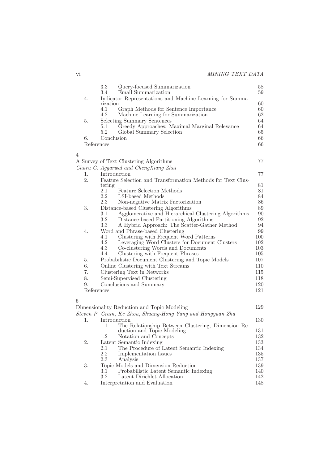|                    | 3.3<br>Query-focused Summarization                                                                  | 58         |
|--------------------|-----------------------------------------------------------------------------------------------------|------------|
|                    | 3.4<br>Email Summarization                                                                          | 59         |
| 4.                 | Indicator Representations and Machine Learning for Summa-<br>rization                               | 60         |
|                    | 4.1<br>Graph Methods for Sentence Importance                                                        | 60         |
|                    | 4.2<br>Machine Learning for Summarization                                                           | 62         |
| 5.                 | Selecting Summary Sentences                                                                         | 64         |
|                    | $5.1\,$<br>Greedy Approaches: Maximal Marginal Relevance                                            | 64         |
|                    | 5.2<br>Global Summary Selection                                                                     | 65         |
| 6.                 | Conclusion                                                                                          | 66         |
| ${\bf References}$ |                                                                                                     | 66         |
|                    |                                                                                                     |            |
| 4                  |                                                                                                     |            |
|                    | A Survey of Text Clustering Algorithms                                                              | 77         |
|                    | Charu C. Aggarwal and ChengXiang Zhai                                                               |            |
| 1.                 | Introduction                                                                                        | 77         |
| 2.                 | Feature Selection and Transformation Methods for Text Clus-                                         |            |
|                    | tering                                                                                              | 81         |
|                    | <b>Feature Selection Methods</b><br>2.1                                                             | 81         |
|                    | 2.2<br>LSI-based Methods                                                                            | 84         |
|                    | 2.3<br>Non-negative Matrix Factorization                                                            | 86         |
| 3.                 | Distance-based Clustering Algorithms<br>3.1<br>Agglomerative and Hierarchical Clustering Algorithms | 89<br>90   |
|                    | 3.2<br>Distance-based Partitioning Algorithms                                                       | 92         |
|                    | 3.3<br>A Hybrid Approach: The Scatter-Gather Method                                                 | 94         |
| 4.                 | Word and Phrase-based Clustering                                                                    | 99         |
|                    | 4.1<br>Clustering with Frequent Word Patterns                                                       | 100        |
|                    | 4.2<br>Leveraging Word Clusters for Document Clusters                                               | 102        |
|                    | 4.3<br>Co-clustering Words and Documents                                                            | 103        |
|                    | 4.4<br>Clustering with Frequent Phrases                                                             | 105        |
| 5.                 | Probabilistic Document Clustering and Topic Models                                                  | 107        |
| 6.                 | Online Clustering with Text Streams                                                                 | 110        |
| 7.                 | Clustering Text in Networks                                                                         | 115        |
| 8.                 | Semi-Supervised Clustering                                                                          | 118        |
| 9.                 | Conclusions and Summary                                                                             | 120        |
| References         |                                                                                                     | 121        |
|                    |                                                                                                     |            |
| 5                  |                                                                                                     |            |
|                    | Dimensionality Reduction and Topic Modeling                                                         | 129        |
|                    | Steven P. Crain, Ke Zhou, Shuang-Hong Yang and Hongyuan Zha                                         |            |
| 1.                 | Introduction                                                                                        | 130        |
|                    | The Relationship Between Clustering, Dimension Re-<br>$1.1\,$                                       |            |
|                    | duction and Topic Modeling                                                                          | 131        |
|                    | 1.2<br>Notation and Concepts                                                                        | 132        |
| 2.                 | Latent Semantic Indexing                                                                            | 133        |
|                    | 2.1<br>The Procedure of Latent Semantic Indexing                                                    | 134        |
|                    | $2.2\,$<br>Implementation Issues                                                                    | 135        |
|                    | $2.3\,$<br>Analysis                                                                                 | 137        |
| 3.                 | Topic Models and Dimension Reduction                                                                | 139        |
|                    | Probabilistic Latent Semantic Indexing<br>3.1<br>$3.2\,$<br>Latent Dirichlet Allocation             | 140<br>142 |
|                    | Interpretation and Evaluation                                                                       | 148        |
| 4.                 |                                                                                                     |            |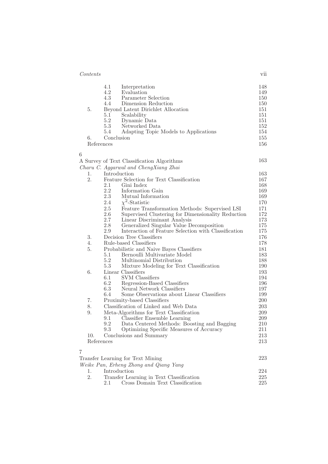# *Contents* vii

|            | 4.1<br>Interpretation<br>4.2<br>Evaluation                  | 148<br>149 |
|------------|-------------------------------------------------------------|------------|
|            | 4.3<br>Parameter Selection                                  | 150        |
|            | 4.4<br>Dimension Reduction                                  | 150        |
| 5.         | Beyond Latent Dirichlet Allocation                          | 151        |
|            | 5.1<br>Scalability                                          | 151        |
|            | 5.2<br>Dynamic Data                                         | 151        |
|            | 5.3<br>Networked Data                                       | 152        |
|            | 5.4<br>Adapting Topic Models to Applications                | 154        |
| 6.         | Conclusion                                                  | 155        |
| References |                                                             | 156        |
| 6          |                                                             |            |
|            | A Survey of Text Classification Algorithms                  | 163        |
|            | Charu C. Aggarwal and ChengXiang Zhai                       |            |
| 1.         | Introduction                                                | 163        |
| 2.         | Feature Selection for Text Classification                   | 167        |
|            | 2.1<br>Gini Index                                           | 168        |
|            | 2.2<br>Information Gain                                     | 169        |
|            | 2.3<br>Mutual Information                                   | 169        |
|            | 2.4<br>$\chi^2$ -Statistic                                  | 170        |
|            | 2.5<br>Feature Transformation Methods: Supervised LSI       | 171        |
|            | 2.6<br>Supervised Clustering for Dimensionality Reduction   | 172        |
|            | 2.7<br>Linear Discriminant Analysis                         | 173        |
|            | 2.8<br>Generalized Singular Value Decomposition             | 175        |
|            | 2.9<br>Interaction of Feature Selection with Classification | 175        |
| 3.         | Decision Tree Classifiers                                   | 176        |
| 4.         | Rule-based Classifiers                                      | 178        |
| 5.         | Probabilistic and Naive Bayes Classifiers                   | 181        |
|            | 5.1<br>Bernoulli Multivariate Model                         | 183        |
|            | 5.2<br>Multinomial Distribution                             | 188        |
|            | 5.3<br>Mixture Modeling for Text Classification             | 190        |
| 6.         | Linear Classifiers                                          | 193        |
|            | 6.1<br><b>SVM</b> Classifiers                               | 194        |
|            | 6.2<br>Regression-Based Classifiers                         | 196        |
|            | 6.3<br>Neural Network Classifiers                           | 197        |
|            | Some Observations about Linear Classifiers<br>6.4           | 199        |
| 7.         | Proximity-based Classifiers                                 | 200        |
| 8.         | Classification of Linked and Web Data                       | 203        |
| 9.         | Meta-Algorithms for Text Classification                     | 209        |
|            | Classifier Ensemble Learning<br>9.1                         | 209        |
|            | 9.2<br>Data Centered Methods: Boosting and Bagging          | 210        |
|            | Optimizing Specific Measures of Accuracy<br>9.3             | 211        |
| 10.        | Conclusions and Summary                                     | 213        |
| References |                                                             | 213        |
| 7          |                                                             |            |
|            | Transfer Learning for Text Mining                           | 223        |
|            | Weike Pan, Erheng Zhong and Qiang Yang                      |            |
|            | Introduction                                                | 224        |

| Introduction                             | 224 |
|------------------------------------------|-----|
| Transfer Learning in Text Classification | 225 |
| Cross Domain Text Classification         | 225 |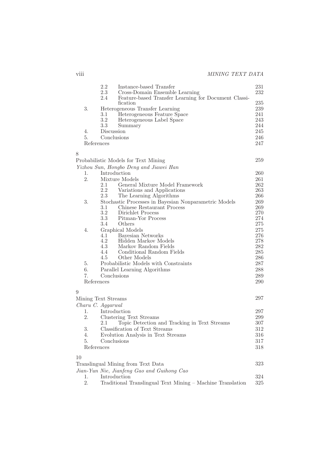|    | 2.2<br>2.3<br>2.4   | Instance-based Transfer<br>Cross-Domain Ensemble Learning<br>Feature-based Transfer Learning for Document Classi- | 231<br>232 |
|----|---------------------|-------------------------------------------------------------------------------------------------------------------|------------|
|    |                     | fication                                                                                                          | 235        |
| 3. |                     | Heterogeneous Transfer Learning                                                                                   | 239        |
|    | 3.1                 | Heterogeneous Feature Space                                                                                       | 241        |
|    | 3.2                 | Heterogeneous Label Space                                                                                         | 243        |
|    | 3.3                 | Summary                                                                                                           | 244        |
| 4. | Discussion          |                                                                                                                   | 245        |
| 5. |                     | Conclusions                                                                                                       | 246        |
|    | References          |                                                                                                                   | 247        |
| 8  |                     |                                                                                                                   |            |
|    |                     | Probabilistic Models for Text Mining                                                                              | 259        |
|    |                     | Yizhou Sun, Hongbo Deng and Jiawei Han                                                                            |            |
| 1. |                     | Introduction                                                                                                      | 260        |
| 2. |                     | Mixture Models                                                                                                    | 261        |
|    | 2.1                 | General Mixture Model Framework                                                                                   | 262        |
|    | 2.2                 | Variations and Applications                                                                                       | 263        |
|    | 2.3                 | The Learning Algorithms                                                                                           | 266        |
| 3. |                     | Stochastic Processes in Bayesian Nonparametric Models                                                             | 269        |
|    | 3.1                 | Chinese Restaurant Process                                                                                        | 269        |
|    | 3.2                 | Dirichlet Process                                                                                                 | 270        |
|    | 3.3<br>3.4          | Pitman-Yor Process                                                                                                | 274        |
|    |                     | Others                                                                                                            | 275        |
| 4. | 4.1                 | Graphical Models<br>Bayesian Networks                                                                             | 275<br>276 |
|    | 4.2                 | Hidden Markov Models                                                                                              | 278        |
|    | 4.3                 | Markov Random Fields                                                                                              | 282        |
|    | 4.4                 | Conditional Random Fields                                                                                         | 285        |
|    | 4.5                 | Other Models                                                                                                      | 286        |
| 5. |                     | Probabilistic Models with Constraints                                                                             | 287        |
| 6. |                     | Parallel Learning Algorithms                                                                                      | 288        |
| 7. |                     | Conclusions                                                                                                       | 289        |
|    | References          |                                                                                                                   | 290        |
| 9  |                     |                                                                                                                   |            |
|    | Mining Text Streams |                                                                                                                   | 297        |
|    | Charu C. Aggarwal   |                                                                                                                   |            |
| 1. |                     | Introduction                                                                                                      | 297        |
| 2. |                     | Clustering Text Streams                                                                                           | 299        |
|    | 2.1                 | Topic Detection and Tracking in Text Streams                                                                      | 307        |
| 3. |                     | Classification of Text Streams                                                                                    | 312        |
| 4. |                     | Evolution Analysis in Text Streams                                                                                | 316        |
| 5. |                     | Conclusions                                                                                                       | 317        |
|    | References          |                                                                                                                   | 318        |
| 10 |                     |                                                                                                                   |            |
|    |                     | Translingual Mining from Text Data                                                                                | 323        |
|    |                     | Jian-Yun Nie, Jianfeng Gao and Guihong Cao                                                                        |            |
| 1. |                     | Introduction                                                                                                      | 324        |
| 2. |                     | Traditional Translingual Text Mining - Machine Translation                                                        | 325        |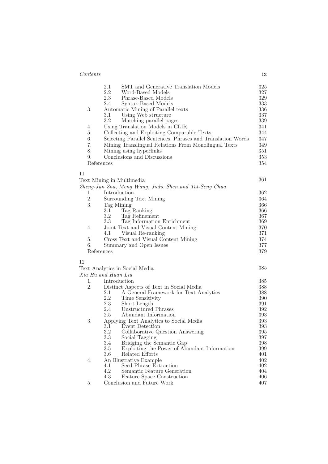# *Contents* ix

|    | 2.1<br>SMT and Generative Translation Models<br>$2.2\,$<br>Word-Based Models  | 325<br>327 |
|----|-------------------------------------------------------------------------------|------------|
|    | 2.3<br>Phrase-Based Models<br>2.4<br>Syntax-Based Models                      | 329<br>333 |
|    | 3.<br>Automatic Mining of Parallel texts                                      | 336        |
|    | 3.1<br>Using Web structure                                                    | 337        |
|    | 3.2<br>Matching parallel pages                                                | 339        |
|    | 4.<br>Using Translation Models in CLIR                                        | 341        |
|    | 5.<br>Collecting and Exploiting Comparable Texts                              | 344        |
|    | 6.<br>Selecting Parallel Sentences, Phrases and Translation Words             | 347        |
|    | 7.<br>Mining Translingual Relations From Monolingual Texts                    | 349        |
|    | 8.<br>Mining using hyperlinks                                                 | 351        |
|    | 9.<br>Conclusions and Discussions                                             | 353        |
|    | References                                                                    | 354        |
| 11 |                                                                               |            |
|    | Text Mining in Multimedia                                                     | 361        |
|    | Zheng-Jun Zha, Meng Wang, Jialie Shen and Tat-Seng Chua                       |            |
|    | Introduction<br>1.                                                            | 362        |
|    | 2.<br>Surrounding Text Mining                                                 | 364        |
|    | 3.<br>Tag Mining                                                              | 366        |
|    | 3.1<br>Tag Ranking                                                            | 366        |
|    | 3.2<br>Tag Refinement                                                         | 367        |
|    | 3.3<br>Tag Information Enrichment                                             | 369        |
|    | 4.<br>Joint Text and Visual Content Mining<br>4.1                             | 370<br>371 |
|    | Visual Re-ranking                                                             |            |
|    | 5.<br>Cross Text and Visual Content Mining                                    | 374        |
|    | 6.<br>Summary and Open Issues<br>References                                   | 377<br>379 |
|    |                                                                               |            |
| 12 | Text Analytics in Social Media                                                | 385        |
|    | Xia Hu and Huan Liu                                                           |            |
|    | Introduction<br>1.                                                            | 385        |
|    | 2.<br>Distinct Aspects of Text in Social Media                                | 388        |
|    | 2.1<br>A General Framework for Text Analytics                                 | 388        |
|    | 2.2<br>Time Sensitivity                                                       | 390        |
|    | 2.3<br>Short Length                                                           | 391        |
|    | 2.4<br>Unstructured Phrases                                                   | 392        |
|    | 2.5<br>Abundant Information                                                   | 393        |
|    | 3.<br>Applying Text Analytics to Social Media                                 | 393        |
|    | 3.1<br>Event Detection                                                        | 393        |
|    | 3.2<br>Collaborative Question Answering                                       | 395        |
|    | $3.3\,$<br>Social Tagging                                                     | 397        |
|    | 3.4<br>Bridging the Semantic Gap                                              | 398        |
|    | 3.5<br>Exploiting the Power of Abundant Information<br>Related Efforts<br>3.6 | 399<br>401 |
|    | An Illustrative Example<br>4.                                                 | 402        |
|    | 4.1<br>Seed Phrase Extraction                                                 | 402        |
|    | 4.2<br>Semantic Feature Generation                                            | 404        |
|    | 4.3<br>Feature Space Construction                                             | 406        |
|    | Conclusion and Future Work<br>5.                                              | 407        |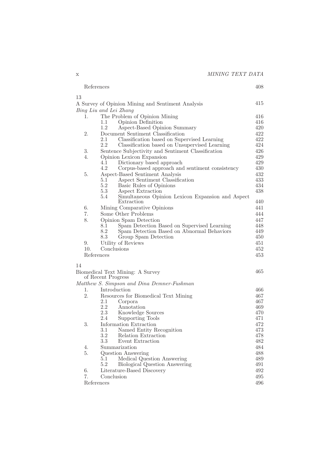|     | References                                                                                          | 408        |
|-----|-----------------------------------------------------------------------------------------------------|------------|
| 13  |                                                                                                     |            |
|     | A Survey of Opinion Mining and Sentiment Analysis                                                   | 415        |
|     | Bing Liu and Lei Zhang                                                                              |            |
| 1.  | The Problem of Opinion Mining                                                                       | 416        |
|     | Opinion Definition<br>1.1                                                                           | 416        |
|     | 1.2<br>Aspect-Based Opinion Summary                                                                 | 420        |
| 2.  | Document Sentiment Classification                                                                   | 422        |
|     | 2.1                                                                                                 | 422        |
|     | Classification based on Supervised Learning<br>2.2<br>Classification based on Unsupervised Learning | 424        |
|     |                                                                                                     | 426        |
| 3.  | Sentence Subjectivity and Sentiment Classification                                                  |            |
| 4.  | Opinion Lexicon Expansion                                                                           | 429        |
|     | 4.1<br>Dictionary based approach                                                                    | 429        |
|     | 4.2<br>Corpus-based approach and sentiment consistency                                              | 430        |
| 5.  | Aspect-Based Sentiment Analysis                                                                     | 432        |
|     | $5.1\,$<br>Aspect Sentiment Classification                                                          | 433        |
|     | 5.2<br>Basic Rules of Opinions                                                                      | 434        |
|     | 5.3<br>Aspect Extraction                                                                            | 438        |
|     | Simultaneous Opinion Lexicon Expansion and Aspect<br>5.4                                            |            |
|     | Extraction                                                                                          | 440        |
| 6.  | Mining Comparative Opinions                                                                         | 441        |
| 7.  | Some Other Problems                                                                                 | 444        |
| 8.  | Opinion Spam Detection                                                                              | 447        |
|     | Spam Detection Based on Supervised Learning<br>8.1                                                  | 448        |
|     | 8.2<br>Spam Detection Based on Abnormal Behaviors                                                   | 449        |
|     | 8.3<br>Group Spam Detection                                                                         | 450        |
| 9.  | Utility of Reviews                                                                                  | 451        |
| 10. | Conclusions                                                                                         | 452        |
|     | References                                                                                          | 453        |
|     |                                                                                                     |            |
| 14  |                                                                                                     |            |
|     | Biomedical Text Mining: A Survey                                                                    | 465        |
|     | of Recent Progress                                                                                  |            |
|     | Matthew S. Simpson and Dina Demner-Fushman                                                          |            |
| 1.  | Introduction                                                                                        | 466        |
| 2.  | Resources for Biomedical Text Mining                                                                | 467        |
|     | 2.1<br>Corpora                                                                                      | 467        |
|     | 2.2<br>Annotation                                                                                   | 469        |
|     | 2.3<br>Knowledge Sources                                                                            | 470        |
|     | 2.4<br>Supporting Tools                                                                             | 471        |
| 3.  | Information Extraction                                                                              | 472        |
|     | 3.1<br>Named Entity Recognition                                                                     | 473        |
|     | 3.2<br>Relation Extraction                                                                          | 478        |
|     | 3.3<br>Event Extraction                                                                             | 482        |
| 4.  | Summarization                                                                                       | 484        |
| 5.  | Question Answering                                                                                  | 488        |
|     | $5.1\,$                                                                                             | 489        |
|     | Medical Question Answering<br>$5.2\,$                                                               |            |
|     | <b>Biological Question Answering</b>                                                                | 491<br>492 |
| 6.  | Literature-Based Discovery                                                                          |            |
| 7.  | Conclusion                                                                                          | 495        |
|     | References                                                                                          | 496        |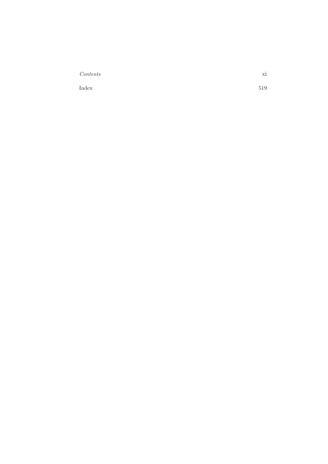*Contents* xi

Index 519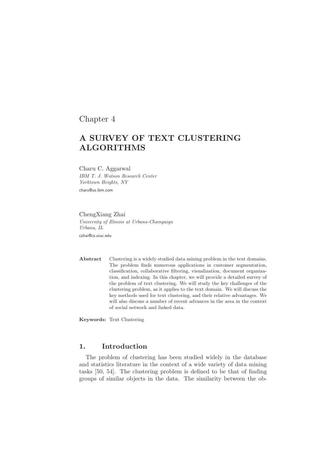# Chapter 4

# **A SURVEY OF TEXT CLUSTERING ALGORITHMS**

Charu C. Aggarwal *IBM T. J. Watson Research Center Yorktown Heights, NY*

charu@us.ibm.com

#### ChengXiang Zhai

*University of Illinois at Urbana-Champaign Urbana, IL* czhai@cs.uiuc.edu

**Abstract** Clustering is a widely studied data mining problem in the text domains. The problem finds numerous applications in customer segmentation, classification, collaborative filtering, visualization, document organization, and indexing. In this chapter, we will provide a detailed survey of the problem of text clustering. We will study the key challenges of the clustering problem, as it applies to the text domain. We will discuss the key methods used for text clustering, and their relative advantages. We will also discuss a number of recent advances in the area in the context of social network and linked data.

**Keywords:** Text Clustering

# **1. Introduction**

The problem of clustering has been studied widely in the database and statistics literature in the context of a wide variety of data mining tasks [50, 54]. The clustering problem is defined to be that of finding groups of similar objects in the data. The similarity between the ob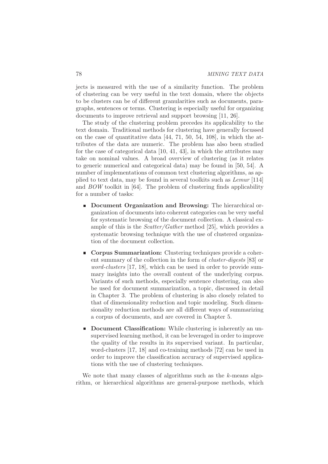jects is measured with the use of a similarity function. The problem of clustering can be very useful in the text domain, where the objects to be clusters can be of different granularities such as documents, paragraphs, sentences or terms. Clustering is especially useful for organizing documents to improve retrieval and support browsing [11, 26].

The study of the clustering problem precedes its applicability to the text domain. Traditional methods for clustering have generally focussed on the case of quantitative data [44, 71, 50, 54, 108], in which the attributes of the data are numeric. The problem has also been studied for the case of categorical data [10, 41, 43], in which the attributes may take on nominal values. A broad overview of clustering (as it relates to generic numerical and categorical data) may be found in [50, 54]. A number of implementations of common text clustering algorithms, as applied to text data, may be found in several toolkits such as *Lemur* [114] and *BOW* toolkit in [64]. The problem of clustering finds applicability for a number of tasks:

- **Document Organization and Browsing:** The hierarchical organization of documents into coherent categories can be very useful for systematic browsing of the document collection. A classical example of this is the *Scatter/Gather* method [25], which provides a systematic browsing technique with the use of clustered organization of the document collection.
- **Corpus Summarization:** Clustering techniques provide a coherent summary of the collection in the form of *cluster-digests* [83] or *word-clusters* [17, 18], which can be used in order to provide summary insights into the overall content of the underlying corpus. Variants of such methods, especially sentence clustering, can also be used for document summarization, a topic, discussed in detail in Chapter 3. The problem of clustering is also closely related to that of dimensionality reduction and topic modeling. Such dimensionality reduction methods are all different ways of summarizing a corpus of documents, and are covered in Chapter 5.
- **Document Classification:** While clustering is inherently an un- $\blacksquare$ supervised learning method, it can be leveraged in order to improve the quality of the results in its supervised variant. In particular, word-clusters [17, 18] and co-training methods [72] can be used in order to improve the classification accuracy of supervised applications with the use of clustering techniques.

We note that many classes of algorithms such as the k-means algorithm, or hierarchical algorithms are general-purpose methods, which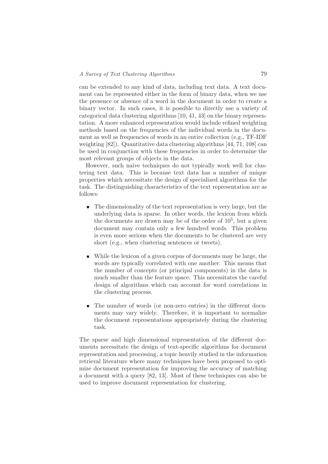can be extended to any kind of data, including text data. A text document can be represented either in the form of binary data, when we use the presence or absence of a word in the document in order to create a binary vector. In such cases, it is possible to directly use a variety of categorical data clustering algorithms [10, 41, 43] on the binary representation. A more enhanced representation would include refined weighting methods based on the frequencies of the individual words in the document as well as frequencies of words in an entire collection (e.g., TF-IDF weighting [82]). Quantitative data clustering algorithms [44, 71, 108] can be used in conjunction with these frequencies in order to determine the most relevant groups of objects in the data.

However, such naive techniques do not typically work well for clustering text data. This is because text data has a number of unique properties which necessitate the design of specialized algorithms for the task. The distinguishing characteristics of the text representation are as follows:

- The dimensionality of the text representation is very large, but the underlying data is sparse. In other words, the lexicon from which the documents are drawn may be of the order of  $10^5$ , but a given document may contain only a few hundred words. This problem is even more serious when the documents to be clustered are very short (e.g., when clustering sentences or tweets).
- While the lexicon of a given corpus of documents may be large, the words are typically correlated with one another. This means that the number of concepts (or principal components) in the data is much smaller than the feature space. This necessitates the careful design of algorithms which can account for word correlations in the clustering process.
- The number of words (or non-zero entries) in the different documents may vary widely. Therefore, it is important to normalize the document representations appropriately during the clustering task.

The sparse and high dimensional representation of the different documents necessitate the design of text-specific algorithms for document representation and processing, a topic heavily studied in the information retrieval literature where many techniques have been proposed to optimize document representation for improving the accuracy of matching a document with a query [82, 13]. Most of these techniques can also be used to improve document representation for clustering.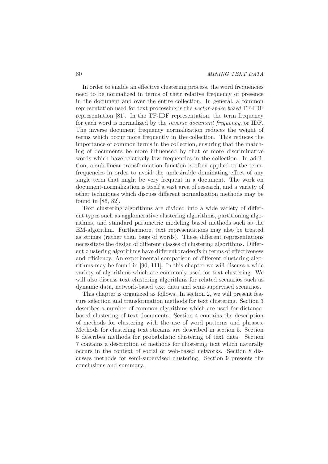In order to enable an effective clustering process, the word frequencies need to be normalized in terms of their relative frequency of presence in the document and over the entire collection. In general, a common representation used for text processing is the *vector-space based* TF-IDF representation [81]. In the TF-IDF representation, the term frequency for each word is normalized by the *inverse document frequency*, or IDF. The inverse document frequency normalization reduces the weight of terms which occur more frequently in the collection. This reduces the importance of common terms in the collection, ensuring that the matching of documents be more influenced by that of more discriminative words which have relatively low frequencies in the collection. In addition, a sub-linear transformation function is often applied to the termfrequencies in order to avoid the undesirable dominating effect of any single term that might be very frequent in a document. The work on document-normalization is itself a vast area of research, and a variety of other techniques which discuss different normalization methods may be found in [86, 82].

Text clustering algorithms are divided into a wide variety of different types such as agglomerative clustering algorithms, partitioning algorithms, and standard parametric modeling based methods such as the EM-algorithm. Furthermore, text representations may also be treated as strings (rather than bags of words). These different representations necessitate the design of different classes of clustering algorithms. Different clustering algorithms have different tradeoffs in terms of effectiveness and efficiency. An experimental comparison of different clustering algorithms may be found in [90, 111]. In this chapter we will discuss a wide variety of algorithms which are commonly used for text clustering. We will also discuss text clustering algorithms for related scenarios such as dynamic data, network-based text data and semi-supervised scenarios.

This chapter is organized as follows. In section 2, we will present feature selection and transformation methods for text clustering. Section 3 describes a number of common algorithms which are used for distancebased clustering of text documents. Section 4 contains the description of methods for clustering with the use of word patterns and phrases. Methods for clustering text streams are described in section 5. Section 6 describes methods for probabilistic clustering of text data. Section 7 contains a description of methods for clustering text which naturally occurs in the context of social or web-based networks. Section 8 discusses methods for semi-supervised clustering. Section 9 presents the conclusions and summary.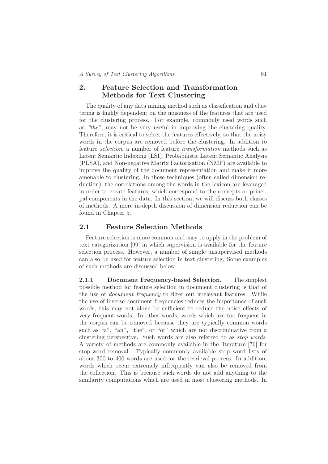# **2. Feature Selection and Transformation Methods for Text Clustering**

The quality of any data mining method such as classification and clustering is highly dependent on the noisiness of the features that are used for the clustering process. For example, commonly used words such as *"the"*, may not be very useful in improving the clustering quality. Therefore, it is critical to select the features effectively, so that the noisy words in the corpus are removed before the clustering. In addition to feature *selection*, a number of feature *transformation* methods such as Latent Semantic Indexing (LSI), Probabilistic Latent Semantic Analysis (PLSA), and Non-negative Matrix Factorization (NMF) are available to improve the quality of the document representation and make it more amenable to clustering. In these techniques (often called dimension reduction), the correlations among the words in the lexicon are leveraged in order to create features, which correspond to the concepts or principal components in the data. In this section, we will discuss both classes of methods. A more in-depth discussion of dimension reduction can be found in Chapter 5.

## **2.1 Feature Selection Methods**

Feature selection is more common and easy to apply in the problem of text categorization [99] in which supervision is available for the feature selection process. However, a number of simple unsupervised methods can also be used for feature selection in text clustering. Some examples of such methods are discussed below.

**2.1.1 Document Frequency-based Selection.** The simplest possible method for feature selection in document clustering is that of the use of *document frequency* to filter out irrelevant features. While the use of inverse document frequencies reduces the importance of such words, this may not alone be sufficient to reduce the noise effects of very frequent words. In other words, words which are too frequent in the corpus can be removed because they are typically common words such as "a", "an", "the", or "of" which are not discriminative from a clustering perspective. Such words are also referred to as *stop words*. A variety of methods are commonly available in the literature [76] for stop-word removal. Typically commonly available stop word lists of about 300 to 400 words are used for the retrieval process. In addition, words which occur extremely infrequently can also be removed from the collection. This is because such words do not add anything to the similarity computations which are used in most clustering methods. In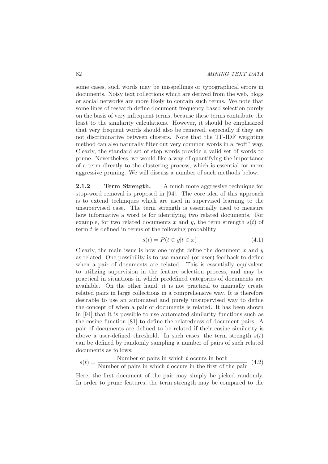some cases, such words may be misspellings or typographical errors in documents. Noisy text collections which are derived from the web, blogs or social networks are more likely to contain such terms. We note that some lines of research define document frequency based selection purely on the basis of very infrequent terms, because these terms contribute the least to the similarity calculations. However, it should be emphasized that very frequent words should also be removed, especially if they are not discriminative between clusters. Note that the TF-IDF weighting method can also naturally filter out very common words in a "soft" way. Clearly, the standard set of stop words provide a valid set of words to prune. Nevertheless, we would like a way of quantifying the importance of a term directly to the clustering process, which is essential for more aggressive pruning. We will discuss a number of such methods below.

**2.1.2 Term Strength.** A much more aggressive technique for stop-word removal is proposed in [94]. The core idea of this approach is to extend techniques which are used in supervised learning to the unsupervised case. The term strength is essentially used to measure how informative a word is for identifying two related documents. For example, for two related documents x and y, the term strength  $s(t)$  of term  $t$  is defined in terms of the following probability:

$$
s(t) = P(t \in y | t \in x)
$$
\n
$$
(4.1)
$$

Clearly, the main issue is how one might define the document  $x$  and  $y$ as related. One possibility is to use manual (or user) feedback to define when a pair of documents are related. This is essentially equivalent to utilizing supervision in the feature selection process, and may be practical in situations in which predefined categories of documents are available. On the other hand, it is not practical to manually create related pairs in large collections in a comprehensive way. It is therefore desirable to use an automated and purely unsupervised way to define the concept of when a pair of documents is related. It has been shown in [94] that it is possible to use automated similarity functions such as the cosine function [81] to define the relatedness of document pairs. A pair of documents are defined to be related if their cosine similarity is above a user-defined threshold. In such cases, the term strength  $s(t)$ can be defined by randomly sampling a number of pairs of such related documents as follows:

$$
s(t) = \frac{\text{Number of pairs in which } t \text{ occurs in both}}{\text{Number of pairs in which } t \text{ occurs in the first of the pair}} \quad (4.2)
$$

Here, the first document of the pair may simply be picked randomly. In order to prune features, the term strength may be compared to the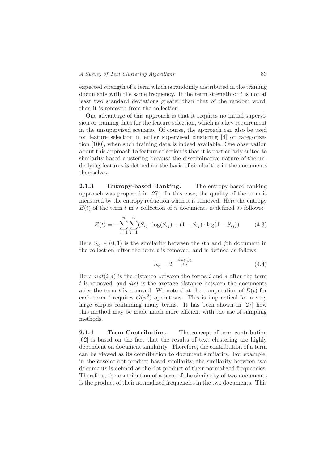expected strength of a term which is randomly distributed in the training documents with the same frequency. If the term strength of  $t$  is not at least two standard deviations greater than that of the random word, then it is removed from the collection.

One advantage of this approach is that it requires no initial supervision or training data for the feature selection, which is a key requirement in the unsupervised scenario. Of course, the approach can also be used for feature selection in either supervised clustering [4] or categorization [100], when such training data is indeed available. One observation about this approach to feature selection is that it is particularly suited to similarity-based clustering because the discriminative nature of the underlying features is defined on the basis of similarities in the documents themselves.

**2.1.3 Entropy-based Ranking.** The entropy-based ranking approach was proposed in [27]. In this case, the quality of the term is measured by the entropy reduction when it is removed. Here the entropy  $E(t)$  of the term t in a collection of n documents is defined as follows:

$$
E(t) = -\sum_{i=1}^{n} \sum_{j=1}^{n} (S_{ij} \cdot \log(S_{ij}) + (1 - S_{ij}) \cdot \log(1 - S_{ij}))
$$
 (4.3)

Here  $S_{ij} \in (0,1)$  is the similarity between the *i*th and *j*th document in the collection, after the term  $t$  is removed, and is defined as follows:

$$
S_{ij} = 2^{-\frac{dist(i,j)}{dist}} \tag{4.4}
$$

Here  $dist(i, j)$  is the distance between the terms i and j after the term t is removed, and  $\overline{dist}$  is the average distance between the documents after the term t is removed. We note that the computation of  $E(t)$  for each term t requires  $O(n^2)$  operations. This is impractical for a very large corpus containing many terms. It has been shown in [27] how this method may be made much more efficient with the use of sampling methods.

**2.1.4 Term Contribution.** The concept of term contribution [62] is based on the fact that the results of text clustering are highly dependent on document similarity. Therefore, the contribution of a term can be viewed as its contribution to document similarity. For example, in the case of dot-product based similarity, the similarity between two documents is defined as the dot product of their normalized frequencies. Therefore, the contribution of a term of the similarity of two documents is the product of their normalized frequencies in the two documents. This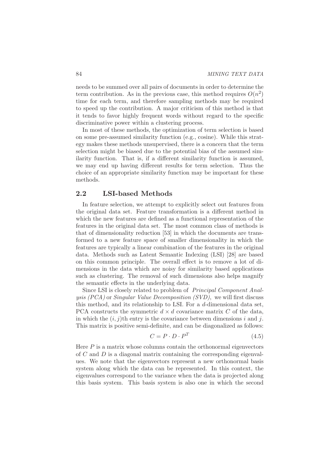needs to be summed over all pairs of documents in order to determine the term contribution. As in the previous case, this method requires  $O(n^2)$ time for each term, and therefore sampling methods may be required to speed up the contribution. A major criticism of this method is that it tends to favor highly frequent words without regard to the specific discriminative power within a clustering process.

In most of these methods, the optimization of term selection is based on some pre-assumed similarity function (e.g., cosine). While this strategy makes these methods unsupervised, there is a concern that the term selection might be biased due to the potential bias of the assumed similarity function. That is, if a different similarity function is assumed, we may end up having different results for term selection. Thus the choice of an appropriate similarity function may be important for these methods.

## **2.2 LSI-based Methods**

In feature selection, we attempt to explicitly select out features from the original data set. Feature transformation is a different method in which the new features are defined as a functional representation of the features in the original data set. The most common class of methods is that of dimensionality reduction [53] in which the documents are transformed to a new feature space of smaller dimensionality in which the features are typically a linear combination of the features in the original data. Methods such as Latent Semantic Indexing (LSI) [28] are based on this common principle. The overall effect is to remove a lot of dimensions in the data which are noisy for similarity based applications such as clustering. The removal of such dimensions also helps magnify the semantic effects in the underlying data.

Since LSI is closely related to problem of *Principal Component Analysis (PCA)* or *Singular Value Decomposition (SVD)*, we will first discuss this method, and its relationship to LSI. For a d-dimensional data set, PCA constructs the symmetric  $d \times d$  covariance matrix C of the data, in which the  $(i, j)$ th entry is the covariance between dimensions i and j. This matrix is positive semi-definite, and can be diagonalized as follows:

$$
C = P \cdot D \cdot P^T \tag{4.5}
$$

Here  $P$  is a matrix whose columns contain the orthonormal eigenvectors of C and D is a diagonal matrix containing the corresponding eigenvalues. We note that the eigenvectors represent a new orthonormal basis system along which the data can be represented. In this context, the eigenvalues correspond to the variance when the data is projected along this basis system. This basis system is also one in which the second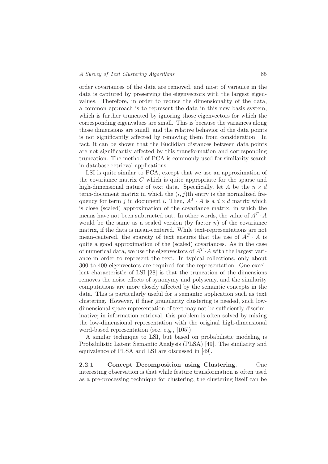order covariances of the data are removed, and most of variance in the data is captured by preserving the eigenvectors with the largest eigenvalues. Therefore, in order to reduce the dimensionality of the data, a common approach is to represent the data in this new basis system, which is further truncated by ignoring those eigenvectors for which the corresponding eigenvalues are small. This is because the variances along those dimensions are small, and the relative behavior of the data points is not significantly affected by removing them from consideration. In fact, it can be shown that the Euclidian distances between data points are not significantly affected by this transformation and corresponding truncation. The method of PCA is commonly used for similarity search in database retrieval applications.

LSI is quite similar to PCA, except that we use an approximation of the covariance matrix  $C$  which is quite appropriate for the sparse and high-dimensional nature of text data. Specifically, let A be the  $n \times d$ term-document matrix in which the  $(i, j)$ th entry is the normalized frequency for term j in document i. Then,  $A^T \cdot A$  is a  $d \times d$  matrix which is close (scaled) approximation of the covariance matrix, in which the means have not been subtracted out. In other words, the value of  $A<sup>T</sup> \cdot A$ would be the same as a scaled version (by factor  $n$ ) of the covariance matrix, if the data is mean-centered. While text-representations are not mean-centered, the sparsity of text ensures that the use of  $A^T \cdot A$  is quite a good approximation of the (scaled) covariances. As in the case of numerical data, we use the eigenvectors of  $A<sup>T</sup> \cdot A$  with the largest variance in order to represent the text. In typical collections, only about 300 to 400 eigenvectors are required for the representation. One excellent characteristic of LSI [28] is that the truncation of the dimensions removes the noise effects of synonymy and polysemy, and the similarity computations are more closely affected by the semantic concepts in the data. This is particularly useful for a semantic application such as text clustering. However, if finer granularity clustering is needed, such lowdimensional space representation of text may not be sufficiently discriminative; in information retrieval, this problem is often solved by mixing the low-dimensional representation with the original high-dimensional word-based representation (see, e.g., [105]).

A similar technique to LSI, but based on probabilistic modeling is Probabilistic Latent Semantic Analysis (PLSA) [49]. The similarity and equivalence of PLSA and LSI are discussed in [49].

**2.2.1 Concept Decomposition using Clustering.** One interesting observation is that while feature transformation is often used as a pre-processing technique for clustering, the clustering itself can be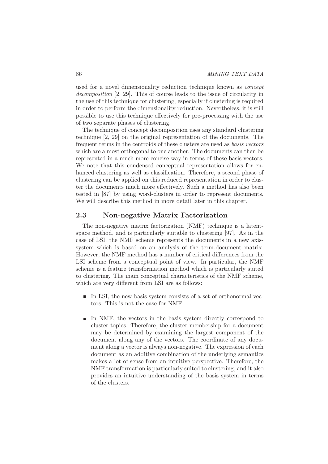used for a novel dimensionality reduction technique known as *concept decomposition* [2, 29]. This of course leads to the issue of circularity in the use of this technique for clustering, especially if clustering is required in order to perform the dimensionality reduction. Nevertheless, it is still possible to use this technique effectively for pre-processing with the use of two separate phases of clustering.

The technique of concept decomposition uses any standard clustering technique [2, 29] on the original representation of the documents. The frequent terms in the centroids of these clusters are used as *basis vectors* which are almost orthogonal to one another. The documents can then be represented in a much more concise way in terms of these basis vectors. We note that this condensed conceptual representation allows for enhanced clustering as well as classification. Therefore, a second phase of clustering can be applied on this reduced representation in order to cluster the documents much more effectively. Such a method has also been tested in [87] by using word-clusters in order to represent documents. We will describe this method in more detail later in this chapter.

# **2.3 Non-negative Matrix Factorization**

The non-negative matrix factorization (NMF) technique is a latentspace method, and is particularly suitable to clustering [97]. As in the case of LSI, the NMF scheme represents the documents in a new axissystem which is based on an analysis of the term-document matrix. However, the NMF method has a number of critical differences from the LSI scheme from a conceptual point of view. In particular, the NMF scheme is a feature transformation method which is particularly suited to clustering. The main conceptual characteristics of the NMF scheme, which are very different from LSI are as follows:

- In LSI, the new basis system consists of a set of orthonormal vectors. This is not the case for NMF.
- In NMF, the vectors in the basis system directly correspond to cluster topics. Therefore, the cluster membership for a document may be determined by examining the largest component of the document along any of the vectors. The coordinate of any document along a vector is always non-negative. The expression of each document as an additive combination of the underlying semantics makes a lot of sense from an intuitive perspective. Therefore, the NMF transformation is particularly suited to clustering, and it also provides an intuitive understanding of the basis system in terms of the clusters.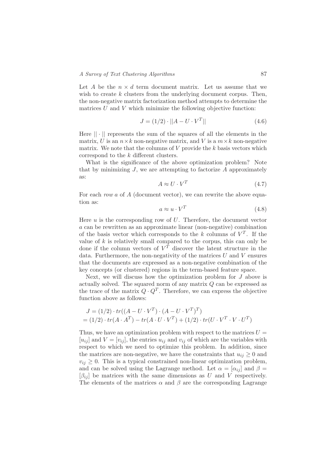Let A be the  $n \times d$  term document matrix. Let us assume that we wish to create  $k$  clusters from the underlying document corpus. Then, the non-negative matrix factorization method attempts to determine the matrices  $U$  and  $V$  which minimize the following objective function:

$$
J = (1/2) \cdot ||A - U \cdot V^{T}|| \tag{4.6}
$$

Here  $|| \cdot ||$  represents the sum of the squares of all the elements in the matrix, U is an  $n \times k$  non-negative matrix, and V is a  $m \times k$  non-negative matrix. We note that the columns of  $V$  provide the  $k$  basis vectors which correspond to the k different clusters.

What is the significance of the above optimization problem? Note that by minimizing  $J$ , we are attempting to factorize  $A$  approximately as:

$$
A \approx U \cdot V^T \tag{4.7}
$$

For each *row* a of A (document vector), we can rewrite the above equation as:

$$
a \approx u \cdot V^T \tag{4.8}
$$

Here  $u$  is the corresponding row of  $U$ . Therefore, the document vector a can be rewritten as an approximate linear (non-negative) combination of the basis vector which corresponds to the k columns of  $V^T$ . If the value of  $k$  is relatively small compared to the corpus, this can only be done if the column vectors of  $V^T$  discover the latent structure in the data. Furthermore, the non-negativity of the matrices  $U$  and  $V$  ensures that the documents are expressed as a non-negative combination of the key concepts (or clustered) regions in the term-based feature space.

Next, we will discuss how the optimization problem for J above is actually solved. The squared norm of any matrix Q can be expressed as the trace of the matrix  $Q \cdot Q^T$ . Therefore, we can express the objective function above as follows:

$$
J = (1/2) \cdot tr((A - U \cdot V^T) \cdot (A - U \cdot V^T)^T)
$$
  
= (1/2) \cdot tr(A \cdot A^T) - tr(A \cdot U \cdot V^T) + (1/2) \cdot tr(U \cdot V^T \cdot V \cdot U^T)

Thus, we have an optimization problem with respect to the matrices  $U =$  $[u_{ij}]$  and  $V = [v_{ij}]$ , the entries  $u_{ij}$  and  $v_{ij}$  of which are the variables with respect to which we need to optimize this problem. In addition, since the matrices are non-negative, we have the constraints that  $u_{ij} \geq 0$  and  $v_{ii} \geq 0$ . This is a typical constrained non-linear optimization problem, and can be solved using the Lagrange method. Let  $\alpha = [\alpha_{ij}]$  and  $\beta =$  $[\beta_{ij}]$  be matrices with the same dimensions as U and V respectively. The elements of the matrices  $\alpha$  and  $\beta$  are the corresponding Lagrange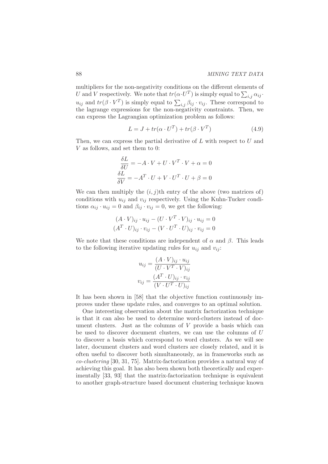multipliers for the non-negativity conditions on the different elements of U and V respectively. We note that  $tr(\alpha \cdot U^T)$  is simply equal to  $\sum_{i,j} \alpha_{ij}$ .  $u_{ij}$  and  $tr(\beta \cdot V^T)$  is simply equal to  $\sum_{i,j} \beta_{ij} \cdot v_{ij}$ . These correspond to the lagrange expressions for the non-negativity constraints. Then, we can express the Lagrangian optimization problem as follows:

$$
L = J + tr(\alpha \cdot U^T) + tr(\beta \cdot V^T)
$$
\n(4.9)

Then, we can express the partial derivative of  $L$  with respect to  $U$  and V as follows, and set them to 0:

$$
\frac{\delta L}{\delta U} = -A \cdot V + U \cdot V^T \cdot V + \alpha = 0
$$

$$
\frac{\delta L}{\delta V} = -A^T \cdot U + V \cdot U^T \cdot U + \beta = 0
$$

We can then multiply the  $(i, j)$ <sup>th</sup> entry of the above (two matrices of) conditions with  $u_{ij}$  and  $v_{ij}$  respectively. Using the Kuhn-Tucker conditions  $\alpha_{ij} \cdot u_{ij} = 0$  and  $\beta_{ij} \cdot v_{ij} = 0$ , we get the following:

$$
(A \cdot V)_{ij} \cdot u_{ij} - (U \cdot V^T \cdot V)_{ij} \cdot u_{ij} = 0
$$

$$
(A^T \cdot U)_{ij} \cdot v_{ij} - (V \cdot U^T \cdot U)_{ij} \cdot v_{ij} = 0
$$

We note that these conditions are independent of  $\alpha$  and  $\beta$ . This leads to the following iterative updating rules for  $u_{ij}$  and  $v_{ij}$ :

$$
u_{ij} = \frac{(A \cdot V)_{ij} \cdot u_{ij}}{(U \cdot V^T \cdot V)_{ij}}
$$

$$
v_{ij} = \frac{(A^T \cdot U)_{ij} \cdot v_{ij}}{(V \cdot U^T \cdot U)_{ij}}
$$

It has been shown in [58] that the objective function continuously improves under these update rules, and converges to an optimal solution.

One interesting observation about the matrix factorization technique is that it can also be used to determine word-clusters instead of document clusters. Just as the columns of  $V$  provide a basis which can be used to discover document clusters, we can use the columns of U to discover a basis which correspond to word clusters. As we will see later, document clusters and word clusters are closely related, and it is often useful to discover both simultaneously, as in frameworks such as *co-clustering* [30, 31, 75]. Matrix-factorization provides a natural way of achieving this goal. It has also been shown both theoretically and experimentally [33, 93] that the matrix-factorization technique is equivalent to another graph-structure based document clustering technique known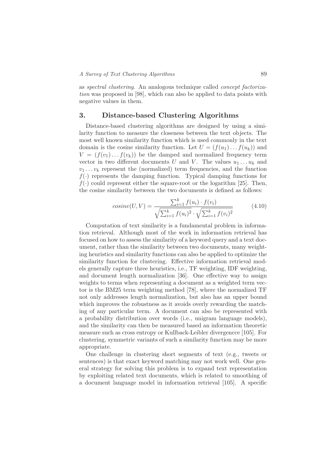as *spectral clustering*. An analogous technique called *concept factorization* was proposed in [98], which can also be applied to data points with negative values in them.

#### **3. Distance-based Clustering Algorithms**

Distance-based clustering algorithms are designed by using a similarity function to measure the closeness between the text objects. The most well known similarity function which is used commonly in the text domain is the cosine similarity function. Let  $U = (f(u_1) \dots f(u_k))$  and  $V = (f(v_1) \dots f(v_k))$  be the damped and normalized frequency term vector in two different documents U and V. The values  $u_1 \ldots u_k$  and  $v_1 \ldots v_k$  represent the (normalized) term frequencies, and the function  $f(\cdot)$  represents the damping function. Typical damping functions for  $f(\cdot)$  could represent either the square-root or the logarithm [25]. Then, the cosine similarity between the two documents is defined as follows:

$$
cosine(U, V) = \frac{\sum_{i=1}^{k} f(u_i) \cdot f(v_i)}{\sqrt{\sum_{i=1}^{k} f(u_i)^2} \cdot \sqrt{\sum_{i=1}^{k} f(v_i)^2}}
$$
(4.10)

Computation of text similarity is a fundamental problem in information retrieval. Although most of the work in information retrieval has focused on how to assess the similarity of a keyword query and a text document, rather than the similarity between two documents, many weighting heuristics and similarity functions can also be applied to optimize the similarity function for clustering. Effective information retrieval models generally capture three heuristics, i.e., TF weighting, IDF weighting, and document length normalization [36]. One effective way to assign weights to terms when representing a document as a weighted term vector is the BM25 term weighting method [78], where the normalized TF not only addresses length normalization, but also has an upper bound which improves the robustness as it avoids overly rewarding the matching of any particular term. A document can also be represented with a probability distribution over words (i.e., unigram language models), and the similarity can then be measured based an information theoretic measure such as cross entropy or Kullback-Leibler divergencce [105]. For clustering, symmetric variants of such a similarity function may be more appropriate.

One challenge in clustering short segments of text (e.g., tweets or sentences) is that exact keyword matching may not work well. One general strategy for solving this problem is to expand text representation by exploiting related text documents, which is related to smoothing of a document language model in information retrieval [105]. A specific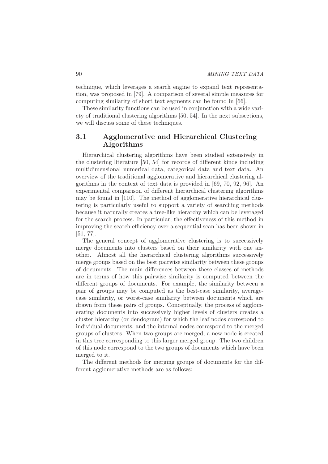technique, which leverages a search engine to expand text representation, was proposed in [79]. A comparison of several simple measures for computing similarity of short text segments can be found in [66].

These similarity functions can be used in conjunction with a wide variety of traditional clustering algorithms [50, 54]. In the next subsections, we will discuss some of these techniques.

# **3.1 Agglomerative and Hierarchical Clustering Algorithms**

Hierarchical clustering algorithms have been studied extensively in the clustering literature [50, 54] for records of different kinds including multidimensional numerical data, categorical data and text data. An overview of the traditional agglomerative and hierarchical clustering algorithms in the context of text data is provided in [69, 70, 92, 96]. An experimental comparison of different hierarchical clustering algorithms may be found in [110]. The method of agglomerative hierarchical clustering is particularly useful to support a variety of searching methods because it naturally creates a tree-like hierarchy which can be leveraged for the search process. In particular, the effectiveness of this method in improving the search efficiency over a sequential scan has been shown in [51, 77].

The general concept of agglomerative clustering is to successively merge documents into clusters based on their similarity with one another. Almost all the hierarchical clustering algorithms successively merge groups based on the best pairwise similarity between these groups of documents. The main differences between these classes of methods are in terms of how this pairwise similarity is computed between the different groups of documents. For example, the similarity between a pair of groups may be computed as the best-case similarity, averagecase similarity, or worst-case similarity between documents which are drawn from these pairs of groups. Conceptually, the process of agglomerating documents into successively higher levels of clusters creates a cluster hierarchy (or dendogram) for which the leaf nodes correspond to individual documents, and the internal nodes correspond to the merged groups of clusters. When two groups are merged, a new node is created in this tree corresponding to this larger merged group. The two children of this node correspond to the two groups of documents which have been merged to it.

The different methods for merging groups of documents for the different agglomerative methods are as follows: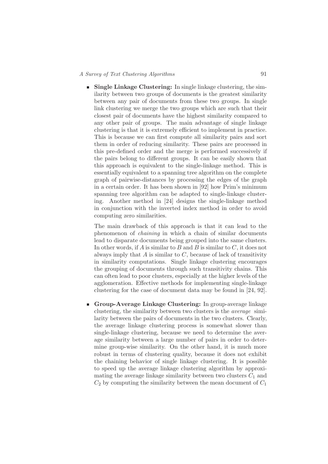#### *A Survey of Text Clustering Algorithms* 91

**Single Linkage Clustering:** In single linkage clustering, the similarity between two groups of documents is the greatest similarity between any pair of documents from these two groups. In single link clustering we merge the two groups which are such that their closest pair of documents have the highest similarity compared to any other pair of groups. The main advantage of single linkage clustering is that it is extremely efficient to implement in practice. This is because we can first compute all similarity pairs and sort them in order of reducing similarity. These pairs are processed in this pre-defined order and the merge is performed successively if the pairs belong to different groups. It can be easily shown that this approach is equivalent to the single-linkage method. This is essentially equivalent to a spanning tree algorithm on the complete graph of pairwise-distances by processing the edges of the graph in a certain order. It has been shown in [92] how Prim's minimum spanning tree algorithm can be adapted to single-linkage clustering. Another method in [24] designs the single-linkage method in conjunction with the inverted index method in order to avoid computing zero similarities.

The main drawback of this approach is that it can lead to the phenomenon of *chaining* in which a chain of similar documents lead to disparate documents being grouped into the same clusters. In other words, if  $A$  is similar to  $B$  and  $B$  is similar to  $C$ , it does not always imply that  $A$  is similar to  $C$ , because of lack of transitivity in similarity computations. Single linkage clustering encourages the grouping of documents through such transitivity chains. This can often lead to poor clusters, especially at the higher levels of the agglomeration. Effective methods for implementing single-linkage clustering for the case of document data may be found in [24, 92].

**Group-Average Linkage Clustering:** In group-average linkage  $\blacksquare$ clustering, the similarity between two clusters is the *average* similarity between the pairs of documents in the two clusters. Clearly, the average linkage clustering process is somewhat slower than single-linkage clustering, because we need to determine the average similarity between a large number of pairs in order to determine group-wise similarity. On the other hand, it is much more robust in terms of clustering quality, because it does not exhibit the chaining behavior of single linkage clustering. It is possible to speed up the average linkage clustering algorithm by approximating the average linkage similarity between two clusters  $C_1$  and  $C_2$  by computing the similarity between the mean document of  $C_1$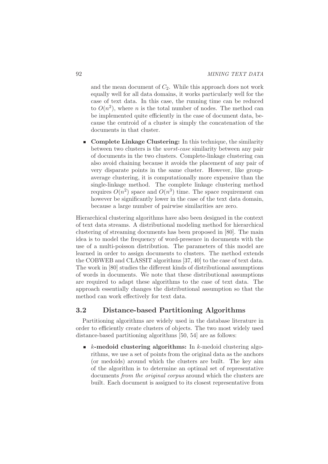and the mean document of  $C_2$ . While this approach does not work equally well for all data domains, it works particularly well for the case of text data. In this case, the running time can be reduced to  $O(n^2)$ , where *n* is the total number of nodes. The method can be implemented quite efficiently in the case of document data, because the centroid of a cluster is simply the concatenation of the documents in that cluster.

**Complete Linkage Clustering:** In this technique, the similarity between two clusters is the *worst-case* similarity between any pair of documents in the two clusters. Complete-linkage clustering can also avoid chaining because it avoids the placement of any pair of very disparate points in the same cluster. However, like groupaverage clustering, it is computationally more expensive than the single-linkage method. The complete linkage clustering method requires  $O(n^2)$  space and  $O(n^3)$  time. The space requirement can however be significantly lower in the case of the text data domain, because a large number of pairwise similarities are zero.

Hierarchical clustering algorithms have also been designed in the context of text data streams. A distributional modeling method for hierarchical clustering of streaming documents has been proposed in [80]. The main idea is to model the frequency of word-presence in documents with the use of a multi-poisson distribution. The parameters of this model are learned in order to assign documents to clusters. The method extends the COBWEB and CLASSIT algorithms [37, 40] to the case of text data. The work in [80] studies the different kinds of distributional assumptions of words in documents. We note that these distributional assumptions are required to adapt these algorithms to the case of text data. The approach essentially changes the distributional assumption so that the method can work effectively for text data.

## **3.2 Distance-based Partitioning Algorithms**

Partitioning algorithms are widely used in the database literature in order to efficiently create clusters of objects. The two most widely used distance-based partitioning algorithms [50, 54] are as follows:

**Example 1** k-medoid clustering algorithms: In k-medoid clustering algorithms, we use a set of points from the original data as the anchors (or medoids) around which the clusters are built. The key aim of the algorithm is to determine an optimal set of representative documents *from the original corpus* around which the clusters are built. Each document is assigned to its closest representative from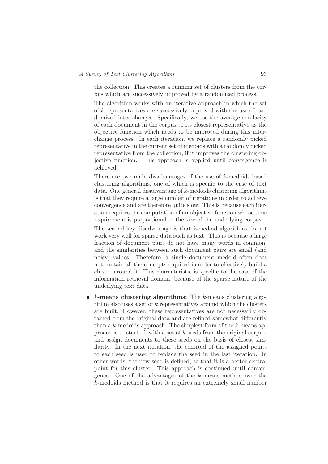#### *A Survey of Text Clustering Algorithms* 93

the collection. This creates a running set of clusters from the corpus which are successively improved by a randomized process.

The algorithm works with an iterative approach in which the set of k representatives are successively improved with the use of randomized inter-changes. Specifically, we use the average similarity of each document in the corpus to its closest representative as the objective function which needs to be improved during this interchange process. In each iteration, we replace a randomly picked representative in the current set of medoids with a randomly picked representative from the collection, if it improves the clustering objective function. This approach is applied until convergence is achieved.

There are two main disadvantages of the use of k-medoids based clustering algorithms, one of which is specific to the case of text data. One general disadvantage of k-medoids clustering algorithms is that they require a large number of iterations in order to achieve convergence and are therefore quite slow. This is because each iteration requires the computation of an objective function whose time requirement is proportional to the size of the underlying corpus.

The second key disadvantage is that k-medoid algorithms do not work very well for sparse data such as text. This is because a large fraction of document pairs do not have many words in common, and the similarities between such document pairs are small (and noisy) values. Therefore, a single document medoid often does not contain all the concepts required in order to effectively build a cluster around it. This characteristic is specific to the case of the information retrieval domain, because of the sparse nature of the underlying text data.

k**-means clustering algorithms:** The k-means clustering algo- $\blacksquare$ rithm also uses a set of  $k$  representatives around which the clusters are built. However, these representatives are not necessarily obtained from the original data and are refined somewhat differently than a  $k$ -medoids approach. The simplest form of the  $k$ -means approach is to start off with a set of k seeds from the original corpus, and assign documents to these seeds on the basis of closest similarity. In the next iteration, the centroid of the assigned points to each seed is used to replace the seed in the last iteration. In other words, the new seed is defined, so that it is a better central point for this cluster. This approach is continued until convergence. One of the advantages of the k-means method over the k-medoids method is that it requires an extremely small number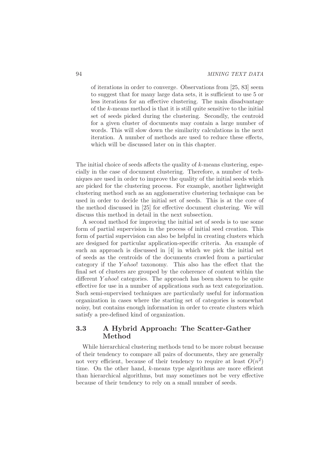of iterations in order to converge. Observations from [25, 83] seem to suggest that for many large data sets, it is sufficient to use 5 or less iterations for an effective clustering. The main disadvantage of the k-means method is that it is still quite sensitive to the initial set of seeds picked during the clustering. Secondly, the centroid for a given cluster of documents may contain a large number of words. This will slow down the similarity calculations in the next iteration. A number of methods are used to reduce these effects, which will be discussed later on in this chapter.

The initial choice of seeds affects the quality of  $k$ -means clustering, especially in the case of document clustering. Therefore, a number of techniques are used in order to improve the quality of the initial seeds which are picked for the clustering process. For example, another lightweight clustering method such as an agglomerative clustering technique can be used in order to decide the initial set of seeds. This is at the core of the method discussed in [25] for effective document clustering. We will discuss this method in detail in the next subsection.

A second method for improving the initial set of seeds is to use some form of partial supervision in the process of initial seed creation. This form of partial supervision can also be helpful in creating clusters which are designed for particular application-specific criteria. An example of such an approach is discussed in [4] in which we pick the initial set of seeds as the centroids of the documents crawled from a particular category if the Yahoo! taxonomy. This also has the effect that the final set of clusters are grouped by the coherence of content within the different Yahoo! categories. The approach has been shown to be quite effective for use in a number of applications such as text categorization. Such semi-supervised techniques are particularly useful for information organization in cases where the starting set of categories is somewhat noisy, but contains enough information in order to create clusters which satisfy a pre-defined kind of organization.

## **3.3 A Hybrid Approach: The Scatter-Gather Method**

While hierarchical clustering methods tend to be more robust because of their tendency to compare all pairs of documents, they are generally not very efficient, because of their tendency to require at least  $O(n^2)$ time. On the other hand, k-means type algorithms are more efficient than hierarchical algorithms, but may sometimes not be very effective because of their tendency to rely on a small number of seeds.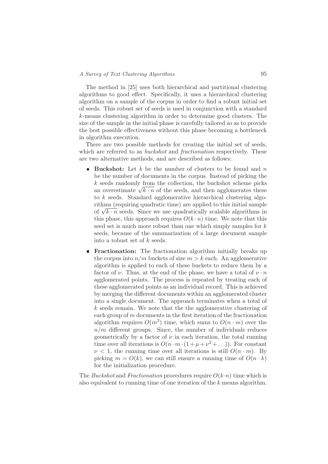The method in [25] uses both hierarchical and partitional clustering algorithms to good effect. Specifically, it uses a hierarchical clustering algorithm on a sample of the corpus in order to find a robust initial set of seeds. This robust set of seeds is used in conjunction with a standard k-means clustering algorithm in order to determine good clusters. The size of the sample in the initial phase is carefully tailored so as to provide the best possible effectiveness without this phase becoming a bottleneck in algorithm execution.

There are two possible methods for creating the initial set of seeds, which are referred to as *buckshot* and *fractionation* respectively. These are two alternative methods, and are described as follows:

- **Buckshot:** Let  $k$  be the number of clusters to be found and  $n$ be the number of documents in the corpus. Instead of picking the k seeds randomly from the collection, the buckshot scheme picks an overestimate  $\sqrt{k \cdot n}$  of the seeds, and then agglomerates these to k seeds. Standard agglomerative hierarchical clustering algorithms (requiring quadratic time) are applied to this initial sample of  $\sqrt{k \cdot n}$  seeds. Since we use quadratically scalable algorithms in this phase, this approach requires  $O(k \cdot n)$  time. We note that this seed set is much more robust than one which simply samples for  $k$ seeds, because of the summarization of a large document sample into a robust set of k seeds.
- **Fractionation:** The fractionation algorithm initially breaks up  $\blacksquare$ the corpus into  $n/m$  buckets of size  $m > k$  each. An agglomerative algorithm is applied to each of these buckets to reduce them by a factor of  $\nu$ . Thus, at the end of the phase, we have a total of  $\nu \cdot n$ agglomerated points. The process is repeated by treating each of these agglomerated points as an individual record. This is achieved by merging the different documents within an agglomerated cluster into a single document. The approach terminates when a total of k seeds remain. We note that the the agglomerative clustering of each group of m documents in the first iteration of the fractionation algorithm requires  $O(m^2)$  time, which sums to  $O(n \cdot m)$  over the  $n/m$  different groups. Since, the number of individuals reduces geometrically by a factor of  $\nu$  in each iteration, the total running time over all iterations is  $O(n \cdot m \cdot (1 + \mu + \nu^2 + \ldots))$ . For constant  $\nu < 1$ , the running time over all iterations is still  $O(n \cdot m)$ . By picking  $m = O(k)$ , we can still ensure a running time of  $O(n \cdot k)$ for the initialization procedure.

The *Buckshot* and *Fractionation* procedures require  $O(k \cdot n)$  time which is also equivalent to running time of one iteration of the k means algorithm.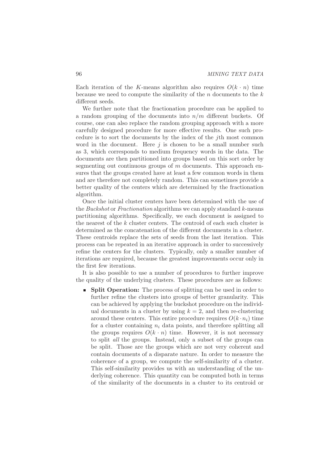Each iteration of the K-means algorithm also requires  $O(k \cdot n)$  time because we need to compute the similarity of the n documents to the  $k$ different seeds.

We further note that the fractionation procedure can be applied to a random grouping of the documents into  $n/m$  different buckets. Of course, one can also replace the random grouping approach with a more carefully designed procedure for more effective results. One such procedure is to sort the documents by the index of the jth most common word in the document. Here  $j$  is chosen to be a small number such as 3, which corresponds to medium frequency words in the data. The documents are then partitioned into groups based on this sort order by segmenting out continuous groups of  $m$  documents. This approach ensures that the groups created have at least a few common words in them and are therefore not completely random. This can sometimes provide a better quality of the centers which are determined by the fractionation algorithm.

Once the initial cluster centers have been determined with the use of the *Buckshot* or *Fractionation* algorithms we can apply standard k-means partitioning algorithms. Specifically, we each document is assigned to the nearest of the  $k$  cluster centers. The centroid of each such cluster is determined as the concatenation of the different documents in a cluster. These centroids replace the sets of seeds from the last iteration. This process can be repeated in an iterative approach in order to successively refine the centers for the clusters. Typically, only a smaller number of iterations are required, because the greatest improvements occur only in the first few iterations.

It is also possible to use a number of procedures to further improve the quality of the underlying clusters. These procedures are as follows:

**Split Operation:** The process of splitting can be used in order to further refine the clusters into groups of better granularity. This can be achieved by applying the buckshot procedure on the individual documents in a cluster by using  $k = 2$ , and then re-clustering around these centers. This entire procedure requires  $O(k \cdot n_i)$  time for a cluster containing  $n_i$  data points, and therefore splitting all the groups requires  $O(k \cdot n)$  time. However, it is not necessary to split *all* the groups. Instead, only a subset of the groups can be split. Those are the groups which are not very coherent and contain documents of a disparate nature. In order to measure the coherence of a group, we compute the self-similarity of a cluster. This self-similarity provides us with an understanding of the underlying coherence. This quantity can be computed both in terms of the similarity of the documents in a cluster to its centroid or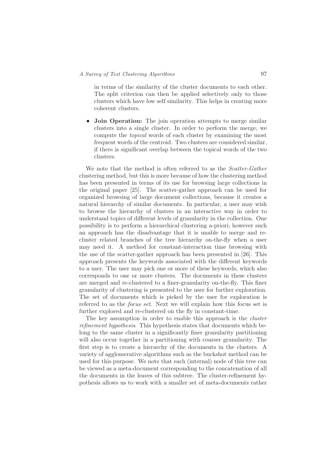in terms of the similarity of the cluster documents to each other. The split criterion can then be applied selectively only to those clusters which have low self similarity. This helps in creating more coherent clusters.

**Join Operation:** The join operation attempts to merge similar clusters into a single cluster. In order to perform the merge, we compute the *topical* words of each cluster by examining the most frequent words of the centroid. Two clusters are considered similar, if there is significant overlap between the topical words of the two clusters.

We note that the method is often referred to as the *Scatter-Gather* clustering method, but this is more because of how the clustering method has been presented in terms of its use for browsing large collections in the original paper [25]. The scatter-gather approach can be used for organized browsing of large document collections, because it creates a natural hierarchy of similar documents. In particular, a user may wish to browse the hierarchy of clusters in an interactive way in order to understand topics of different levels of granularity in the collection. One possibility is to perform a hierarchical clustering a-priori; however such an approach has the disadvantage that it is unable to merge and recluster related branches of the tree hierarchy on-the-fly when a user may need it. A method for constant-interaction time browsing with the use of the scatter-gather approach has been presented in [26]. This approach presents the keywords associated with the different keywords to a user. The user may pick one or more of these keywords, which also corresponds to one or more clusters. The documents in these clusters are merged and re-clustered to a finer-granularity on-the-fly. This finer granularity of clustering is presented to the user for further exploration. The set of documents which is picked by the user for exploration is referred to as the *focus set*. Next we will explain how this focus set is further explored and re-clustered on the fly in constant-time.

The key assumption in order to enable this approach is the *cluster refinement hypothesis*. This hypothesis states that documents which belong to the same cluster in a significantly finer granularity partitioning will also occur together in a partitioning with coarser granularity. The first step is to create a hierarchy of the documents in the clusters. A variety of agglomerative algorithms such as the buckshot method can be used for this purpose. We note that each (internal) node of this tree can be viewed as a meta-document corresponding to the concatenation of all the documents in the leaves of this subtree. The cluster-refinement hypothesis allows us to work with a smaller set of meta-documents rather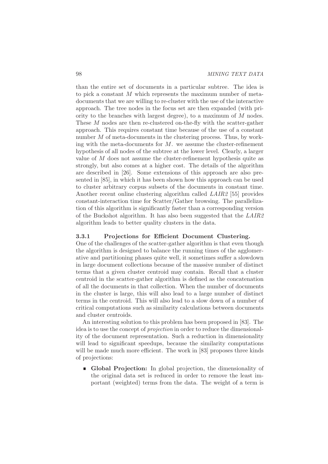than the entire set of documents in a particular subtree. The idea is to pick a constant M which represents the maximum number of metadocuments that we are willing to re-cluster with the use of the interactive approach. The tree nodes in the focus set are then expanded (with priority to the branches with largest degree), to a maximum of  $M$  nodes. These M nodes are then re-clustered on-the-fly with the scatter-gather approach. This requires constant time because of the use of a constant number M of meta-documents in the clustering process. Thus, by working with the meta-documents for  $M$ . we assume the cluster-refinement hypothesis of all nodes of the subtree at the lower level. Clearly, a larger value of M does not assume the cluster-refinement hypothesis quite as strongly, but also comes at a higher cost. The details of the algorithm are described in [26]. Some extensions of this approach are also presented in [85], in which it has been shown how this approach can be used to cluster arbitrary corpus subsets of the documents in constant time. Another recent online clustering algorithm called *LAIR2* [55] provides constant-interaction time for Scatter/Gather browsing. The parallelization of this algorithm is significantly faster than a corresponding version of the Buckshot algorithm. It has also been suggested that the *LAIR2* algorithm leads to better quality clusters in the data.

#### **3.3.1 Projections for Efficient Document Clustering.**

One of the challenges of the scatter-gather algorithm is that even though the algorithm is designed to balance the running times of the agglomerative and partitioning phases quite well, it sometimes suffer a slowdown in large document collections because of the massive number of distinct terms that a given cluster centroid may contain. Recall that a cluster centroid in the scatter-gather algorithm is defined as the concatenation of all the documents in that collection. When the number of documents in the cluster is large, this will also lead to a large number of distinct terms in the centroid. This will also lead to a slow down of a number of critical computations such as similarity calculations between documents and cluster centroids.

An interesting solution to this problem has been proposed in [83]. The idea is to use the concept of *projection* in order to reduce the dimensionality of the document representation. Such a reduction in dimensionality will lead to significant speedups, because the similarity computations will be made much more efficient. The work in [83] proposes three kinds of projections:

**Global Projection:** In global projection, the dimensionality of the original data set is reduced in order to remove the least important (weighted) terms from the data. The weight of a term is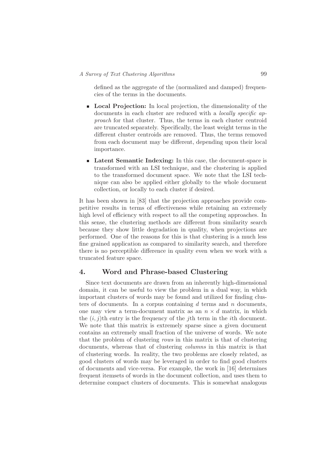defined as the aggregate of the (normalized and damped) frequencies of the terms in the documents.

- **Local Projection:** In local projection, the dimensionality of the  $\blacksquare$ documents in each cluster are reduced with a *locally specific approach* for that cluster. Thus, the terms in each cluster centroid are truncated separately. Specifically, the least weight terms in the different cluster centroids are removed. Thus, the terms removed from each document may be different, depending upon their local importance.
- **Latent Semantic Indexing:** In this case, the document-space is transformed with an LSI technique, and the clustering is applied to the transformed document space. We note that the LSI technique can also be applied either globally to the whole document collection, or locally to each cluster if desired.

It has been shown in [83] that the projection approaches provide competitive results in terms of effectiveness while retaining an extremely high level of efficiency with respect to all the competing approaches. In this sense, the clustering methods are different from similarity search because they show little degradation in quality, when projections are performed. One of the reasons for this is that clustering is a much less fine grained application as compared to similarity search, and therefore there is no perceptible difference in quality even when we work with a truncated feature space.

#### **4. Word and Phrase-based Clustering**

Since text documents are drawn from an inherently high-dimensional domain, it can be useful to view the problem in a dual way, in which important clusters of words may be found and utilized for finding clusters of documents. In a corpus containing  $d$  terms and  $n$  documents, one may view a term-document matrix as an  $n \times d$  matrix, in which the  $(i, j)$ th entry is the frequency of the *j*th term in the *i*th document. We note that this matrix is extremely sparse since a given document contains an extremely small fraction of the universe of words. We note that the problem of clustering *rows* in this matrix is that of clustering documents, whereas that of clustering *columns* in this matrix is that of clustering words. In reality, the two problems are closely related, as good clusters of words may be leveraged in order to find good clusters of documents and vice-versa. For example, the work in [16] determines frequent itemsets of words in the document collection, and uses them to determine compact clusters of documents. This is somewhat analogous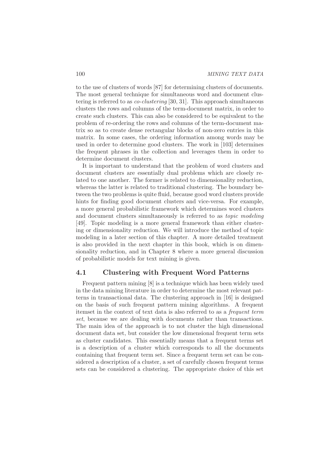to the use of clusters of words [87] for determining clusters of documents. The most general technique for simultaneous word and document clustering is referred to as *co-clustering* [30, 31]. This approach simultaneous clusters the rows and columns of the term-document matrix, in order to create such clusters. This can also be considered to be equivalent to the problem of re-ordering the rows and columns of the term-document matrix so as to create dense rectangular blocks of non-zero entries in this matrix. In some cases, the ordering information among words may be used in order to determine good clusters. The work in [103] determines the frequent phrases in the collection and leverages them in order to determine document clusters.

It is important to understand that the problem of word clusters and document clusters are essentially dual problems which are closely related to one another. The former is related to dimensionality reduction, whereas the latter is related to traditional clustering. The boundary between the two problems is quite fluid, because good word clusters provide hints for finding good document clusters and vice-versa. For example, a more general probabilistic framework which determines word clusters and document clusters simultaneously is referred to as *topic modeling* [49]. Topic modeling is a more general framework than either clustering or dimensionality reduction. We will introduce the method of topic modeling in a later section of this chapter. A more detailed treatment is also provided in the next chapter in this book, which is on dimensionality reduction, and in Chapter 8 where a more general discussion of probabilistic models for text mining is given.

#### **4.1 Clustering with Frequent Word Patterns**

Frequent pattern mining [8] is a technique which has been widely used in the data mining literature in order to determine the most relevant patterns in transactional data. The clustering approach in [16] is designed on the basis of such frequent pattern mining algorithms. A frequent itemset in the context of text data is also referred to as a *frequent term set*, because we are dealing with documents rather than transactions. The main idea of the approach is to not cluster the high dimensional document data set, but consider the low dimensional frequent term sets as cluster candidates. This essentially means that a frequent terms set is a description of a cluster which corresponds to all the documents containing that frequent term set. Since a frequent term set can be considered a description of a cluster, a set of carefully chosen frequent terms sets can be considered a clustering. The appropriate choice of this set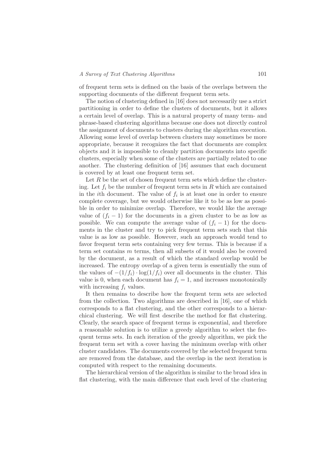#### *A Survey of Text Clustering Algorithms* 101

of frequent term sets is defined on the basis of the overlaps between the supporting documents of the different frequent term sets.

The notion of clustering defined in [16] does not necessarily use a strict partitioning in order to define the clusters of documents, but it allows a certain level of overlap. This is a natural property of many term- and phrase-based clustering algorithms because one does not directly control the assignment of documents to clusters during the algorithm execution. Allowing some level of overlap between clusters may sometimes be more appropriate, because it recognizes the fact that documents are complex objects and it is impossible to cleanly partition documents into specific clusters, especially when some of the clusters are partially related to one another. The clustering definition of [16] assumes that each document is covered by at least one frequent term set.

Let  $R$  be the set of chosen frequent term sets which define the clustering. Let  $f_i$  be the number of frequent term sets in R which are contained in the *i*th document. The value of  $f_i$  is at least one in order to ensure complete coverage, but we would otherwise like it to be as low as possible in order to minimize overlap. Therefore, we would like the average value of  $(f_i - 1)$  for the documents in a given cluster to be as low as possible. We can compute the average value of  $(f_i - 1)$  for the documents in the cluster and try to pick frequent term sets such that this value is as low as possible. However, such an approach would tend to favor frequent term sets containing very few terms. This is because if a term set contains m terms, then all subsets of it would also be covered by the document, as a result of which the standard overlap would be increased. The entropy overlap of a given term is essentially the sum of the values of  $-(1/f_i) \cdot \log(1/f_i)$  over all documents in the cluster. This value is 0, when each document has  $f_i = 1$ , and increases monotonically with increasing  $f_i$  values.

It then remains to describe how the frequent term sets are selected from the collection. Two algorithms are described in [16], one of which corresponds to a flat clustering, and the other corresponds to a hierarchical clustering. We will first describe the method for flat clustering. Clearly, the search space of frequent terms is exponential, and therefore a reasonable solution is to utilize a greedy algorithm to select the frequent terms sets. In each iteration of the greedy algorithm, we pick the frequent term set with a cover having the minimum overlap with other cluster candidates. The documents covered by the selected frequent term are removed from the database, and the overlap in the next iteration is computed with respect to the remaining documents.

The hierarchical version of the algorithm is similar to the broad idea in flat clustering, with the main difference that each level of the clustering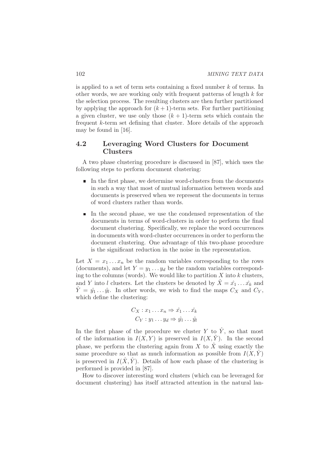is applied to a set of term sets containing a fixed number  $k$  of terms. In other words, we are working only with frequent patterns of length k for the selection process. The resulting clusters are then further partitioned by applying the approach for  $(k+1)$ -term sets. For further partitioning a given cluster, we use only those  $(k + 1)$ -term sets which contain the frequent k-term set defining that cluster. More details of the approach may be found in [16].

## **4.2 Leveraging Word Clusters for Document Clusters**

A two phase clustering procedure is discussed in [87], which uses the following steps to perform document clustering:

- In the first phase, we determine word-clusters from the documents in such a way that most of mutual information between words and documents is preserved when we represent the documents in terms of word clusters rather than words.
- In the second phase, we use the condensed representation of the documents in terms of word-clusters in order to perform the final document clustering. Specifically, we replace the word occurrences in documents with word-cluster occurrences in order to perform the document clustering. One advantage of this two-phase procedure is the significant reduction in the noise in the representation.

Let  $X = x_1 \dots x_n$  be the random variables corresponding to the rows (documents), and let  $Y = y_1 \dots y_d$  be the random variables corresponding to the columns (words). We would like to partition  $X$  into  $k$  clusters, and Y into l clusters. Let the clusters be denoted by  $\hat{X} = \hat{x}_1 \dots \hat{x}_k$  and  $\hat{Y} = \hat{y}_1 \dots \hat{y}_l$ . In other words, we wish to find the maps  $C_X$  and  $C_Y$ , which define the clustering:

$$
C_X: x_1 \dots x_n \Rightarrow \hat{x_1} \dots \hat{x_k}
$$
  

$$
C_Y: y_1 \dots y_d \Rightarrow \hat{y_1} \dots \hat{y_l}
$$

In the first phase of the procedure we cluster Y to  $\hat{Y}$ , so that most of the information in  $I(X, Y)$  is preserved in  $I(X, \hat{Y})$ . In the second phase, we perform the clustering again from X to  $\hat{X}$  using exactly the same procedure so that as much information as possible from  $I(X, \hat{Y})$ is preserved in  $I(\hat{X}, \hat{Y})$ . Details of how each phase of the clustering is performed is provided in [87].

How to discover interesting word clusters (which can be leveraged for document clustering) has itself attracted attention in the natural lan-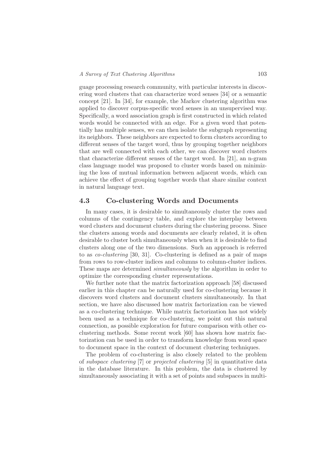guage processing research community, with particular interests in discovering word clusters that can characterize word senses [34] or a semantic concept [21]. In [34], for example, the Markov clustering algorithm was applied to discover corpus-specific word senses in an unsupervised way. Specifically, a word association graph is first constructed in which related words would be connected with an edge. For a given word that potentially has multiple senses, we can then isolate the subgraph representing its neighbors. These neighbors are expected to form clusters according to different senses of the target word, thus by grouping together neighbors that are well connected with each other, we can discover word clusters that characterize different senses of the target word. In [21], an n-gram class language model was proposed to cluster words based on minimizing the loss of mutual information between adjacent words, which can achieve the effect of grouping together words that share similar context in natural language text.

## **4.3 Co-clustering Words and Documents**

In many cases, it is desirable to simultaneously cluster the rows and columns of the contingency table, and explore the interplay between word clusters and document clusters during the clustering process. Since the clusters among words and documents are clearly related, it is often desirable to cluster both simultaneously when when it is desirable to find clusters along one of the two dimensions. Such an approach is referred to as *co-clustering* [30, 31]. Co-clustering is defined as a pair of maps from rows to row-cluster indices and columns to column-cluster indices. These maps are determined *simultaneously* by the algorithm in order to optimize the corresponding cluster representations.

We further note that the matrix factorization approach [58] discussed earlier in this chapter can be naturally used for co-clustering because it discovers word clusters and document clusters simultaneously. In that section, we have also discussed how matrix factorization can be viewed as a co-clustering technique. While matrix factorization has not widely been used as a technique for co-clustering, we point out this natural connection, as possible exploration for future comparison with other coclustering methods. Some recent work [60] has shown how matrix factorization can be used in order to transform knowledge from word space to document space in the context of document clustering techniques.

The problem of co-clustering is also closely related to the problem of *subspace clustering* [7] or *projected clustering* [5] in quantitative data in the database literature. In this problem, the data is clustered by simultaneously associating it with a set of points and subspaces in multi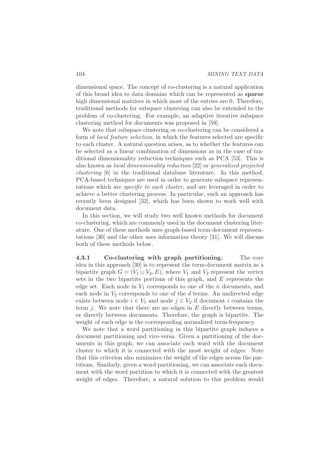dimensional space. The concept of co-clustering is a natural application of this broad idea to data domains which can be represented as **sparse** high dimensional matrices in which most of the entries are 0. Therefore, traditional methods for subspace clustering can also be extended to the problem of co-clustering. For example, an adaptive iterative subspace clustering method for documents was proposed in [59].

We note that subspace clustering or co-clustering can be considered a form of *local feature selection*, in which the features selected are specific to each cluster. A natural question arises, as to whether the features can be selected as a linear combination of dimensions as in the case of traditional dimensionality reduction techniques such as PCA [53]. This is also known as *local dimensionality reduction* [22] or *generalized projected clustering* [6] in the traditional database literature. In this method, PCA-based techniques are used in order to generate subspace representations which are *specific to each cluster*, and are leveraged in order to achieve a better clustering process. In particular, such an approach has recently been designed [32], which has been shown to work well with document data.

In this section, we will study two well known methods for document co-clustering, which are commonly used in the document clustering literature. One of these methods uses graph-based term-document representations [30] and the other uses information theory [31]. We will discuss both of these methods below.

**4.3.1 Co-clustering with graph partitioning.** The core idea in this approach [30] is to represent the term-document matrix as a bipartite graph  $G = (V_1 \cup V_2, E)$ , where  $V_1$  and  $V_2$  represent the vertex sets in the two bipartite portions of this graph, and  $E$  represents the edge set. Each node in  $V_1$  corresponds to one of the *n* documents, and each node in  $V_2$  corresponds to one of the  $d$  terms. An undirected edge exists between node  $i \in V_1$  and node  $j \in V_2$  if document i contains the term  $j$ . We note that there are no edges in  $E$  directly between terms, or directly between documents. Therefore, the graph is bipartite. The weight of each edge is the corresponding normalized term-frequency.

We note that a word partitioning in this bipartite graph induces a document partitioning and vice-versa. Given a partitioning of the documents in this graph, we can associate each word with the document cluster to which it is connected with the most weight of edges. Note that this criterion also minimizes the weight of the edges across the partitions. Similarly, given a word partitioning, we can associate each document with the word partition to which it is connected with the greatest weight of edges. Therefore, a natural solution to this problem would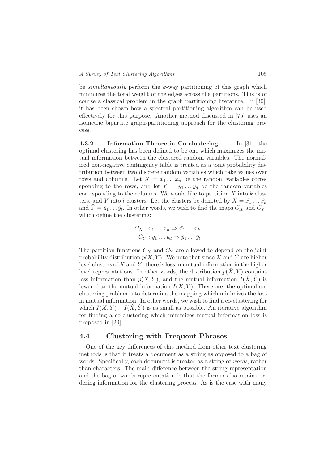be *simultaneously* perform the k-way partitioning of this graph which minimizes the total weight of the edges across the partitions. This is of course a classical problem in the graph partitioning literature. In [30], it has been shown how a spectral partitioning algorithm can be used effectively for this purpose. Another method discussed in [75] uses an isometric bipartite graph-partitioning approach for the clustering process.

**4.3.2 Information-Theoretic Co-clustering.** In [31], the optimal clustering has been defined to be one which maximizes the mutual information between the clustered random variables. The normalized non-negative contingency table is treated as a joint probability distribution between two discrete random variables which take values over rows and columns. Let  $X = x_1 \dots x_n$  be the random variables corresponding to the rows, and let  $Y = y_1 \dots y_d$  be the random variables corresponding to the columns. We would like to partition  $X$  into  $k$  clusters, and Y into l clusters. Let the clusters be denoted by  $\hat{X} = \hat{x_1} \dots \hat{x_k}$ and  $\hat{Y} = \hat{y_1} \dots \hat{y_l}$ . In other words, we wish to find the maps  $C_X$  and  $C_Y$ , which define the clustering:

$$
C_X: x_1 \dots x_n \Rightarrow \hat{x_1} \dots \hat{x_k}
$$
  

$$
C_Y: y_1 \dots y_d \Rightarrow \hat{y_1} \dots \hat{y_l}
$$

The partition functions  $C_X$  and  $C_Y$  are allowed to depend on the joint probability distribution  $p(X, Y)$ . We note that since  $\hat{X}$  and  $\hat{Y}$  are higher level clusters of  $X$  and  $Y$ , there is loss in mutual information in the higher level representations. In other words, the distribution  $p(X, Y)$  contains less information than  $p(X, Y)$ , and the mutual information  $I(\hat{X}, \hat{Y})$  is lower than the mutual information  $I(X, Y)$ . Therefore, the optimal coclustering problem is to determine the mapping which minimizes the loss in mutual information. In other words, we wish to find a co-clustering for which  $I(X, Y) - I(X, \hat{Y})$  is as small as possible. An iterative algorithm for finding a co-clustering which minimizes mutual information loss is proposed in [29].

## **4.4 Clustering with Frequent Phrases**

One of the key differences of this method from other text clustering methods is that it treats a document as a string as opposed to a bag of words. Specifically, each document is treated as a string of *words*, rather than characters. The main difference between the string representation and the bag-of-words representation is that the former also retains ordering information for the clustering process. As is the case with many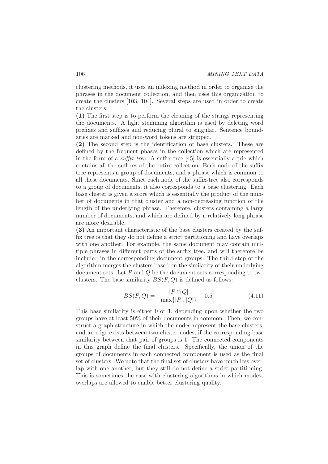clustering methods, it uses an indexing method in order to organize the phrases in the document collection, and then uses this organization to create the clusters [103, 104]. Several steps are used in order to create the clusters:

**(1)** The first step is to perform the cleaning of the strings representing the documents. A light stemming algorithm is used by deleting word prefixes and suffixes and reducing plural to singular. Sentence boundaries are marked and non-word tokens are stripped.

**(2)** The second step is the identification of base clusters. These are defined by the frequent phases in the collection which are represented in the form of a *suffix tree*. A suffix tree [45] is essentially a trie which contains all the suffixes of the entire collection. Each node of the suffix tree represents a group of documents, and a phrase which is common to all these documents. Since each node of the suffix-tree also corresponds to a group of documents, it also corresponds to a base clustering. Each base cluster is given a score which is essentially the product of the number of documents in that cluster and a non-decreasing function of the length of the underlying phrase. Therefore, clusters containing a large number of documents, and which are defined by a relatively long phrase are more desirable.

**(3)** An important characteristic of the base clusters created by the suffix tree is that they do not define a strict partitioning and have overlaps with one another. For example, the same document may contain multiple phrases in different parts of the suffix tree, and will therefore be included in the corresponding document groups. The third step of the algorithm merges the clusters based on the similarity of their underlying document sets. Let  $P$  and  $Q$  be the document sets corresponding to two clusters. The base similarity  $BS(P,Q)$  is defined as follows:

$$
BS(P,Q) = \left\lfloor \frac{|P \cap Q|}{\max\{|P|, |Q|\}} + 0.5 \right\rfloor \tag{4.11}
$$

This base similarity is either 0 or 1, depending upon whether the two groups have at least 50% of their documents in common. Then, we construct a graph structure in which the nodes represent the base clusters, and an edge exists between two cluster nodes, if the corresponding base similarity between that pair of groups is 1. The connected components in this graph define the final clusters. Specifically, the union of the groups of documents in each connected component is used as the final set of clusters. We note that the final set of clusters have much less overlap with one another, but they still do not define a strict partitioning. This is sometimes the case with clustering algorithms in which modest overlaps are allowed to enable better clustering quality.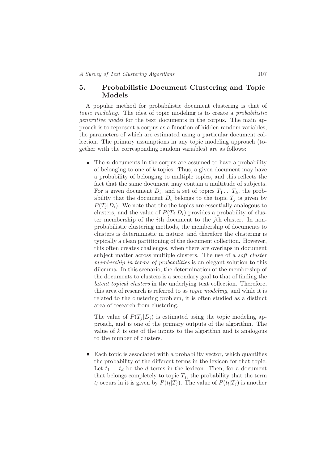## **5. Probabilistic Document Clustering and Topic Models**

A popular method for probabilistic document clustering is that of *topic modeling*. The idea of topic modeling is to create a *probabilistic generative model* for the text documents in the corpus. The main approach is to represent a corpus as a function of hidden random variables, the parameters of which are estimated using a particular document collection. The primary assumptions in any topic modeling approach (together with the corresponding random variables) are as follows:

The *n* documents in the corpus are assumed to have a probability  $\blacksquare$ of belonging to one of  $k$  topics. Thus, a given document may have a probability of belonging to multiple topics, and this reflects the fact that the same document may contain a multitude of subjects. For a given document  $D_i$ , and a set of topics  $T_1 \ldots T_k$ , the probability that the document  $D_i$  belongs to the topic  $T_j$  is given by  $P(T_i | D_i)$ . We note that the the topics are essentially analogous to clusters, and the value of  $P(T_i | D_i)$  provides a probability of cluster membership of the ith document to the jth cluster. In nonprobabilistic clustering methods, the membership of documents to clusters is deterministic in nature, and therefore the clustering is typically a clean partitioning of the document collection. However, this often creates challenges, when there are overlaps in document subject matter across multiple clusters. The use of a *soft cluster membership in terms of probabilities* is an elegant solution to this dilemma. In this scenario, the determination of the membership of the documents to clusters is a secondary goal to that of finding the *latent topical clusters* in the underlying text collection. Therefore, this area of research is referred to as *topic modeling*, and while it is related to the clustering problem, it is often studied as a distinct area of research from clustering.

The value of  $P(T_i | D_i)$  is estimated using the topic modeling approach, and is one of the primary outputs of the algorithm. The value of  $k$  is one of the inputs to the algorithm and is analogous to the number of clusters.

Each topic is associated with a probability vector, which quantifies the probability of the different terms in the lexicon for that topic. Let  $t_1 \ldots t_d$  be the d terms in the lexicon. Then, for a document that belongs completely to topic  $T_j$ , the probability that the term  $t_l$  occurs in it is given by  $P(t_l|T_i)$ . The value of  $P(t_l|T_i)$  is another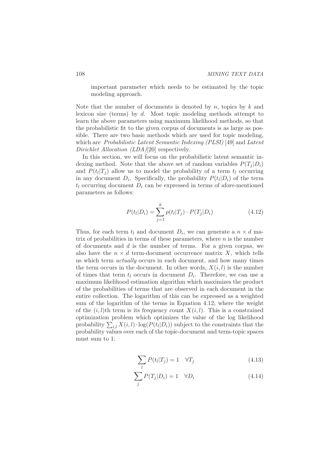important parameter which needs to be estimated by the topic modeling approach.

Note that the number of documents is denoted by  $n$ , topics by  $k$  and lexicon size (terms) by d. Most topic modeling methods attempt to learn the above parameters using maximum likelihood methods, so that the probabilistic fit to the given corpus of documents is as large as possible. There are two basic methods which are used for topic modeling, which are *Probabilistic Latent Semantic Indexing (PLSI)* [49] and *Latent Dirichlet Allocation (LDA)*[20] respectively.

In this section, we will focus on the probabilistic latent semantic indexing method. Note that the above set of random variables  $P(T_i | D_i)$ and  $P(t_l|T_i)$  allow us to model the probability of a term  $t_l$  occurring in any document  $D_i$ . Specifically, the probability  $P(t_l|D_i)$  of the term  $t_l$  occurring document  $D_i$  can be expressed in terms of afore-mentioned parameters as follows:

$$
P(t_l|D_i) = \sum_{j=1}^{k} p(t_l|T_j) \cdot P(T_j|D_i)
$$
\n(4.12)

Thus, for each term  $t_l$  and document  $D_i$ , we can generate a  $n \times d$  matrix of probabilities in terms of these parameters, where  $n$  is the number of documents and d is the number of terms. For a given corpus, we also have the  $n \times d$  term-document occurrence matrix X, which tells us which term *actually* occurs in each document, and how many times the term occurs in the document. In other words,  $X(i, l)$  is the number of times that term  $t_l$  occurs in document  $D_i$ . Therefore, we can use a maximum likelihood estimation algorithm which maximizes the product of the probabilities of terms that are observed in each document in the entire collection. The logarithm of this can be expressed as a weighted sum of the logarithm of the terms in Equation 4.12, where the weight of the  $(i, l)$ th term is its frequency count  $X(i, l)$ . This is a constrained optimization problem which optimizes the value of the log likelihood probability  $\sum_{i,l} X(i, l) \cdot \log(P(t_l|D_i))$  subject to the constraints that the probability values over each of the topic-document and term-topic spaces must sum to 1:

$$
\sum_{l} P(t_l | T_j) = 1 \quad \forall T_j \tag{4.13}
$$

$$
\sum_{j} P(T_j | D_i) = 1 \quad \forall D_i \tag{4.14}
$$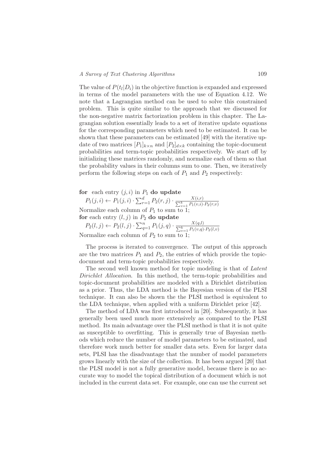The value of  $P(t_l|D_i)$  in the objective function is expanded and expressed in terms of the model parameters with the use of Equation 4.12. We note that a Lagrangian method can be used to solve this constrained problem. This is quite similar to the approach that we discussed for the non-negative matrix factorization problem in this chapter. The Lagrangian solution essentially leads to a set of iterative update equations for the corresponding parameters which need to be estimated. It can be shown that these parameters can be estimated [49] with the iterative update of two matrices  $[P_1]_{k\times n}$  and  $[P_2]_{d\times k}$  containing the topic-document probabilities and term-topic probabilities respectively. We start off by initializing these matrices randomly, and normalize each of them so that the probability values in their columns sum to one. Then, we iteratively perform the following steps on each of  $P_1$  and  $P_2$  respectively:

**for** each entry  $(j, i)$  in  $P_1$  **do update** 

 $P_1(j,i) \leftarrow P_1(j,i) \cdot \sum_{r=1}^d P_2(r,j) \cdot \frac{X(i,r)}{\sum_{v=1}^k P_1(v,i) \cdot P_2(r,v)}$ Normalize each column of  $P_1$  to sum to 1; **for** each entry  $(l, j)$  in  $P_2$  **do update** 

 $P_2(l,j) \leftarrow P_2(l,j) \cdot \sum_{q=1}^n P_1(j,q) \cdot \frac{X(q,l)}{\sum_{v=1}^k P_1(v,q) \cdot P_2(l,v)}$ Normalize each column of  $P_2$  to sum to 1;

The process is iterated to convergence. The output of this approach are the two matrices  $P_1$  and  $P_2$ , the entries of which provide the topicdocument and term-topic probabilities respectively.

The second well known method for topic modeling is that of *Latent Dirichlet Allocation*. In this method, the term-topic probabilities and topic-document probabilities are modeled with a Dirichlet distribution as a prior. Thus, the LDA method is the Bayesian version of the PLSI technique. It can also be shown the the PLSI method is equivalent to the LDA technique, when applied with a uniform Dirichlet prior [42].

The method of LDA was first introduced in [20]. Subsequently, it has generally been used much more extensively as compared to the PLSI method. Its main advantage over the PLSI method is that it is not quite as susceptible to overfitting. This is generally true of Bayesian methods which reduce the number of model parameters to be estimated, and therefore work much better for smaller data sets. Even for larger data sets, PLSI has the disadvantage that the number of model parameters grows linearly with the size of the collection. It has been argued [20] that the PLSI model is not a fully generative model, because there is no accurate way to model the topical distribution of a document which is not included in the current data set. For example, one can use the current set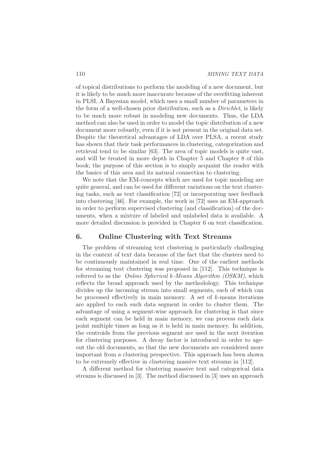of topical distributions to perform the modeling of a new document, but it is likely to be much more inaccurate because of the overfitting inherent in PLSI. A Bayesian model, which uses a small number of parameters in the form of a well-chosen prior distribution, such as a *Dirichlet*, is likely to be much more robust in modeling new documents. Thus, the LDA method can also be used in order to model the topic distribution of a new document more robustly, even if it is not present in the original data set. Despite the theoretical advantages of LDA over PLSA, a recent study has shown that their task performances in clustering, categorization and retrieval tend to be similar [63]. The area of topic models is quite vast, and will be treated in more depth in Chapter 5 and Chapter 8 of this book; the purpose of this section is to simply acquaint the reader with the basics of this area and its natural connection to clustering.

We note that the EM-concepts which are used for topic modeling are quite general, and can be used for different variations on the text clustering tasks, such as text classification [72] or incorporating user feedback into clustering [46]. For example, the work in [72] uses an EM-approach in order to perform supervised clustering (and classification) of the documents, when a mixture of labeled and unlabeled data is available. A more detailed discussion is provided in Chapter 6 on text classification.

## **6. Online Clustering with Text Streams**

The problem of streaming text clustering is particularly challenging in the context of text data because of the fact that the clusters need to be continuously maintained in real time. One of the earliest methods for streaming text clustering was proposed in [112]. This technique is referred to as the *Online Spherical* k*-Means Algorithm (OSKM)*, which reflects the broad approach used by the methodology. This technique divides up the incoming stream into small segments, each of which can be processed effectively in main memory. A set of  $k$ -means iterations are applied to each such data segment in order to cluster them. The advantage of using a segment-wise approach for clustering is that since each segment can be held in main memory, we can process each data point multiple times as long as it is held in main memory. In addition, the centroids from the previous segment are used in the next iteration for clustering purposes. A decay factor is introduced in order to ageout the old documents, so that the new documents are considered more important from a clustering perspective. This approach has been shown to be extremely effective in clustering massive text streams in [112].

A different method for clustering massive text and categorical data streams is discussed in [3]. The method discussed in [3] uses an approach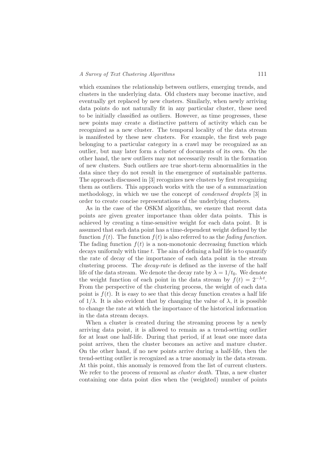which examines the relationship between outliers, emerging trends, and clusters in the underlying data. Old clusters may become inactive, and eventually get replaced by new clusters. Similarly, when newly arriving data points do not naturally fit in any particular cluster, these need to be initially classified as outliers. However, as time progresses, these new points may create a distinctive pattern of activity which can be recognized as a new cluster. The temporal locality of the data stream is manifested by these new clusters. For example, the first web page belonging to a particular category in a crawl may be recognized as an outlier, but may later form a cluster of documents of its own. On the other hand, the new outliers may not necessarily result in the formation of new clusters. Such outliers are true short-term abnormalities in the data since they do not result in the emergence of sustainable patterns. The approach discussed in [3] recognizes new clusters by first recognizing them as outliers. This approach works with the use of a summarization methodology, in which we use the concept of *condensed droplets* [3] in order to create concise representations of the underlying clusters.

As in the case of the OSKM algorithm, we ensure that recent data points are given greater importance than older data points. This is achieved by creating a time-sensitive weight for each data point. It is assumed that each data point has a time-dependent weight defined by the function  $f(t)$ . The function  $f(t)$  is also referred to as the *fading function*. The fading function  $f(t)$  is a non-monotonic decreasing function which decays uniformly with time  $t$ . The aim of defining a half life is to quantify the rate of decay of the importance of each data point in the stream clustering process. The *decay-rate* is defined as the inverse of the half life of the data stream. We denote the decay rate by  $\lambda = 1/t_0$ . We denote the weight function of each point in the data stream by  $f(t)=2^{-\lambda t}$ . From the perspective of the clustering process, the weight of each data point is  $f(t)$ . It is easy to see that this decay function creates a half life of  $1/\lambda$ . It is also evident that by changing the value of  $\lambda$ , it is possible to change the rate at which the importance of the historical information in the data stream decays.

When a cluster is created during the streaming process by a newly arriving data point, it is allowed to remain as a trend-setting outlier for at least one half-life. During that period, if at least one more data point arrives, then the cluster becomes an active and mature cluster. On the other hand, if no new points arrive during a half-life, then the trend-setting outlier is recognized as a true anomaly in the data stream. At this point, this anomaly is removed from the list of current clusters. We refer to the process of removal as *cluster death*. Thus, a new cluster containing one data point dies when the (weighted) number of points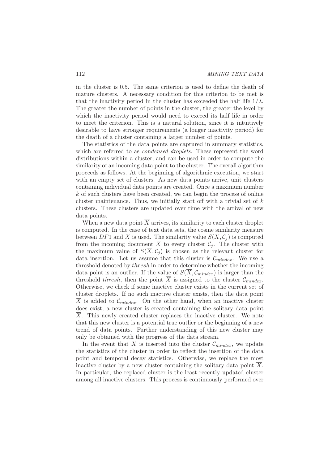in the cluster is 0.5. The same criterion is used to define the death of mature clusters. A necessary condition for this criterion to be met is that the inactivity period in the cluster has exceeded the half life  $1/\lambda$ . The greater the number of points in the cluster, the greater the level by which the inactivity period would need to exceed its half life in order to meet the criterion. This is a natural solution, since it is intuitively desirable to have stronger requirements (a longer inactivity period) for the death of a cluster containing a larger number of points.

The statistics of the data points are captured in summary statistics, which are referred to as *condensed droplets*. These represent the word distributions within a cluster, and can be used in order to compute the similarity of an incoming data point to the cluster. The overall algorithm proceeds as follows. At the beginning of algorithmic execution, we start with an empty set of clusters. As new data points arrive, unit clusters containing individual data points are created. Once a maximum number k of such clusters have been created, we can begin the process of online cluster maintenance. Thus, we initially start off with a trivial set of  $k$ clusters. These clusters are updated over time with the arrival of new data points.

When a new data point  $X$  arrives, its similarity to each cluster droplet is computed. In the case of text data sets, the cosine similarity measure between  $\overline{DF1}$  and  $\overline{X}$  is used. The similarity value  $S(\overline{X}, \mathcal{C}_i)$  is computed from the incoming document  $\overline{X}$  to every cluster  $\mathcal{C}_i$ . The cluster with the maximum value of  $S(X, \mathcal{C}_i)$  is chosen as the relevant cluster for data insertion. Let us assume that this cluster is  $\mathcal{C}_{mindex}$ . We use a threshold denoted by thresh in order to determine whether the incoming data point is an outlier. If the value of  $S(\overline{X}, \mathcal{C}_{mindex})$  is larger than the threshold thresh, then the point  $\overline{X}$  is assigned to the cluster  $\mathcal{C}_{mindex}$ . Otherwise, we check if some inactive cluster exists in the current set of cluster droplets. If no such inactive cluster exists, then the data point X is added to  $\mathcal{C}_{mindex}$ . On the other hand, when an inactive cluster does exist, a new cluster is created containing the solitary data point X. This newly created cluster replaces the inactive cluster. We note that this new cluster is a potential true outlier or the beginning of a new trend of data points. Further understanding of this new cluster may only be obtained with the progress of the data stream.

In the event that  $\overline{X}$  is inserted into the cluster  $\mathcal{C}_{mindex}$ , we update the statistics of the cluster in order to reflect the insertion of the data point and temporal decay statistics. Otherwise, we replace the most inactive cluster by a new cluster containing the solitary data point  $X$ . In particular, the replaced cluster is the least recently updated cluster among all inactive clusters. This process is continuously performed over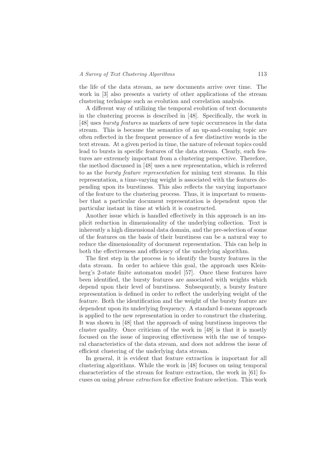the life of the data stream, as new documents arrive over time. The work in [3] also presents a variety of other applications of the stream clustering technique such as evolution and correlation analysis.

A different way of utilizing the temporal evolution of text documents in the clustering process is described in [48]. Specifically, the work in [48] uses *bursty features* as markers of new topic occurrences in the data stream. This is because the semantics of an up-and-coming topic are often reflected in the frequent presence of a few distinctive words in the text stream. At a given period in time, the nature of relevant topics could lead to bursts in specific features of the data stream. Clearly, such features are extremely important from a clustering perspective. Therefore, the method discussed in [48] uses a new representation, which is referred to as the *bursty feature representation* for mining text streams. In this representation, a time-varying weight is associated with the features depending upon its burstiness. This also reflects the varying importance of the feature to the clustering process. Thus, it is important to remember that a particular document representation is dependent upon the particular instant in time at which it is constructed.

Another issue which is handled effectively in this approach is an implicit reduction in dimensionality of the underlying collection. Text is inherently a high dimensional data domain, and the pre-selection of some of the features on the basis of their burstiness can be a natural way to reduce the dimensionality of document representation. This can help in both the effectiveness and efficiency of the underlying algorithm.

The first step in the process is to identify the bursty features in the data stream. In order to achieve this goal, the approach uses Kleinberg's 2-state finite automaton model [57]. Once these features have been identified, the bursty features are associated with weights which depend upon their level of burstiness. Subsequently, a bursty feature representation is defined in order to reflect the underlying weight of the feature. Both the identification and the weight of the bursty feature are dependent upon its underlying frequency. A standard k-means approach is applied to the new representation in order to construct the clustering. It was shown in [48] that the approach of using burstiness improves the cluster quality. Once criticism of the work in [48] is that it is mostly focused on the issue of improving effectiveness with the use of temporal characteristics of the data stream, and does not address the issue of efficient clustering of the underlying data stream.

In general, it is evident that feature extraction is important for all clustering algorithms. While the work in [48] focuses on using temporal characteristics of the stream for feature extraction, the work in [61] focuses on using *phrase extraction* for effective feature selection. This work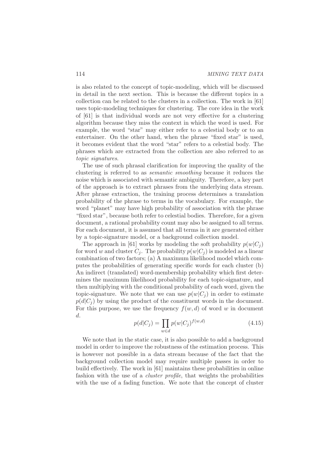is also related to the concept of topic-modeling, which will be discussed in detail in the next section. This is because the different topics in a collection can be related to the clusters in a collection. The work in [61] uses topic-modeling techniques for clustering. The core idea in the work of [61] is that individual words are not very effective for a clustering algorithm because they miss the context in which the word is used. For example, the word "star" may either refer to a celestial body or to an entertainer. On the other hand, when the phrase "fixed star" is used, it becomes evident that the word "star" refers to a celestial body. The phrases which are extracted from the collection are also referred to as *topic signatures*.

The use of such phrasal clarification for improving the quality of the clustering is referred to as *semantic smoothing* because it reduces the noise which is associated with semantic ambiguity. Therefore, a key part of the approach is to extract phrases from the underlying data stream. After phrase extraction, the training process determines a translation probability of the phrase to terms in the vocabulary. For example, the word "planet" may have high probability of association with the phrase "fixed star", because both refer to celestial bodies. Therefore, for a given document, a rational probability count may also be assigned to all terms. For each document, it is assumed that all terms in it are generated either by a topic-signature model, or a background collection model.

The approach in [61] works by modeling the soft probability  $p(w|C_i)$ for word w and cluster  $C_i$ . The probability  $p(w|C_i)$  is modeled as a linear combination of two factors; (a) A maximum likelihood model which computes the probabilities of generating specific words for each cluster (b) An indirect (translated) word-membership probability which first determines the maximum likelihood probability for each topic-signature, and then multiplying with the conditional probability of each word, given the topic-signature. We note that we can use  $p(w|C_i)$  in order to estimate  $p(d|C_i)$  by using the product of the constituent words in the document. For this purpose, we use the frequency  $f(w, d)$  of word w in document d.

$$
p(d|C_j) = \prod_{w \in d} p(w|C_j)^{f(w,d)}
$$
\n(4.15)

We note that in the static case, it is also possible to add a background model in order to improve the robustness of the estimation process. This is however not possible in a data stream because of the fact that the background collection model may require multiple passes in order to build effectively. The work in [61] maintains these probabilities in online fashion with the use of a *cluster profile*, that weights the probabilities with the use of a fading function. We note that the concept of cluster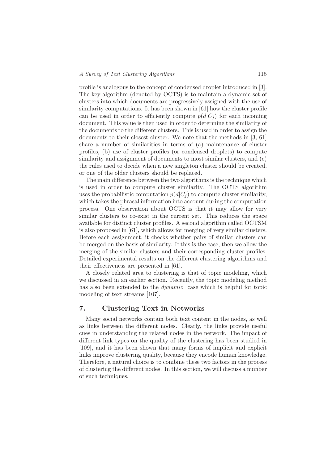profile is analogous to the concept of condensed droplet introduced in [3]. The key algorithm (denoted by OCTS) is to maintain a dynamic set of clusters into which documents are progressively assigned with the use of similarity computations. It has been shown in [61] how the cluster profile can be used in order to efficiently compute  $p(d|C_i)$  for each incoming document. This value is then used in order to determine the similarity of the documents to the different clusters. This is used in order to assign the documents to their closest cluster. We note that the methods in [3, 61] share a number of similarities in terms of (a) maintenance of cluster profiles, (b) use of cluster profiles (or condensed droplets) to compute similarity and assignment of documents to most similar clusters, and (c) the rules used to decide when a new singleton cluster should be created, or one of the older clusters should be replaced.

The main difference between the two algorithms is the technique which is used in order to compute cluster similarity. The OCTS algorithm uses the probabilistic computation  $p(d|C_j)$  to compute cluster similarity, which takes the phrasal information into account during the computation process. One observation about OCTS is that it may allow for very similar clusters to co-exist in the current set. This reduces the space available for distinct cluster profiles. A second algorithm called OCTSM is also proposed in [61], which allows for merging of very similar clusters. Before each assignment, it checks whether pairs of similar clusters can be merged on the basis of similarity. If this is the case, then we allow the merging of the similar clusters and their corresponding cluster profiles. Detailed experimental results on the different clustering algorithms and their effectiveness are presented in [61].

A closely related area to clustering is that of topic modeling, which we discussed in an earlier section. Recently, the topic modeling method has also been extended to the *dynamic* case which is helpful for topic modeling of text streams [107].

## **7. Clustering Text in Networks**

Many social networks contain both text content in the nodes, as well as links between the different nodes. Clearly, the links provide useful cues in understanding the related nodes in the network. The impact of different link types on the quality of the clustering has been studied in [109], and it has been shown that many forms of implicit and explicit links improve clustering quality, because they encode human knowledge. Therefore, a natural choice is to combine these two factors in the process of clustering the different nodes. In this section, we will discuss a number of such techniques.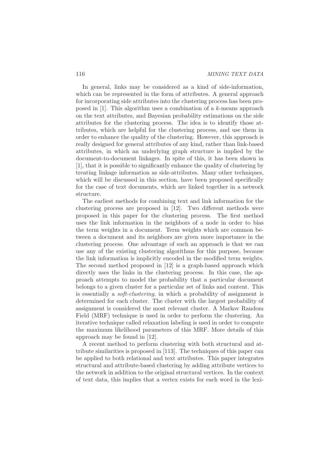In general, links may be considered as a kind of side-information, which can be represented in the form of attributes. A general approach for incorporating side attributes into the clustering process has been proposed in [1]. This algorithm uses a combination of a k-means approach on the text attributes, and Bayesian probability estimations on the side attributes for the clustering process. The idea is to identify those attributes, which are helpful for the clustering process, and use them in order to enhance the quality of the clustering. However, this approach is really designed for general attributes of any kind, rather than link-based attributes, in which an underlying graph structure is implied by the document-to-document linkages. In spite of this, it has been shown in [1], that it is possible to significantly enhance the quality of clustering by treating linkage information as side-attributes. Many other techniques, which will be discussed in this section, have been proposed specifically for the case of text documents, which are linked together in a network structure.

The earliest methods for combining text and link information for the clustering process are proposed in [12]. Two different methods were proposed in this paper for the clustering process. The first method uses the link information in the neighbors of a node in order to bias the term weights in a document. Term weights which are common between a document and its neighbors are given more importance in the clustering process. One advantage of such an approach is that we can use any of the existing clustering algorithms for this purpose, because the link information is implicitly encoded in the modified term weights. The second method proposed in [12] is a graph-based approach which directly uses the links in the clustering process. In this case, the approach attempts to model the probability that a particular document belongs to a given cluster for a particular set of links and content. This is essentially a *soft-clustering*, in which a probability of assignment is determined for each cluster. The cluster with the largest probability of assignment is considered the most relevant cluster. A Markov Random Field (MRF) technique is used in order to perform the clustering. An iterative technique called relaxation labeling is used in order to compute the maximum likelihood parameters of this MRF. More details of this approach may be found in [12].

A recent method to perform clustering with both structural and attribute similarities is proposed in [113]. The techniques of this paper can be applied to both relational and text attributes. This paper integrates structural and attribute-based clustering by adding attribute vertices to the network in addition to the original structural vertices. In the context of text data, this implies that a vertex exists for each word in the lexi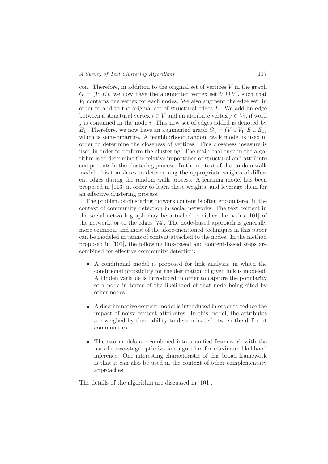con. Therefore, in addition to the original set of vertices  $V$  in the graph  $G = (V, E)$ , we now have the augmented vertex set  $V \cup V_1$ , such that  $V_1$  contains one vertex for each nodes. We also augment the edge set, in order to add to the original set of structural edges E. We add an edge between a structural vertex  $i \in V$  and an attribute vertex  $j \in V_1$ , if word  $j$  is contained in the node  $i$ . This new set of edges added is denoted by E<sub>1</sub>. Therefore, we now have an augmented graph  $G_1 = (V \cup V_1, E \cup E_1)$ which is semi-bipartite. A neighborhood random walk model is used in order to determine the closeness of vertices. This closeness measure is used in order to perform the clustering. The main challenge in the algorithm is to determine the relative importance of structural and attribute components in the clustering process. In the context of the random walk model, this translates to determining the appropriate weights of different edges during the random walk process. A learning model has been proposed in [113] in order to learn these weights, and leverage them for an effective clustering process.

The problem of clustering network content is often encountered in the context of community detection in social networks. The text content in the social network graph may be attached to either the nodes [101] of the network, or to the edges [74]. The node-based approach is generally more common, and most of the afore-mentioned techniques in this paper can be modeled in terms of content attached to the nodes. In the method proposed in [101], the following link-based and content-based steps are combined for effective community detection:

- A conditional model is proposed for link analysis, in which the conditional probability for the destination of given link is modeled. A hidden variable is introduced in order to capture the popularity of a node in terms of the likelihood of that node being cited by other nodes.
- A discriminative content model is introduced in order to reduce the impact of noisy content attributes. In this model, the attributes are weighed by their ability to discriminate between the different communities.
- The two models are combined into a unified framework with the use of a two-stage optimization algorithm for maximum likelihood inference. One interesting characteristic of this broad framework is that it can also be used in the context of other complementary approaches.

The details of the algorithm are discussed in [101].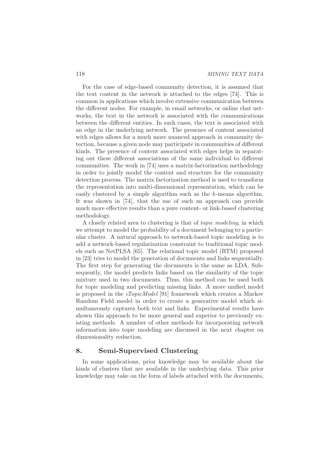For the case of edge-based community detection, it is assumed that the text content in the network is attached to the edges [74]. This is common in applications which involve extensive communication between the different nodes. For example, in email networks, or online chat networks, the text in the network is associated with the communications between the different entities. In such cases, the text is associated with an edge in the underlying network. The presence of content associated with edges allows for a much more nuanced approach in community detection, because a given node may participate in communities of different kinds. The presence of content associated with edges helps in separating out these different associations of the same individual to different communities. The work in [74] uses a matrix-factorization methodology in order to jointly model the content and structure for the community detection process. The matrix factorization method is used to transform the representation into multi-dimensional representation, which can be easily clustered by a simple algorithm such as the k-means algorithm. It was shown in [74], that the use of such an approach can provide much more effective results than a pure content- or link-based clustering methodology.

A closely related area to clustering is that of *topic modeling*, in which we attempt to model the probability of a document belonging to a particular cluster. A natural approach to network-based topic modeling is to add a network-based regularization constraint to traditional topic models such as NetPLSA [65]. The relational topic model (RTM) proposed in [23] tries to model the generation of documents and links sequentially. The first step for generating the documents is the same as LDA. Subsequently, the model predicts links based on the similarity of the topic mixture used in two documents. Thus, this method can be used both for topic modeling and predicting missing links. A more unified model is proposed in the *iTopicModel* [91] framework which creates a Markov Random Field model in order to create a generative model which simultaneously captures both text and links. Experimental results have shown this approach to be more general and superior to previously existing methods. A number of other methods for incorporating network information into topic modeling are discussed in the next chapter on dimensionality reduction.

## **8. Semi-Supervised Clustering**

In some applications, prior knowledge may be available about the kinds of clusters that are available in the underlying data. This prior knowledge may take on the form of labels attached with the documents,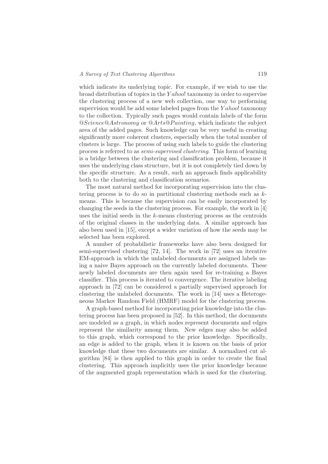which indicate its underlying topic. For example, if we wish to use the broad distribution of topics in the Y ahoo! taxonomy in order to supervise the clustering process of a new web collection, one way to performing supervision would be add some labeled pages from the  $Y *ahoo*!$  taxonomy to the collection. Typically such pages would contain labels of the form  $@Science@Astronomy$  or  $@Arts@Pairting$ , which indicate the subject area of the added pages. Such knowledge can be very useful in creating significantly more coherent clusters, especially when the total number of clusters is large. The process of using such labels to guide the clustering process is referred to as *semi-supervised clustering*. This form of learning is a bridge between the clustering and classification problem, because it uses the underlying class structure, but it is not completely tied down by the specific structure. As a result, such an approach finds applicability both to the clustering and classification scenarios.

The most natural method for incorporating supervision into the clustering process is to do so in partitional clustering methods such as kmeans. This is because the supervision can be easily incorporated by changing the seeds in the clustering process. For example, the work in [4] uses the initial seeds in the  $k$ -means clustering process as the centroids of the original classes in the underlying data. A similar approach has also been used in [15], except a wider variation of how the seeds may be selected has been explored.

A number of probabilistic frameworks have also been designed for semi-supervised clustering [72, 14]. The work in [72] uses an iterative EM-approach in which the unlabeled documents are assigned labels using a naive Bayes approach on the currently labeled documents. These newly labeled documents are then again used for re-training a Bayes classifier. This process is iterated to convergence. The iterative labeling approach in [72] can be considered a partially supervised approach for clustering the unlabeled documents. The work in [14] uses a Heterogeneous Markov Random Field (HMRF) model for the clustering process.

A graph-based method for incorporating prior knowledge into the clustering process has been proposed in [52]. In this method, the documents are modeled as a graph, in which nodes represent documents and edges represent the similarity among them. New edges may also be added to this graph, which correspond to the prior knowledge. Specifically, an edge is added to the graph, when it is known on the basis of prior knowledge that these two documents are similar. A normalized cut algorithm [84] is then applied to this graph in order to create the final clustering. This approach implicitly uses the prior knowledge because of the augmented graph representation which is used for the clustering.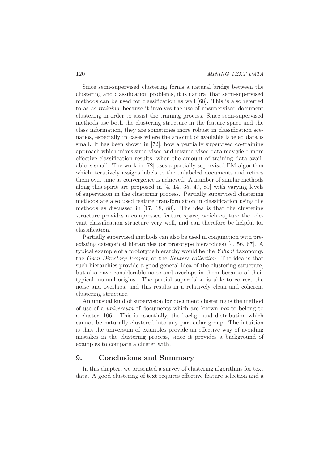Since semi-supervised clustering forms a natural bridge between the clustering and classification problems, it is natural that semi-supervised methods can be used for classification as well [68]. This is also referred to as *co-training*, because it involves the use of unsupervised document clustering in order to assist the training process. Since semi-supervised methods use both the clustering structure in the feature space and the class information, they are sometimes more robust in classification scenarios, especially in cases where the amount of available labeled data is small. It has been shown in [72], how a partially supervised co-training approach which mixes supervised and unsupervised data may yield more effective classification results, when the amount of training data available is small. The work in [72] uses a partially supervised EM-algorithm which iteratively assigns labels to the unlabeled documents and refines them over time as convergence is achieved. A number of similar methods along this spirit are proposed in [4, 14, 35, 47, 89] with varying levels of supervision in the clustering process. Partially supervised clustering methods are also used feature transformation in classification using the methods as discussed in [17, 18, 88]. The idea is that the clustering structure provides a compressed feature space, which capture the relevant classification structure very well, and can therefore be helpful for classification.

Partially supervised methods can also be used in conjunction with preexisting categorical hierarchies (or prototype hierarchies) [4, 56, 67]. A typical example of a prototype hierarchy would be the *Yahoo!* taxonomy, the *Open Directory Project*, or the *Reuters collection*. The idea is that such hierarchies provide a good general idea of the clustering structure, but also have considerable noise and overlaps in them because of their typical manual origins. The partial supervision is able to correct the noise and overlaps, and this results in a relatively clean and coherent clustering structure.

An unusual kind of supervision for document clustering is the method of use of a *universum* of documents which are known *not* to belong to a cluster [106]. This is essentially, the background distribution which cannot be naturally clustered into any particular group. The intuition is that the universum of examples provide an effective way of avoiding mistakes in the clustering process, since it provides a background of examples to compare a cluster with.

## **9. Conclusions and Summary**

In this chapter, we presented a survey of clustering algorithms for text data. A good clustering of text requires effective feature selection and a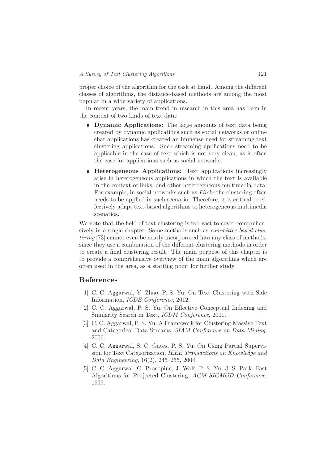proper choice of the algorithm for the task at hand. Among the different classes of algorithms, the distance-based methods are among the most popular in a wide variety of applications.

In recent years, the main trend in research in this area has been in the context of two kinds of text data:

- **Dynamic Applications:** The large amounts of text data being created by dynamic applications such as social networks or online chat applications has created an immense need for streaming text clustering applications. Such streaming applications need to be applicable in the case of text which is not very clean, as is often the case for applications such as social networks.
- **Heterogeneous Applications:** Text applications increasingly arise in heterogeneous applications in which the text is available in the context of links, and other heterogeneous multimedia data. For example, in social networks such as *Flickr* the clustering often needs to be applied in such scenario. Therefore, it is critical to effectively adapt text-based algorithms to heterogeneous multimedia scenarios.

We note that the field of text clustering is too vast to cover comprehensively in a single chapter. Some methods such as *committee-based clustering* [73] cannot even be neatly incorporated into any class of methods, since they use a combination of the different clustering methods in order to create a final clustering result. The main purpose of this chapter is to provide a comprehensive overview of the main algorithms which are often used in the area, as a starting point for further study.

## **References**

- [1] C. C. Aggarwal, Y. Zhao, P. S. Yu. On Text Clustering with Side Information, *ICDE Conference*, 2012.
- [2] C. C. Aggarwal, P. S. Yu. On Effective Conceptual Indexing and Similarity Search in Text, *ICDM Conference*, 2001.
- [3] C. C. Aggarwal, P. S. Yu. A Framework for Clustering Massive Text and Categorical Data Streams, *SIAM Conference on Data Mining*, 2006.
- [4] C. C. Aggarwal, S. C. Gates, P. S. Yu. On Using Partial Supervision for Text Categorization, *IEEE Transactions on Knowledge and Data Engineering*, 16(2), 245–255, 2004.
- [5] C. C. Aggarwal, C. Procopiuc, J. Wolf, P. S. Yu, J.-S. Park. Fast Algorithms for Projected Clustering, *ACM SIGMOD Conference*, 1999.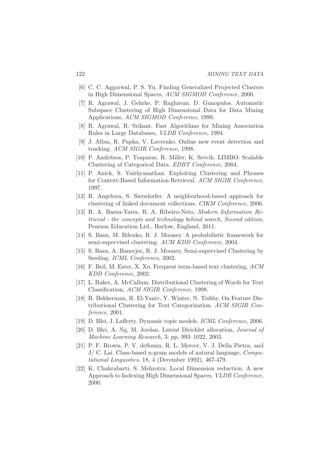- [6] C. C. Aggarwal, P. S. Yu. Finding Generalized Projected Clusters in High Dimensional Spaces, *ACM SIGMOD Conference*, 2000.
- [7] R. Agrawal, J. Gehrke, P. Raghavan. D. Gunopulos. Automatic Subspace Clustering of High Dimensional Data for Data Mining Applications, *ACM SIGMOD Conference*, 1999.
- [8] R. Agrawal, R. Srikant. Fast Algorithms for Mining Association Rules in Large Databases, *VLDB Conference*, 1994.
- [9] J. Allan, R. Papka, V. Lavrenko. Online new event detection and tracking. *ACM SIGIR Conference*, 1998.
- [10] P. Andritsos, P. Tsaparas, R. Miller, K. Sevcik. LIMBO: Scalable Clustering of Categorical Data. *EDBT Conference*, 2004.
- [11] P. Anick, S. Vaithyanathan. Exploiting Clustering and Phrases for Context-Based Information Retrieval. *ACM SIGIR Conference*, 1997.
- [12] R. Angelova, S. Siersdorfer. A neighborhood-based approach for clustering of linked document collections. *CIKM Conference*, 2006.
- [13] R. A. Baeza-Yates, B. A. Ribeiro-Neto, *Modern Information Retrieval - the concepts and technology behind search, Second edition*, Pearson Education Ltd., Harlow, England, 2011.
- [14] S. Basu, M. Bilenko, R. J. Mooney. A probabilistic framework for semi-supervised clustering. *ACM KDD Conference*, 2004.
- [15] S. Basu, A. Banerjee, R. J. Mooney. Semi-supervised Clustering by Seeding. *ICML Conference*, 2002.
- [16] F. Beil, M. Ester, X. Xu. Frequent term-based text clustering, *ACM KDD Conference*, 2002.
- [17] L. Baker, A. McCallum. Distributional Clustering of Words for Text Classification, *ACM SIGIR Conference*, 1998.
- [18] R. Bekkerman, R. El-Yaniv, Y. Winter, N. Tishby. On Feature Distributional Clustering for Text Categorization. *ACM SIGIR Conference*, 2001.
- [19] D. Blei, J. Lafferty. Dynamic topic models. *ICML Conference*, 2006.
- [20] D. Blei, A. Ng, M. Jordan. Latent Dirichlet allocation, *Journal of Machine Learning Research*, 3: pp. 993–1022, 2003.
- [21] P. F. Brown, P. V. deSouza, R. L. Mercer, V. J. Della Pietra, and J/ C. Lai. Class-based n-gram models of natural language, *Computational Linguistics*, 18, 4 (December 1992), 467-479.
- [22] K. Chakrabarti, S. Mehrotra. Local Dimension reduction: A new Approach to Indexing High Dimensional Spaces, *VLDB Conference*, 2000.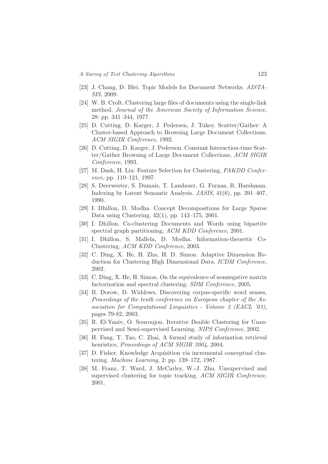- [23] J. Chang, D. Blei. Topic Models for Document Networks. *AISTA-SIS*, 2009.
- [24] W. B. Croft. Clustering large files of documents using the single-link method. *Journal of the American Society of Information Science*, 28: pp. 341–344, 1977.
- [25] D. Cutting, D. Karger, J. Pedersen, J. Tukey. Scatter/Gather: A Cluster-based Approach to Browsing Large Document Collections. *ACM SIGIR Conference*, 1992.
- [26] D. Cutting, D. Karger, J. Pederson. Constant Interaction-time Scatter/Gather Browsing of Large Document Collections, *ACM SIGIR Conference*, 1993.
- [27] M. Dash, H. Liu. Feature Selection for Clustering, *PAKDD Conference*, pp. 110–121, 1997.
- [28] S. Deerwester, S. Dumais, T. Landauer, G. Furnas, R. Harshman. Indexing by Latent Semantic Analysis. *JASIS*, 41(6), pp. 391–407, 1990.
- [29] I. Dhillon, D. Modha. Concept Decompositions for Large Sparse Data using Clustering, 42(1), pp. 143–175, 2001.
- [30] I. Dhillon. Co-clustering Documents and Words using bipartite spectral graph partitioning, *ACM KDD Conference*, 2001.
- [31] I. Dhillon, S. Mallela, D. Modha. Information-theoretic Co-Clustering, *ACM KDD Conference*, 2003.
- [32] C. Ding, X. He, H. Zha, H. D. Simon. Adaptive Dimension Reduction for Clustering High Dimensional Data, *ICDM Conference*, 2002.
- [33] C. Ding, X. He, H. Simon. On the equivalence of nonnegative matrix factorization and spectral clustering. *SDM Conference*, 2005.
- [34] B. Dorow, D. Widdows. Discovering corpus-specific word senses, *Proceedings of the tenth conference on European chapter of the Association for Computational Linguistics - Volume 2 (EACL '03)*, pages 79-82, 2003.
- [35] R. El-Yaniv, O. Souroujon. Iterative Double Clustering for Unsupervised and Semi-supervised Learning. *NIPS Conference*, 2002.
- [36] H. Fang, T. Tao, C. Zhai, A formal study of information retrieval heuristics, *Proceedings of ACM SIGIR 2004*, 2004.
- [37] D. Fisher. Knowledge Acquisition via incremental conceptual clustering. *Machine Learning*, 2: pp. 139–172, 1987.
- [38] M. Franz, T. Ward, J. McCarley, W.-J. Zhu. Unsupervised and supervised clustering for topic tracking. *ACM SIGIR Conference*, 2001.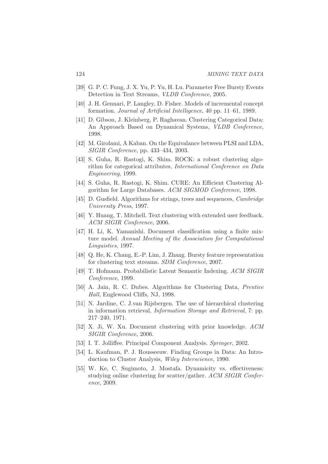- [39] G. P. C. Fung, J. X. Yu, P. Yu, H. Lu. Parameter Free Bursty Events Detection in Text Streams, *VLDB Conference*, 2005.
- [40] J. H. Gennari, P. Langley, D. Fisher. Models of incremental concept formation. *Journal of Artificial Intelligence*, 40 pp. 11–61, 1989.
- [41] D. Gibson, J. Kleinberg, P. Raghavan. Clustering Categorical Data: An Approach Based on Dynamical Systems, *VLDB Conference*, 1998.
- [42] M. Girolami, A Kaban. On the Equivalance between PLSI and LDA, *SIGIR Conference*, pp. 433–434, 2003.
- [43] S. Guha, R. Rastogi, K. Shim. ROCK: a robust clustering algorithm for categorical attributes, *International Conference on Data Engineering*, 1999.
- [44] S. Guha, R. Rastogi, K. Shim. CURE: An Efficient Clustering Algorithm for Large Databases. *ACM SIGMOD Conference*, 1998.
- [45] D. Gusfield. Algorithms for strings, trees and sequences, *Cambridge University Press*, 1997.
- [46] Y. Huang, T. Mitchell. Text clustering with extended user feedback. *ACM SIGIR Conference*, 2006.
- [47] H. Li, K. Yamanishi. Document classification using a finite mixture model. *Annual Meeting of the Association for Computational Linguistics*, 1997.
- [48] Q. He, K. Chang, E.-P. Lim, J. Zhang. Bursty feature representation for clustering text streams. *SDM Conference*, 2007.
- [49] T. Hofmann. Probabilistic Latent Semantic Indexing. *ACM SIGIR Conference*, 1999.
- [50] A. Jain, R. C. Dubes. Algorithms for Clustering Data, *Prentice Hall*, Englewood Cliffs, NJ, 1998.
- [51] N. Jardine, C. J.van Rijsbergen. The use of hierarchical clustering in information retrieval, *Information Storage and Retrieval*, 7: pp. 217–240, 1971.
- [52] X. Ji, W. Xu. Document clustering with prior knowledge. *ACM SIGIR Conference*, 2006.
- [53] I. T. Jolliffee. Principal Component Analysis. *Springer*, 2002.
- [54] L. Kaufman, P. J. Rousseeuw. Finding Groups in Data: An Introduction to Cluster Analysis, *Wiley Interscience*, 1990.
- [55] W. Ke, C. Sugimoto, J. Mostafa. Dynamicity vs. effectiveness: studying online clustering for scatter/gather. *ACM SIGIR Conference*, 2009.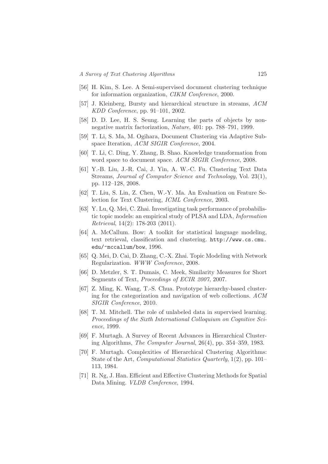- [56] H. Kim, S. Lee. A Semi-supervised document clustering technique for information organization, *CIKM Conference*, 2000.
- [57] J. Kleinberg, Bursty and hierarchical structure in streams, *ACM KDD Conference*, pp. 91–101, 2002.
- [58] D. D. Lee, H. S. Seung. Learning the parts of objects by nonnegative matrix factorization, *Nature*, 401: pp. 788–791, 1999.
- [59] T. Li, S. Ma, M. Ogihara, Document Clustering via Adaptive Subspace Iteration, *ACM SIGIR Conference*, 2004.
- [60] T. Li, C. Ding, Y. Zhang, B. Shao. Knowledge transformation from word space to document space. *ACM SIGIR Conference*, 2008.
- [61] Y.-B. Liu, J.-R. Cai, J. Yin, A. W.-C. Fu. Clustering Text Data Streams, *Journal of Computer Science and Technology*, Vol. 23(1), pp. 112–128, 2008.
- [62] T. Liu, S. Lin, Z. Chen, W.-Y. Ma. An Evaluation on Feature Selection for Text Clustering, *ICML Conference*, 2003.
- [63] Y. Lu, Q. Mei, C. Zhai. Investigating task performance of probabilistic topic models: an empirical study of PLSA and LDA, *Information Retrieval*, 14(2): 178-203 (2011).
- [64] A. McCallum. Bow: A toolkit for statistical language modeling, text retrieval, classification and clustering. http://www.cs.cmu. edu/~mccallum/bow, 1996.
- [65] Q. Mei, D. Cai, D. Zhang, C.-X. Zhai. Topic Modeling with Network Regularization. *WWW Conference*, 2008.
- [66] D. Metzler, S. T. Dumais, C. Meek, Similarity Measures for Short Segments of Text, *Proceedings of ECIR 2007*, 2007.
- [67] Z. Ming, K. Wang, T.-S. Chua. Prototype hierarchy-based clustering for the categorization and navigation of web collections. *ACM SIGIR Conference*, 2010.
- [68] T. M. Mitchell. The role of unlabeled data in supervised learning. *Proceedings of the Sixth International Colloquium on Cognitive Science*, 1999.
- [69] F. Murtagh. A Survey of Recent Advances in Hierarchical Clustering Algorithms, *The Computer Journal*, 26(4), pp. 354–359, 1983.
- [70] F. Murtagh. Complexities of Hierarchical Clustering Algorithms: State of the Art, *Computational Statistics Quarterly*, 1(2), pp. 101– 113, 1984.
- [71] R. Ng, J. Han. Efficient and Effective Clustering Methods for Spatial Data Mining. *VLDB Conference*, 1994.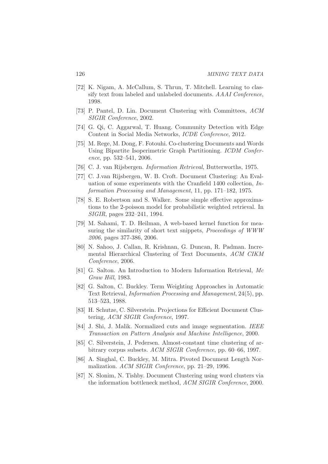- [72] K. Nigam, A. McCallum, S. Thrun, T. Mitchell. Learning to classify text from labeled and unlabeled documents. *AAAI Conference*, 1998.
- [73] P. Pantel, D. Lin. Document Clustering with Committees, *ACM SIGIR Conference*, 2002.
- [74] G. Qi, C. Aggarwal, T. Huang. Community Detection with Edge Content in Social Media Networks, *ICDE Conference*, 2012.
- [75] M. Rege, M. Dong, F. Fotouhi. Co-clustering Documents and Words Using Bipartite Isoperimetric Graph Partitioning. *ICDM Conference*, pp. 532–541, 2006.
- [76] C. J. van Rijsbergen. *Information Retrieval*, Butterworths, 1975.
- [77] C. J.van Rijsbergen, W. B. Croft. Document Clustering: An Evaluation of some experiments with the Cranfield 1400 collection, *Information Processing and Management*, 11, pp. 171–182, 1975.
- [78] S. E. Robertson and S. Walker. Some simple effective approximations to the 2-poisson model for probabilistic weighted retrieval. In *SIGIR*, pages 232–241, 1994.
- [79] M. Sahami, T. D. Heilman, A web-based kernel function for measuring the similarity of short text snippets, *Proceedings of WWW 2006*, pages 377-386, 2006.
- [80] N. Sahoo, J. Callan, R. Krishnan, G. Duncan, R. Padman. Incremental Hierarchical Clustering of Text Documents, *ACM CIKM Conference*, 2006.
- [81] G. Salton. An Introduction to Modern Information Retrieval, *Mc Graw Hill*, 1983.
- [82] G. Salton, C. Buckley. Term Weighting Approaches in Automatic Text Retrieval, *Information Processing and Management*, 24(5), pp. 513–523, 1988.
- [83] H. Schutze, C. Silverstein. Projections for Efficient Document Clustering, *ACM SIGIR Conference*, 1997.
- [84] J. Shi, J. Malik. Normalized cuts and image segmentation. *IEEE Transaction on Pattern Analysis and Machine Intelligence*, 2000.
- [85] C. Silverstein, J. Pedersen. Almost-constant time clustering of arbitrary corpus subsets. *ACM SIGIR Conference*, pp. 60–66, 1997.
- [86] A. Singhal, C. Buckley, M. Mitra. Pivoted Document Length Normalization. *ACM SIGIR Conference*, pp. 21–29, 1996.
- [87] N. Slonim, N. Tishby. Document Clustering using word clusters via the information bottleneck method, *ACM SIGIR Conference*, 2000.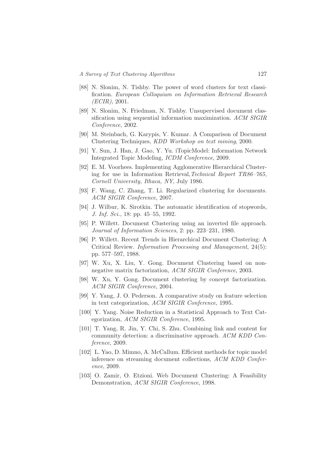- [88] N. Slonim, N. Tishby. The power of word clusters for text classification. *European Colloquium on Information Retrieval Research (ECIR)*, 2001.
- [89] N. Slonim, N. Friedman, N. Tishby. Unsupervised document classification using sequential information maximization. *ACM SIGIR Conference*, 2002.
- [90] M. Steinbach, G. Karypis, V. Kumar. A Comparison of Document Clustering Techniques, *KDD Workshop on text mining*, 2000.
- [91] Y. Sun, J. Han, J. Gao, Y. Yu. iTopicModel: Information Network Integrated Topic Modeling, *ICDM Conference*, 2009.
- [92] E. M. Voorhees. Implementing Agglomerative Hierarchical Clustering for use in Information Retrieval,*Technical Report TR86–765, Cornell University, Ithaca, NY*, July 1986.
- [93] F. Wang, C. Zhang, T. Li. Regularized clustering for documents. *ACM SIGIR Conference*, 2007.
- [94] J. Wilbur, K. Sirotkin. The automatic identification of stopwords, *J. Inf. Sci.*, 18: pp. 45–55, 1992.
- [95] P. Willett. Document Clustering using an inverted file approach. *Journal of Information Sciences*, 2: pp. 223–231, 1980.
- [96] P. Willett. Recent Trends in Hierarchical Document Clustering: A Critical Review. *Information Processing and Management*, 24(5): pp. 577–597, 1988.
- [97] W. Xu, X. Liu, Y. Gong. Document Clustering based on nonnegative matrix factorization, *ACM SIGIR Conference*, 2003.
- [98] W. Xu, Y. Gong. Document clustering by concept factorization. *ACM SIGIR Conference*, 2004.
- [99] Y. Yang, J. O. Pederson. A comparative study on feature selection in text categorization, *ACM SIGIR Conference*, 1995.
- [100] Y. Yang. Noise Reduction in a Statistical Approach to Text Categorization, *ACM SIGIR Conference*, 1995.
- [101] T. Yang, R. Jin, Y. Chi, S. Zhu. Combining link and content for community detection: a discriminative approach. *ACM KDD Conference*, 2009.
- [102] L. Yao, D. Mimno, A. McCallum. Efficient methods for topic model inference on streaming document collections, *ACM KDD Conference*, 2009.
- [103] O. Zamir, O. Etzioni. Web Document Clustering: A Feasibility Demonstration, *ACM SIGIR Conference*, 1998.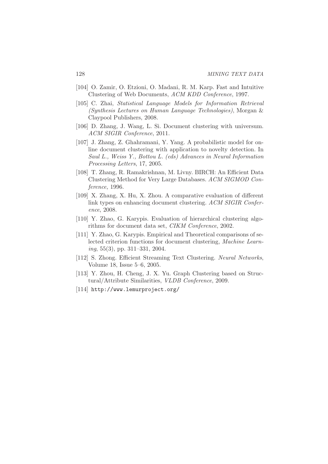- [104] O. Zamir, O. Etzioni, O. Madani, R. M. Karp. Fast and Intuitive Clustering of Web Documents, *ACM KDD Conference*, 1997.
- [105] C. Zhai, *Statistical Language Models for Information Retrieval (Synthesis Lectures on Human Language Technologies)*, Morgan & Claypool Publishers, 2008.
- [106] D. Zhang, J. Wang, L. Si. Document clustering with universum. *ACM SIGIR Conference*, 2011.
- [107] J. Zhang, Z. Ghahramani, Y. Yang. A probabilistic model for online document clustering with application to novelty detection. In *Saul L., Weiss Y., Bottou L. (eds) Advances in Neural Information Processing Letters*, 17, 2005.
- [108] T. Zhang, R. Ramakrishnan, M. Livny. BIRCH: An Efficient Data Clustering Method for Very Large Databases. *ACM SIGMOD Conference,* 1996.
- [109] X. Zhang, X. Hu, X. Zhou. A comparative evaluation of different link types on enhancing document clustering. *ACM SIGIR Conference*, 2008.
- [110] Y. Zhao, G. Karypis. Evaluation of hierarchical clustering algorithms for document data set, *CIKM Conference*, 2002.
- [111] Y. Zhao, G. Karypis. Empirical and Theoretical comparisons of selected criterion functions for document clustering, *Machine Learning*, 55(3), pp. 311–331, 2004.
- [112] S. Zhong. Efficient Streaming Text Clustering. *Neural Networks*, Volume 18, Issue 5–6, 2005.
- [113] Y. Zhou, H. Cheng, J. X. Yu. Graph Clustering based on Structural/Attribute Similarities, *VLDB Conference*, 2009.
- [114] http://www.lemurproject.org/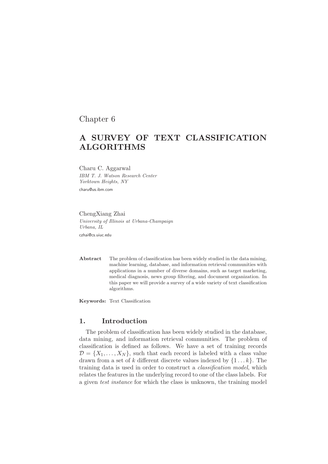## Chapter 6

# **A SURVEY OF TEXT CLASSIFICATION ALGORITHMS**

Charu C. Aggarwal *IBM T. J. Watson Research Center Yorktown Heights, NY* charu@us.ibm.com

ChengXiang Zhai *University of Illinois at Urbana-Champaign Urbana, IL*

czhai@cs.uiuc.edu

**Abstract** The problem of classification has been widely studied in the data mining, machine learning, database, and information retrieval communities with applications in a number of diverse domains, such as target marketing, medical diagnosis, news group filtering, and document organization. In this paper we will provide a survey of a wide variety of text classification algorithms.

**Keywords:** Text Classification

## **1. Introduction**

The problem of classification has been widely studied in the database, data mining, and information retrieval communities. The problem of classification is defined as follows. We have a set of training records  $\mathcal{D} = \{X_1, \ldots, X_N\}$ , such that each record is labeled with a class value drawn from a set of k different discrete values indexed by  $\{1 \dots k\}$ . The training data is used in order to construct a *classification model*, which relates the features in the underlying record to one of the class labels. For a given *test instance* for which the class is unknown, the training model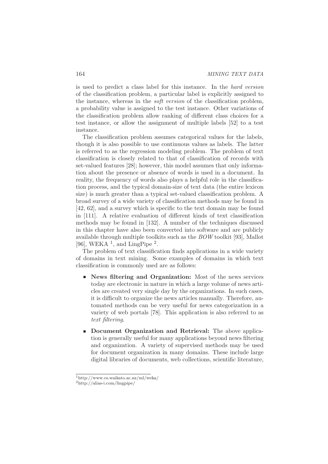is used to predict a class label for this instance. In the *hard version* of the classification problem, a particular label is explicitly assigned to the instance, whereas in the *soft version* of the classification problem, a probability value is assigned to the test instance. Other variations of the classification problem allow ranking of different class choices for a test instance, or allow the assignment of multiple labels [52] to a test instance.

The classification problem assumes categorical values for the labels, though it is also possible to use continuous values as labels. The latter is referred to as the regression modeling problem. The problem of text classification is closely related to that of classification of records with set-valued features [28]; however, this model assumes that only information about the presence or absence of words is used in a document. In reality, the frequency of words also plays a helpful role in the classification process, and the typical domain-size of text data (the entire lexicon size) is much greater than a typical set-valued classification problem. A broad survey of a wide variety of classification methods may be found in [42, 62], and a survey which is specific to the text domain may be found in [111]. A relative evaluation of different kinds of text classification methods may be found in [132]. A number of the techniques discussed in this chapter have also been converted into software and are publicly available through multiple toolkits such as the *BOW* toolkit [93], Mallot [96], WEKA<sup>1</sup>, and LingPipe<sup>2</sup>.

The problem of text classification finds applications in a wide variety of domains in text mining. Some examples of domains in which text classification is commonly used are as follows:

- **News filtering and Organization:** Most of the news services today are electronic in nature in which a large volume of news articles are created very single day by the organizations. In such cases, it is difficult to organize the news articles manually. Therefore, automated methods can be very useful for news categorization in a variety of web portals [78]. This application is also referred to as *text filtering*.
- **Document Organization and Retrieval:** The above applica- $\blacksquare$ tion is generally useful for many applications beyond news filtering and organization. A variety of supervised methods may be used for document organization in many domains. These include large digital libraries of documents, web collections, scientific literature,

<sup>1</sup>http://www.cs.waikato.ac.nz/ml/weka/

<sup>2</sup>http://alias-i.com/lingpipe/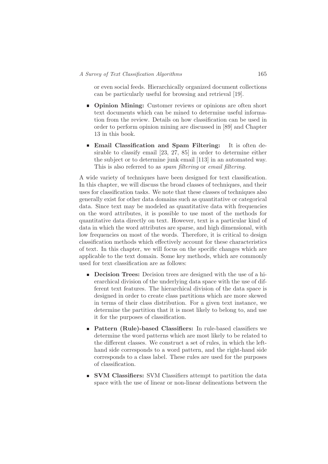#### *A Survey of Text Classification Algorithms* 165

or even social feeds. Hierarchically organized document collections can be particularly useful for browsing and retrieval [19].

- **Opinion Mining:** Customer reviews or opinions are often short text documents which can be mined to determine useful information from the review. Details on how classification can be used in order to perform opinion mining are discussed in [89] and Chapter 13 in this book.
- **Email Classification and Spam Filtering:** It is often desirable to classify email [23, 27, 85] in order to determine either the subject or to determine junk email [113] in an automated way. This is also referred to as *spam filtering* or *email filtering*.

A wide variety of techniques have been designed for text classification. In this chapter, we will discuss the broad classes of techniques, and their uses for classification tasks. We note that these classes of techniques also generally exist for other data domains such as quantitative or categorical data. Since text may be modeled as quantitative data with frequencies on the word attributes, it is possible to use most of the methods for quantitative data directly on text. However, text is a particular kind of data in which the word attributes are sparse, and high dimensional, with low frequencies on most of the words. Therefore, it is critical to design classification methods which effectively account for these characteristics of text. In this chapter, we will focus on the specific changes which are applicable to the text domain. Some key methods, which are commonly used for text classification are as follows:

- **Decision Trees:** Decision trees are designed with the use of a hierarchical division of the underlying data space with the use of different text features. The hierarchical division of the data space is designed in order to create class partitions which are more skewed in terms of their class distribution. For a given text instance, we determine the partition that it is most likely to belong to, and use it for the purposes of classification.
- **Pattern (Rule)-based Classifiers:** In rule-based classifiers we  $\blacksquare$ determine the word patterns which are most likely to be related to the different classes. We construct a set of rules, in which the lefthand side corresponds to a word pattern, and the right-hand side corresponds to a class label. These rules are used for the purposes of classification.
- **SVM Classifiers:** SVM Classifiers attempt to partition the data space with the use of linear or non-linear delineations between the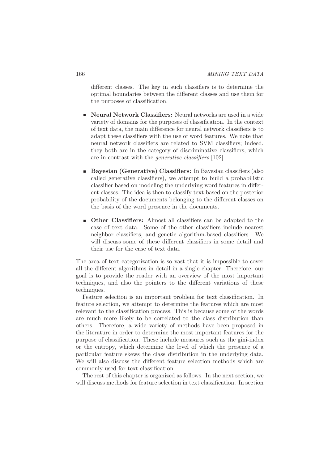different classes. The key in such classifiers is to determine the optimal boundaries between the different classes and use them for the purposes of classification.

- **Neural Network Classifiers:** Neural networks are used in a wide variety of domains for the purposes of classification. In the context of text data, the main difference for neural network classifiers is to adapt these classifiers with the use of word features. We note that neural network classifiers are related to SVM classifiers; indeed, they both are in the category of discriminative classifiers, which are in contrast with the *generative classifiers* [102].
- **Bayesian (Generative) Classifiers:** In Bayesian classifiers (also called generative classifiers), we attempt to build a probabilistic classifier based on modeling the underlying word features in different classes. The idea is then to classify text based on the posterior probability of the documents belonging to the different classes on the basis of the word presence in the documents.
- **Other Classifiers:** Almost all classifiers can be adapted to the case of text data. Some of the other classifiers include nearest neighbor classifiers, and genetic algorithm-based classifiers. We will discuss some of these different classifiers in some detail and their use for the case of text data.

The area of text categorization is so vast that it is impossible to cover all the different algorithms in detail in a single chapter. Therefore, our goal is to provide the reader with an overview of the most important techniques, and also the pointers to the different variations of these techniques.

Feature selection is an important problem for text classification. In feature selection, we attempt to determine the features which are most relevant to the classification process. This is because some of the words are much more likely to be correlated to the class distribution than others. Therefore, a wide variety of methods have been proposed in the literature in order to determine the most important features for the purpose of classification. These include measures such as the gini-index or the entropy, which determine the level of which the presence of a particular feature skews the class distribution in the underlying data. We will also discuss the different feature selection methods which are commonly used for text classification.

The rest of this chapter is organized as follows. In the next section, we will discuss methods for feature selection in text classification. In section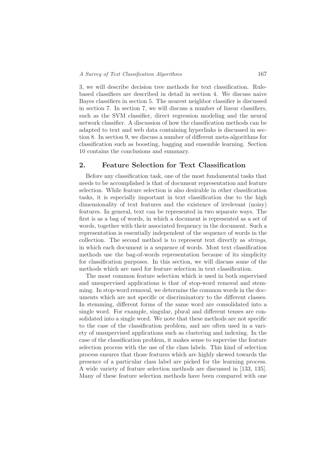3, we will describe decision tree methods for text classification. Rulebased classifiers are described in detail in section 4. We discuss naive Bayes classifiers in section 5. The nearest neighbor classifier is discussed in section 7. In section 7, we will discuss a number of linear classifiers, such as the SVM classifier, direct regression modeling and the neural network classifier. A discussion of how the classification methods can be adapted to text and web data containing hyperlinks is discussed in section 8. In section 9, we discuss a number of different meta-algorithms for classification such as boosting, bagging and ensemble learning. Section 10 contains the conclusions and summary.

## **2. Feature Selection for Text Classification**

Before any classification task, one of the most fundamental tasks that needs to be accomplished is that of document representation and feature selection. While feature selection is also desirable in other classification tasks, it is especially important in text classification due to the high dimensionality of text features and the existence of irrelevant (noisy) features. In general, text can be represented in two separate ways. The first is as a bag of words, in which a document is represented as a set of words, together with their associated frequency in the document. Such a representation is essentially independent of the sequence of words in the collection. The second method is to represent text directly as *strings*, in which each document is a sequence of words. Most text classification methods use the bag-of-words representation because of its simplicity for classification purposes. In this section, we will discuss some of the methods which are used for feature selection in text classification.

The most common feature selection which is used in both supervised and unsupervised applications is that of stop-word removal and stemming. In stop-word removal, we determine the common words in the documents which are not specific or discriminatory to the different classes. In stemming, different forms of the same word are consolidated into a single word. For example, singular, plural and different tenses are consolidated into a single word. We note that these methods are not specific to the case of the classification problem, and are often used in a variety of unsupervised applications such as clustering and indexing. In the case of the classification problem, it makes sense to supervise the feature selection process with the use of the class labels. This kind of selection process ensures that those features which are highly skewed towards the presence of a particular class label are picked for the learning process. A wide variety of feature selection methods are discussed in [133, 135]. Many of these feature selection methods have been compared with one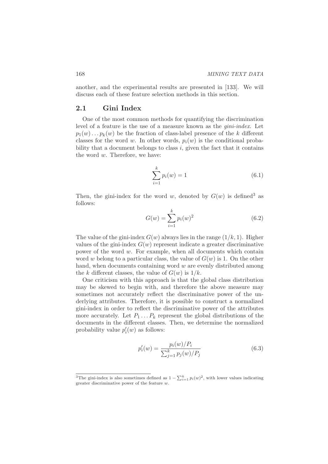another, and the experimental results are presented in [133]. We will discuss each of these feature selection methods in this section.

## **2.1 Gini Index**

One of the most common methods for quantifying the discrimination level of a feature is the use of a measure known as the *gini-index*. Let  $p_1(w) \dots p_k(w)$  be the fraction of class-label presence of the k different classes for the word w. In other words,  $p_i(w)$  is the conditional probability that a document belongs to class  $i$ , given the fact that it contains the word w. Therefore, we have:

$$
\sum_{i=1}^{k} p_i(w) = 1
$$
\n(6.1)

Then, the gini-index for the word w, denoted by  $G(w)$  is defined<sup>3</sup> as follows:

$$
G(w) = \sum_{i=1}^{k} p_i(w)^2
$$
 (6.2)

The value of the gini-index  $G(w)$  always lies in the range  $(1/k, 1)$ . Higher values of the gini-index  $G(w)$  represent indicate a greater discriminative power of the word w. For example, when all documents which contain word w belong to a particular class, the value of  $G(w)$  is 1. On the other hand, when documents containing word w are evenly distributed among the k different classes, the value of  $G(w)$  is  $1/k$ .

One criticism with this approach is that the global class distribution may be skewed to begin with, and therefore the above measure may sometimes not accurately reflect the discriminative power of the underlying attributes. Therefore, it is possible to construct a normalized gini-index in order to reflect the discriminative power of the attributes more accurately. Let  $P_1 \ldots P_k$  represent the global distributions of the documents in the different classes. Then, we determine the normalized probability value  $p_i'(w)$  as follows:

$$
p_i'(w) = \frac{p_i(w)/P_i}{\sum_{j=1}^k p_j(w)/P_j}
$$
(6.3)

<sup>&</sup>lt;sup>3</sup>The gini-index is also sometimes defined as  $1 - \sum_{i=1}^{k} p_i(w)^2$ , with lower values indicating greater discriminative power of the feature w.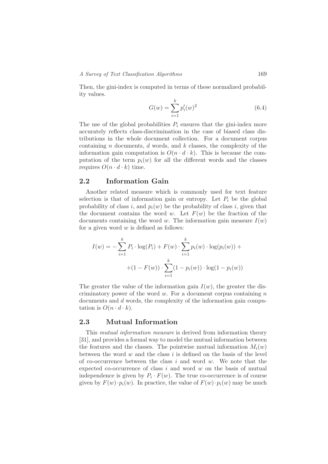Then, the gini-index is computed in terms of these normalized probability values.

$$
G(w) = \sum_{i=1}^{k} p'_i(w)^2
$$
 (6.4)

The use of the global probabilities  $P_i$  ensures that the gini-index more accurately reflects class-discrimination in the case of biased class distributions in the whole document collection. For a document corpus containing  $n$  documents,  $d$  words, and  $k$  classes, the complexity of the information gain computation is  $O(n \cdot d \cdot k)$ . This is because the computation of the term  $p_i(w)$  for all the different words and the classes requires  $O(n \cdot d \cdot k)$  time.

## **2.2 Information Gain**

Another related measure which is commonly used for text feature selection is that of information gain or entropy. Let  $P_i$  be the global probability of class i, and  $p_i(w)$  be the probability of class i, given that the document contains the word w. Let  $F(w)$  be the fraction of the documents containing the word w. The information gain measure  $I(w)$ for a given word  $w$  is defined as follows:

$$
I(w) = -\sum_{i=1}^{k} P_i \cdot \log(P_i) + F(w) \cdot \sum_{i=1}^{k} p_i(w) \cdot \log(p_i(w)) +
$$

$$
+ (1 - F(w)) \cdot \sum_{i=1}^{k} (1 - p_i(w)) \cdot \log(1 - p_i(w))
$$

The greater the value of the information gain  $I(w)$ , the greater the discriminatory power of the word  $w$ . For a document corpus containing  $n$ documents and d words, the complexity of the information gain computation is  $O(n \cdot d \cdot k)$ .

## **2.3 Mutual Information**

This *mutual information measure* is derived from information theory [31], and provides a formal way to model the mutual information between the features and the classes. The pointwise mutual information  $M_i(w)$ between the word  $w$  and the class  $i$  is defined on the basis of the level of co-occurrence between the class  $i$  and word  $w$ . We note that the expected co-occurrence of class  $i$  and word  $w$  on the basis of mutual independence is given by  $P_i \cdot F(w)$ . The true co-occurrence is of course given by  $F(w) \cdot p_i(w)$ . In practice, the value of  $F(w) \cdot p_i(w)$  may be much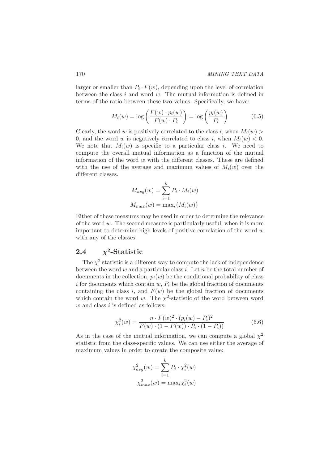larger or smaller than  $P_i \cdot F(w)$ , depending upon the level of correlation between the class i and word  $w$ . The mutual information is defined in terms of the ratio between these two values. Specifically, we have:

$$
M_i(w) = \log\left(\frac{F(w) \cdot p_i(w)}{F(w) \cdot P_i}\right) = \log\left(\frac{p_i(w)}{P_i}\right) \tag{6.5}
$$

Clearly, the word w is positively correlated to the class i, when  $M_i(w)$ 0, and the word w is negatively correlated to class i, when  $M_i(w) < 0$ . We note that  $M_i(w)$  is specific to a particular class i. We need to compute the overall mutual information as a function of the mutual information of the word  $w$  with the different classes. These are defined with the use of the average and maximum values of  $M_i(w)$  over the different classes.

$$
M_{avg}(w) = \sum_{i=1}^{k} P_i \cdot M_i(w)
$$

$$
M_{max}(w) = \max_i \{ M_i(w) \}
$$

Either of these measures may be used in order to determine the relevance of the word  $w$ . The second measure is particularly useful, when it is more important to determine high levels of positive correlation of the word  $w$ with any of the classes.

## 2.4  $\chi^2$ **-Statistic**

The  $\chi^2$  statistic is a different way to compute the lack of independence between the word w and a particular class i. Let n be the total number of documents in the collection,  $p_i(w)$  be the conditional probability of class i for documents which contain  $w, P_i$  be the global fraction of documents containing the class i, and  $F(w)$  be the global fraction of documents which contain the word w. The  $\chi^2$ -statistic of the word between word  $w$  and class  $i$  is defined as follows:

$$
\chi_i^2(w) = \frac{n \cdot F(w)^2 \cdot (p_i(w) - P_i)^2}{F(w) \cdot (1 - F(w)) \cdot P_i \cdot (1 - P_i))}
$$
(6.6)

As in the case of the mutual information, we can compute a global  $\chi^2$ statistic from the class-specific values. We can use either the average of maximum values in order to create the composite value:

$$
\chi_{avg}^2(w) = \sum_{i=1}^k P_i \cdot \chi_i^2(w)
$$

$$
\chi_{max}^2(w) = \max_i \chi_i^2(w)
$$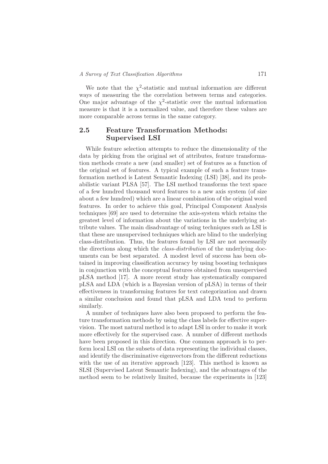We note that the  $\chi^2$ -statistic and mutual information are different ways of measuring the the correlation between terms and categories. One major advantage of the  $\chi^2$ -statistic over the mutual information measure is that it is a normalized value, and therefore these values are more comparable across terms in the same category.

## **2.5 Feature Transformation Methods: Supervised LSI**

While feature selection attempts to reduce the dimensionality of the data by picking from the original set of attributes, feature transformation methods create a new (and smaller) set of features as a function of the original set of features. A typical example of such a feature transformation method is Latent Semantic Indexing (LSI) [38], and its probabilistic variant PLSA [57]. The LSI method transforms the text space of a few hundred thousand word features to a new axis system (of size about a few hundred) which are a linear combination of the original word features. In order to achieve this goal, Principal Component Analysis techniques [69] are used to determine the axis-system which retains the greatest level of information about the variations in the underlying attribute values. The main disadvantage of using techniques such as LSI is that these are unsupervised techniques which are blind to the underlying class-distribution. Thus, the features found by LSI are not necessarily the directions along which the *class-distribution* of the underlying documents can be best separated. A modest level of success has been obtained in improving classification accuracy by using boosting techniques in conjunction with the conceptual features obtained from unsupervised pLSA method [17]. A more recent study has systematically compared pLSA and LDA (which is a Bayesian version of pLSA) in terms of their effectiveness in transforming features for text categorization and drawn a similar conclusion and found that pLSA and LDA tend to perform similarly.

A number of techniques have also been proposed to perform the feature transformation methods by using the class labels for effective supervision. The most natural method is to adapt LSI in order to make it work more effectively for the supervised case. A number of different methods have been proposed in this direction. One common approach is to perform local LSI on the subsets of data representing the individual classes, and identify the discriminative eigenvectors from the different reductions with the use of an iterative approach [123]. This method is known as SLSI (Supervised Latent Semantic Indexing), and the advantages of the method seem to be relatively limited, because the experiments in [123]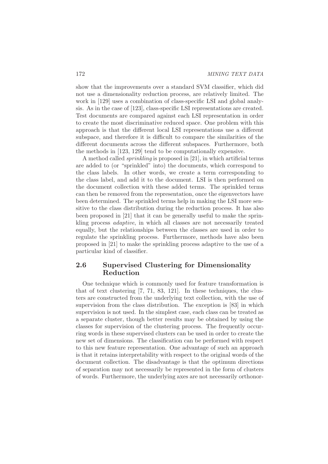show that the improvements over a standard SVM classifier, which did not use a dimensionality reduction process, are relatively limited. The work in [129] uses a combination of class-specific LSI and global analysis. As in the case of [123], class-specific LSI representations are created. Test documents are compared against each LSI representation in order to create the most discriminative reduced space. One problem with this approach is that the different local LSI representations use a different subspace, and therefore it is difficult to compare the similarities of the different documents across the different subspaces. Furthermore, both the methods in [123, 129] tend to be computationally expensive.

A method called *sprinkling* is proposed in [21], in which artificial terms are added to (or "sprinkled" into) the documents, which correspond to the class labels. In other words, we create a term corresponding to the class label, and add it to the document. LSI is then performed on the document collection with these added terms. The sprinkled terms can then be removed from the representation, once the eigenvectors have been determined. The sprinkled terms help in making the LSI more sensitive to the class distribution during the reduction process. It has also been proposed in [21] that it can be generally useful to make the sprinkling process *adaptive*, in which all classes are not necessarily treated equally, but the relationships between the classes are used in order to regulate the sprinkling process. Furthermore, methods have also been proposed in [21] to make the sprinkling process adaptive to the use of a particular kind of classifier.

# **2.6 Supervised Clustering for Dimensionality Reduction**

One technique which is commonly used for feature transformation is that of text clustering [7, 71, 83, 121]. In these techniques, the clusters are constructed from the underlying text collection, with the use of supervision from the class distribution. The exception is [83] in which supervision is not used. In the simplest case, each class can be treated as a separate cluster, though better results may be obtained by using the classes for supervision of the clustering process. The frequently occurring words in these supervised clusters can be used in order to create the new set of dimensions. The classification can be performed with respect to this new feature representation. One advantage of such an approach is that it retains interpretability with respect to the original words of the document collection. The disadvantage is that the optimum directions of separation may not necessarily be represented in the form of clusters of words. Furthermore, the underlying axes are not necessarily orthonor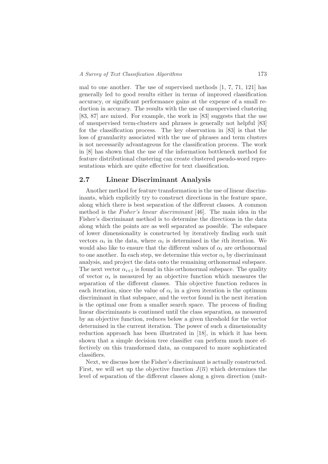mal to one another. The use of supervised methods [1, 7, 71, 121] has generally led to good results either in terms of improved classification accuracy, or significant performance gains at the expense of a small reduction in accuracy. The results with the use of unsupervised clustering [83, 87] are mixed. For example, the work in [83] suggests that the use of unsupervised term-clusters and phrases is generally not helpful [83] for the classification process. The key observation in [83] is that the loss of granularity associated with the use of phrases and term clusters is not necessarily advantageous for the classification process. The work in [8] has shown that the use of the information bottleneck method for feature distributional clustering can create clustered pseudo-word representations which are quite effective for text classification.

# **2.7 Linear Discriminant Analysis**

Another method for feature transformation is the use of linear discriminants, which explicitly try to construct directions in the feature space, along which there is best separation of the different classes. A common method is the *Fisher's linear discriminant* [46]. The main idea in the Fisher's discriminant method is to determine the directions in the data along which the points are as well separated as possible. The subspace of lower dimensionality is constructed by iteratively finding such unit vectors  $\alpha_i$  in the data, where  $\alpha_i$  is determined in the *i*th iteration. We would also like to ensure that the different values of  $\alpha_i$  are orthonormal to one another. In each step, we determine this vector  $\alpha_i$  by discriminant analysis, and project the data onto the remaining orthonormal subspace. The next vector  $\alpha_{i+1}$  is found in this orthonormal subspace. The quality of vector  $\alpha_i$  is measured by an objective function which measures the separation of the different classes. This objective function reduces in each iteration, since the value of  $\alpha_i$  in a given iteration is the optimum discriminant in that subspace, and the vector found in the next iteration is the optimal one from a smaller search space. The process of finding linear discriminants is continued until the class separation, as measured by an objective function, reduces below a given threshold for the vector determined in the current iteration. The power of such a dimensionality reduction approach has been illustrated in [18], in which it has been shown that a simple decision tree classifier can perform much more effectively on this transformed data, as compared to more sophisticated classifiers.

Next, we discuss how the Fisher's discriminant is actually constructed. First, we will set up the objective function  $J(\overline{\alpha})$  which determines the level of separation of the different classes along a given direction (unit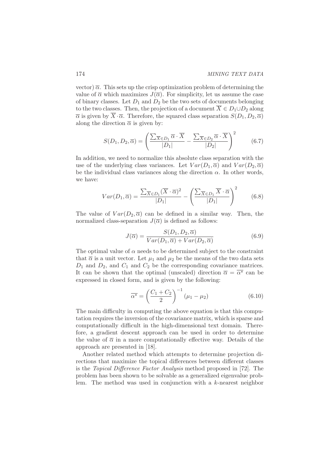vector)  $\bar{\alpha}$ . This sets up the crisp optimization problem of determining the value of  $\overline{\alpha}$  which maximizes  $J(\overline{\alpha})$ . For simplicity, let us assume the case of binary classes. Let  $D_1$  and  $D_2$  be the two sets of documents belonging to the two classes. Then, the projection of a document  $\overline{X} \in D_1 \cup D_2$  along  $\overline{\alpha}$  is given by  $\overline{X} \cdot \overline{\alpha}$ . Therefore, the squared class separation  $S(D_1, D_2, \overline{\alpha})$ along the direction  $\bar{\alpha}$  is given by:

$$
S(D_1, D_2, \overline{\alpha}) = \left(\frac{\sum_{\overline{X} \in D_1} \overline{\alpha} \cdot \overline{X}}{|D_1|} - \frac{\sum_{\overline{X} \in D_2} \overline{\alpha} \cdot \overline{X}}{|D_2|}\right)^2 \tag{6.7}
$$

In addition, we need to normalize this absolute class separation with the use of the underlying class variances. Let  $Var(D_1, \overline{\alpha})$  and  $Var(D_2, \overline{\alpha})$ be the individual class variances along the direction  $\alpha$ . In other words, we have:

$$
Var(D_1, \overline{\alpha}) = \frac{\sum_{\overline{X} \in D_1} (\overline{X} \cdot \overline{\alpha})^2}{|D_1|} - \left(\frac{\sum_{\overline{X} \in D_1} \overline{X} \cdot \overline{\alpha}}{|D_1|}\right)^2 \tag{6.8}
$$

The value of  $Var(D_2, \overline{\alpha})$  can be defined in a similar way. Then, the normalized class-separation  $J(\overline{\alpha})$  is defined as follows:

$$
J(\overline{\alpha}) = \frac{S(D_1, D_2, \overline{\alpha})}{Var(D_1, \overline{\alpha}) + Var(D_2, \overline{\alpha})}
$$
(6.9)

The optimal value of  $\alpha$  needs to be determined subject to the constraint that  $\bar{\alpha}$  is a unit vector. Let  $\mu_1$  and  $\mu_2$  be the means of the two data sets  $D_1$  and  $D_2$ , and  $C_1$  and  $C_2$  be the corresponding covariance matrices. It can be shown that the optimal (unscaled) direction  $\overline{\alpha} = \overline{\alpha^*}$  can be expressed in closed form, and is given by the following:

$$
\overline{\alpha^*} = \left(\frac{C_1 + C_2}{2}\right)^{-1} (\mu_1 - \mu_2)
$$
 (6.10)

The main difficulty in computing the above equation is that this computation requires the inversion of the covariance matrix, which is sparse and computationally difficult in the high-dimensional text domain. Therefore, a gradient descent approach can be used in order to determine the value of  $\bar{\alpha}$  in a more computationally effective way. Details of the approach are presented in [18].

Another related method which attempts to determine projection directions that maximize the topical differences between different classes is the *Topical Difference Factor Analysis* method proposed in [72]. The problem has been shown to be solvable as a generalized eigenvalue problem. The method was used in conjunction with a k-nearest neighbor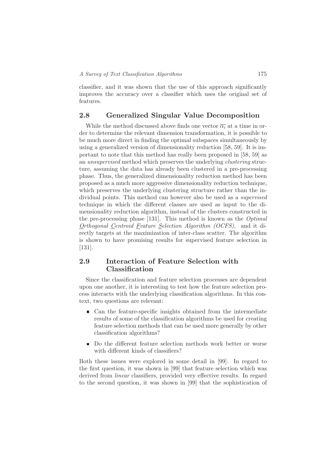classifier, and it was shown that the use of this approach significantly improves the accuracy over a classifier which uses the original set of features.

# **2.8 Generalized Singular Value Decomposition**

While the method discussed above finds one vector  $\overline{\alpha_i}$  at a time in order to determine the relevant dimension transformation, it is possible to be much more direct in finding the optimal subspaces simultaneously by using a generalized version of dimensionality reduction [58, 59]. It is important to note that this method has really been proposed in [58, 59] as an *unsupervised* method which preserves the underlying *clustering* structure, assuming the data has already been clustered in a pre-processing phase. Thus, the generalized dimensionality reduction method has been proposed as a much more aggressive dimensionality reduction technique, which preserves the underlying clustering structure rather than the individual points. This method can however also be used as a *supervised* technique in which the different classes are used as input to the dimensionality reduction algorithm, instead of the clusters constructed in the pre-processing phase [131]. This method is known as the *Optimal Orthogonal Centroid Feature Selection Algorithm (OCFS)*, and it directly targets at the maximization of inter-class scatter. The algorithm is shown to have promising results for supervised feature selection in [131].

# **2.9 Interaction of Feature Selection with Classification**

Since the classification and feature selection processes are dependent upon one another, it is interesting to test how the feature selection process interacts with the underlying classification algorithms. In this context, two questions are relevant:

- Can the feature-specific insights obtained from the intermediate results of some of the classification algorithms be used for creating feature selection methods that can be used more generally by other classification algorithms?
- Do the different feature selection methods work better or worse with different kinds of classifiers?

Both these issues were explored in some detail in [99]. In regard to the first question, it was shown in [99] that feature selection which was derived from *linear* classifiers, provided very effective results. In regard to the second question, it was shown in [99] that the sophistication of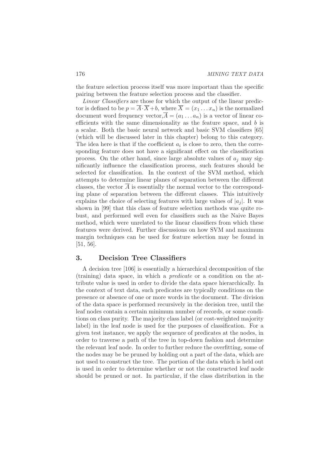the feature selection process itself was more important than the specific pairing between the feature selection process and the classifier.

*Linear Classifiers* are those for which the output of the linear predictor is defined to be  $p = \overline{A} \cdot \overline{X} + b$ , where  $\overline{X} = (x_1 \dots x_n)$  is the normalized document word frequency vector,  $\overline{A} = (a_1 \dots a_n)$  is a vector of linear coefficients with the same dimensionality as the feature space, and b is a scalar. Both the basic neural network and basic SVM classifiers [65] (which will be discussed later in this chapter) belong to this category. The idea here is that if the coefficient  $a_i$  is close to zero, then the corresponding feature does not have a significant effect on the classification process. On the other hand, since large absolute values of  $a_i$  may significantly influence the classification process, such features should be selected for classification. In the context of the SVM method, which attempts to determine linear planes of separation between the different classes, the vector  $\overline{A}$  is essentially the normal vector to the corresponding plane of separation between the different classes. This intuitively explains the choice of selecting features with large values of  $|a_i|$ . It was shown in [99] that this class of feature selection methods was quite robust, and performed well even for classifiers such as the Naive Bayes method, which were unrelated to the linear classifiers from which these features were derived. Further discussions on how SVM and maximum margin techniques can be used for feature selection may be found in [51, 56].

### **3. Decision Tree Classifiers**

A decision tree [106] is essentially a hierarchical decomposition of the (training) data space, in which a *predicate* or a condition on the attribute value is used in order to divide the data space hierarchically. In the context of text data, such predicates are typically conditions on the presence or absence of one or more words in the document. The division of the data space is performed recursively in the decision tree, until the leaf nodes contain a certain minimum number of records, or some conditions on class purity. The majority class label (or cost-weighted majority label) in the leaf node is used for the purposes of classification. For a given test instance, we apply the sequence of predicates at the nodes, in order to traverse a path of the tree in top-down fashion and determine the relevant leaf node. In order to further reduce the overfitting, some of the nodes may be be pruned by holding out a part of the data, which are not used to construct the tree. The portion of the data which is held out is used in order to determine whether or not the constructed leaf node should be pruned or not. In particular, if the class distribution in the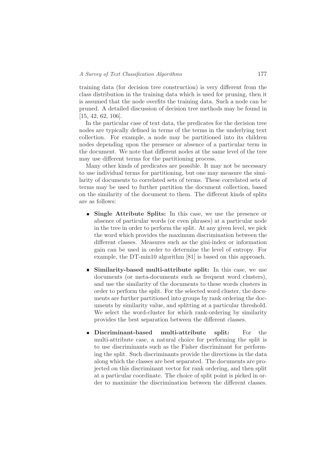training data (for decision tree construction) is very different from the class distribution in the training data which is used for pruning, then it is assumed that the node overfits the training data. Such a node can be pruned. A detailed discussion of decision tree methods may be found in [15, 42, 62, 106].

In the particular case of text data, the predicates for the decision tree nodes are typically defined in terms of the terms in the underlying text collection. For example, a node may be partitioned into its children nodes depending upon the presence or absence of a particular term in the document. We note that different nodes at the same level of the tree may use different terms for the partitioning process.

Many other kinds of predicates are possible. It may not be necessary to use individual terms for partitioning, but one may measure the similarity of documents to correlated sets of terms. These correlated sets of terms may be used to further partition the document collection, based on the similarity of the document to them. The different kinds of splits are as follows:

- **Single Attribute Splits:** In this case, we use the presence or absence of particular words (or even phrases) at a particular node in the tree in order to perform the split. At any given level, we pick the word which provides the maximum discrimination between the different classes. Measures such as the gini-index or information gain can be used in order to determine the level of entropy. For example, the DT-min10 algorithm [81] is based on this approach.
- **Similarity-based multi-attribute split:** In this case, we use documents (or meta-documents such as frequent word clusters), and use the similarity of the documents to these words clusters in order to perform the split. For the selected word cluster, the documents are further partitioned into groups by rank ordering the documents by similarity value, and splitting at a particular threshold. We select the word-cluster for which rank-ordering by similarity provides the best separation between the different classes.
- **Discriminant-based multi-attribute split:** For the  $\blacksquare$ multi-attribute case, a natural choice for performing the split is to use discriminants such as the Fisher discriminant for performing the split. Such discriminants provide the directions in the data along which the classes are best separated. The documents are projected on this discriminant vector for rank ordering, and then split at a particular coordinate. The choice of split point is picked in order to maximize the discrimination between the different classes.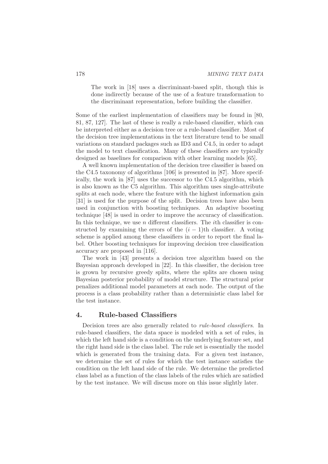The work in [18] uses a discriminant-based split, though this is done indirectly because of the use of a feature transformation to the discriminant representation, before building the classifier.

Some of the earliest implementation of classifiers may be found in [80, 81, 87, 127]. The last of these is really a rule-based classifier, which can be interpreted either as a decision tree or a rule-based classifier. Most of the decision tree implementations in the text literature tend to be small variations on standard packages such as ID3 and C4.5, in order to adapt the model to text classification. Many of these classifiers are typically designed as baselines for comparison with other learning models [65].

A well known implementation of the decision tree classifier is based on the C4.5 taxonomy of algorithms [106] is presented in [87]. More specifically, the work in [87] uses the successor to the C4.5 algorithm, which is also known as the C5 algorithm. This algorithm uses single-attribute splits at each node, where the feature with the highest information gain [31] is used for the purpose of the split. Decision trees have also been used in conjunction with boosting techniques. An adaptive boosting technique [48] is used in order to improve the accuracy of classification. In this technique, we use n different classifiers. The *i*th classifier is constructed by examining the errors of the  $(i - 1)$ th classifier. A voting scheme is applied among these classifiers in order to report the final label. Other boosting techniques for improving decision tree classification accuracy are proposed in [116].

The work in [43] presents a decision tree algorithm based on the Bayesian approach developed in [22]. In this classifier, the decision tree is grown by recursive greedy splits, where the splits are chosen using Bayesian posterior probability of model structure. The structural prior penalizes additional model parameters at each node. The output of the process is a class probability rather than a deterministic class label for the test instance.

# **4. Rule-based Classifiers**

Decision trees are also generally related to *rule-based classifiers*. In rule-based classifiers, the data space is modeled with a set of rules, in which the left hand side is a condition on the underlying feature set, and the right hand side is the class label. The rule set is essentially the model which is generated from the training data. For a given test instance, we determine the set of rules for which the test instance satisfies the condition on the left hand side of the rule. We determine the predicted class label as a function of the class labels of the rules which are satisfied by the test instance. We will discuss more on this issue slightly later.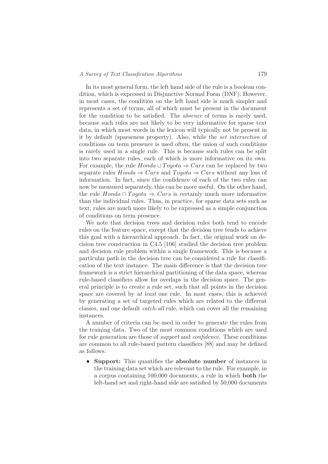#### *A Survey of Text Classification Algorithms* 179

In its most general form, the left hand side of the rule is a boolean condition, which is expressed in Disjunctive Normal Form (DNF). However, in most cases, the condition on the left hand side is much simpler and represents a set of terms, all of which must be present in the document for the condition to be satisfied. The *absence* of terms is rarely used, because such rules are not likely to be very informative for sparse text data, in which most words in the lexicon will typically not be present in it by default (sparseness property). Also, while the *set intersection* of conditions on term presence is used often, the union of such conditions is rarely used in a single rule. This is because such rules can be split into two separate rules, each of which is more informative on its own. For example, the rule  $Honda \cup Toyota \Rightarrow Cars$  can be replaced by two separate rules  $Honda \Rightarrow Cars$  and  $Toyota \Rightarrow Cars$  without any loss of information. In fact, since the confidence of each of the two rules can now be measured separately, this can be more useful. On the other hand, the rule  $Honda \cap Toyota \Rightarrow Cars$  is certainly much more informative than the individual rules. Thus, in practice, for sparse data sets such as text, rules are much more likely to be expressed as a simple conjunction of conditions on term presence.

We note that decision trees and decision rules both tend to encode rules on the feature space, except that the decision tree tends to achieve this goal with a hierarchical approach. In fact, the original work on decision tree construction in C4.5 [106] studied the decision tree problem and decision rule problem within a single framework. This is because a particular path in the decision tree can be considered a rule for classification of the text instance. The main difference is that the decision tree framework is a strict hierarchical partitioning of the data space, whereas rule-based classifiers allow for overlaps in the decision space. The general principle is to create a rule set, such that all points in the decision space are covered by *at least* one rule. In most cases, this is achieved by generating a set of targeted rules which are related to the different classes, and one default *catch-all* rule, which can cover all the remaining instances.

A number of criteria can be used in order to generate the rules from the training data. Two of the most common conditions which are used for rule generation are those of *support* and *confidence*. These conditions are common to all rule-based pattern classifiers [88] and may be defined as follows:

**Support:** This quantifies the **absolute number** of instances in the training data set which are relevant to the rule. For example, in a corpus containing 100,000 documents, a rule in which **both** the left-hand set and right-hand side are satisfied by 50,000 documents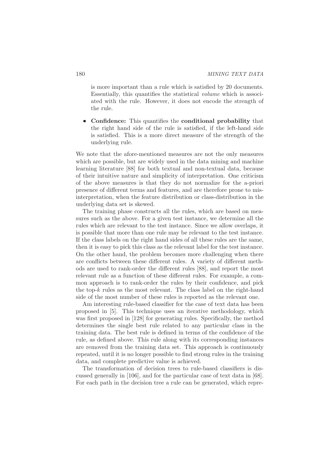is more important than a rule which is satisfied by 20 documents. Essentially, this quantifies the statistical *volume* which is associated with the rule. However, it does not encode the strength of the rule.

**Confidence:** This quantifies the **conditional probability** that the right hand side of the rule is satisfied, if the left-hand side is satisfied. This is a more direct measure of the strength of the underlying rule.

We note that the afore-mentioned measures are not the only measures which are possible, but are widely used in the data mining and machine learning literature [88] for both textual and non-textual data, because of their intuitive nature and simplicity of interpretation. One criticism of the above measures is that they do not normalize for the a-priori presence of different terms and features, and are therefore prone to misinterpretation, when the feature distribution or class-distribution in the underlying data set is skewed.

The training phase constructs all the rules, which are based on measures such as the above. For a given test instance, we determine all the rules which are relevant to the test instance. Since we allow overlaps, it is possible that more than one rule may be relevant to the test instance. If the class labels on the right hand sides of all these rules are the same, then it is easy to pick this class as the relevant label for the test instance. On the other hand, the problem becomes more challenging when there are conflicts between these different rules. A variety of different methods are used to rank-order the different rules [88], and report the most relevant rule as a function of these different rules. For example, a common approach is to rank-order the rules by their confidence, and pick the top- $k$  rules as the most relevant. The class label on the right-hand side of the most number of these rules is reported as the relevant one.

Am interesting rule-based classifier for the case of text data has been proposed in [5]. This technique uses an iterative methodology, which was first proposed in [128] for generating rules. Specifically, the method determines the single best rule related to any particular class in the training data. The best rule is defined in terms of the confidence of the rule, as defined above. This rule along with its corresponding instances are removed from the training data set. This approach is continuously repeated, until it is no longer possible to find strong rules in the training data, and complete predictive value is achieved.

The transformation of decision trees to rule-based classifiers is discussed generally in [106], and for the particular case of text data in [68]. For each path in the decision tree a rule can be generated, which repre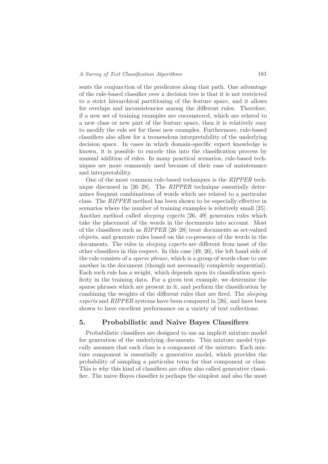sents the conjunction of the predicates along that path. One advantage of the rule-based classifier over a decision tree is that it is not restricted to a strict hierarchical partitioning of the feature space, and it allows for overlaps and inconsistencies among the different rules. Therefore, if a new set of training examples are encountered, which are related to a new class or new part of the feature space, then it is relatively easy to modify the rule set for these new examples. Furthermore, rule-based classifiers also allow for a tremendous interpretability of the underlying decision space. In cases in which domain-specific expert knowledge is known, it is possible to encode this into the classification process by manual addition of rules. In many practical scenarios, rule-based techniques are more commonly used because of their ease of maintenance and interpretability.

One of the most common rule-based techniques is the *RIPPER* technique discussed in [26–28]. The *RIPPER* technique essentially determines frequent combinations of words which are related to a particular class. The *RIPPER* method has been shown to be especially effective in scenarios where the number of training examples is relatively small [25]. Another method called *sleeping experts* [26, 49] generates rules which take the placement of the words in the documents into account. Most of the classifiers such as *RIPPER* [26–28] treat documents as set-valued objects, and generate rules based on the co-presence of the words in the documents. The rules in *sleeping experts* are different from most of the other classifiers in this respect. In this case [49, 26], the left hand side of the rule consists of a *sparse phrase*, which is a group of words close to one another in the document (though not necessarily completely sequential). Each such rule has a weight, which depends upon its classification specificity in the training data. For a given test example, we determine the sparse phrases which are present in it, and perform the classification by combining the weights of the different rules that are fired. The *sleeping experts* and *RIPPER* systems have been compared in [26], and have been shown to have excellent performance on a variety of text collections.

# **5. Probabilistic and Naive Bayes Classifiers**

Probabilistic classifiers are designed to use an implicit mixture model for generation of the underlying documents. This mixture model typically assumes that each class is a component of the mixture. Each mixture component is essentially a generative model, which provides the probability of sampling a particular term for that component or class. This is why this kind of classifiers are often also called generative classifier. The naive Bayes classifier is perhaps the simplest and also the most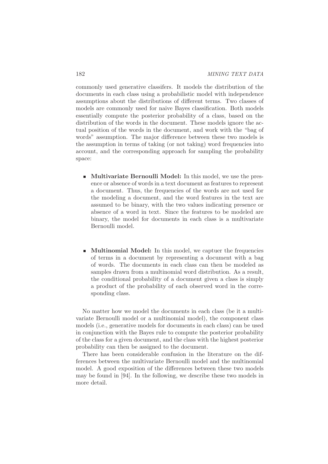commonly used generative classifers. It models the distribution of the documents in each class using a probabilistic model with independence assumptions about the distributions of different terms. Two classes of models are commonly used for naive Bayes classification. Both models essentially compute the posterior probability of a class, based on the distribution of the words in the document. These models ignore the actual position of the words in the document, and work with the "bag of words" assumption. The major difference between these two models is the assumption in terms of taking (or not taking) word frequencies into account, and the corresponding approach for sampling the probability space:

- **Multivariate Bernoulli Model:** In this model, we use the presence or absence of words in a text document as features to represent a document. Thus, the frequencies of the words are not used for the modeling a document, and the word features in the text are assumed to be binary, with the two values indicating presence or absence of a word in text. Since the features to be modeled are binary, the model for documents in each class is a multivariate Bernoulli model.
- **Multinomial Model:** In this model, we captuer the frequencies of terms in a document by representing a document with a bag of words. The documents in each class can then be modeled as samples drawn from a multinomial word distribution. As a result, the conditional probability of a document given a class is simply a product of the probability of each observed word in the corresponding class.

No matter how we model the documents in each class (be it a multivariate Bernoulli model or a multinomial model), the component class models (i.e., generative models for documents in each class) can be used in conjunction with the Bayes rule to compute the posterior probability of the class for a given document, and the class with the highest posterior probability can then be assigned to the document.

There has been considerable confusion in the literature on the differences between the multivariate Bernoulli model and the multinomial model. A good exposition of the differences between these two models may be found in [94]. In the following, we describe these two models in more detail.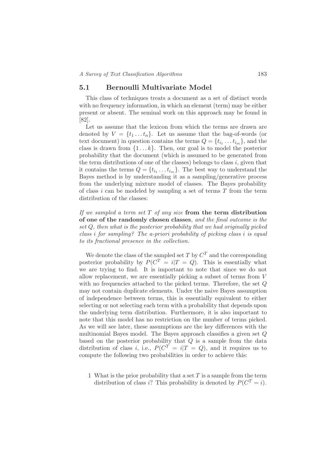# **5.1 Bernoulli Multivariate Model**

This class of techniques treats a document as a set of distinct words with no frequency information, in which an element (term) may be either present or absent. The seminal work on this approach may be found in [82].

Let us assume that the lexicon from which the terms are drawn are denoted by  $V = \{t_1 \dots t_n\}$ . Let us assume that the bag-of-words (or text document) in question contains the terms  $Q = \{t_{i_1} \ldots t_{i_m}\}\,$  and the class is drawn from  $\{1...k\}$ . Then, our goal is to model the posterior probability that the document (which is assumed to be generated from the term distributions of one of the classes) belongs to class  $i$ , given that it contains the terms  $Q = \{t_{i_1} \ldots t_{i_m}\}.$  The best way to understand the Bayes method is by understanding it as a sampling/generative process from the underlying mixture model of classes. The Bayes probability of class  $i$  can be modeled by sampling a set of terms  $T$  from the term distribution of the classes:

*If we sampled a term set* T *of any size* **from the term distribution of one of the randomly chosen classes***, and the final outcome is the set* Q*, then what is the posterior probability that we had originally picked class* i *for sampling? The a-priori probability of picking class* i *is equal to its fractional presence in the collection.*

We denote the class of the sampled set  $T$  by  $C^T$  and the corresponding posterior probability by  $P(C^T = i | T = Q)$ . This is essentially what we are trying to find. It is important to note that since we do not allow replacement, we are essentially picking a subset of terms from V with no frequencies attached to the picked terms. Therefore, the set Q may not contain duplicate elements. Under the naive Bayes assumption of independence between terms, this is essentially equivalent to either selecting or not selecting each term with a probability that depends upon the underlying term distribution. Furthermore, it is also important to note that this model has no restriction on the number of terms picked. As we will see later, these assumptions are the key differences with the multinomial Bayes model. The Bayes approach classifies a given set Q based on the posterior probability that  $Q$  is a sample from the data distribution of class i, i.e.,  $P(C^T = i|T = Q)$ , and it requires us to compute the following two probabilities in order to achieve this:

1 What is the prior probability that a set  $T$  is a sample from the term distribution of class i? This probability is denoted by  $P(C^T = i)$ .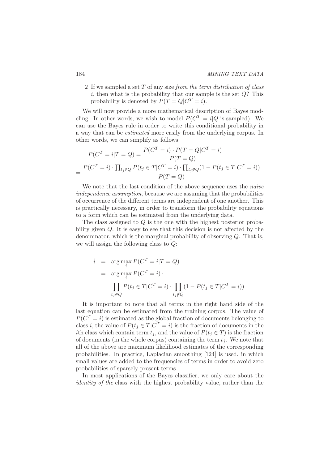2 If we sampled a set T of any size *from the term distribution of class* i, then what is the probability that our sample is the set  $Q$ ? This probability is denoted by  $P(T = Q|C^T = i)$ .

We will now provide a more mathematical description of Bayes modeling. In other words, we wish to model  $P(C^T = i|Q)$  is sampled). We can use the Bayes rule in order to write this conditional probability in a way that can be *estimated* more easily from the underlying corpus. In other words, we can simplify as follows:

$$
P(C^T = i | T = Q) = \frac{P(C^T = i) \cdot P(T = Q | C^T = i)}{P(T = Q)}
$$

$$
= \frac{P(C^T = i) \cdot \prod_{t_j \in Q} P(t_j \in T | C^T = i) \cdot \prod_{t_j \notin Q} (1 - P(t_j \in T | C^T = i))}{P(T = Q)}
$$

We note that the last condition of the above sequence uses the *naive independence assumption*, because we are assuming that the probabilities of occurrence of the different terms are independent of one another. This is practically necessary, in order to transform the probability equations to a form which can be estimated from the underlying data.

The class assigned to Q is the one with the highest posterior probability given Q. It is easy to see that this decision is not affected by the denominator, which is the marginal probability of observing Q. That is, we will assign the following class to Q:

$$
\hat{i} = \arg \max_{i} P(C^T = i | T = Q)
$$
  
= 
$$
\arg \max_{i} P(C^T = i) \cdot \prod_{t_j \in Q} (1 - P(t_j \in T | C^T = i)).
$$
  

$$
\prod_{t_j \in Q} P(t_j \in T | C^T = i) \cdot \prod_{t_j \notin Q} (1 - P(t_j \in T | C^T = i)).
$$

It is important to note that all terms in the right hand side of the last equation can be estimated from the training corpus. The value of  $P(C^T = i)$  is estimated as the global fraction of documents belonging to class *i*, the value of  $P(t_j \in T | C^T = i)$  is the fraction of documents in the ith class which contain term  $t_j$ , and the value of  $P(t_j \in T)$  is the fraction of documents (in the whole corpus) containing the term  $t_i$ . We note that all of the above are maximum likelihood estimates of the corresponding probabilities. In practice, Laplacian smoothing [124] is used, in which small values are added to the frequencies of terms in order to avoid zero probabilities of sparsely present terms.

In most applications of the Bayes classifier, we only care about the *identity of the* class with the highest probability value, rather than the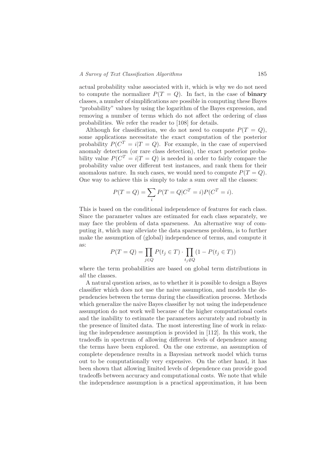actual probability value associated with it, which is why we do not need to compute the normalizer  $P(T = Q)$ . In fact, in the case of **binary** classes, a number of simplifications are possible in computing these Bayes "probability" values by using the logarithm of the Bayes expression, and removing a number of terms which do not affect the ordering of class probabilities. We refer the reader to [108] for details.

Although for classification, we do not need to compute  $P(T = Q)$ , some applications necessitate the exact computation of the posterior probability  $P(C^T = i | T = Q)$ . For example, in the case of supervised anomaly detection (or rare class detection), the exact posterior probability value  $P(C^T = i|T = Q)$  is needed in order to fairly compare the probability value over different test instances, and rank them for their anomalous nature. In such cases, we would need to compute  $P(T = Q)$ . One way to achieve this is simply to take a sum over all the classes:

$$
P(T = Q) = \sum_{i} P(T = Q|C^{T} = i)P(C^{T} = i).
$$

This is based on the conditional independence of features for each class. Since the parameter values are estimated for each class separately, we may face the problem of data sparseness. An alternative way of computing it, which may alleviate the data sparseness problem, is to further make the assumption of (global) independence of terms, and compute it as:

$$
P(T = Q) = \prod_{j \in Q} P(t_j \in T) \cdot \prod_{t_j \notin Q} (1 - P(t_j \in T))
$$

where the term probabilities are based on global term distributions in *all* the classes.

A natural question arises, as to whether it is possible to design a Bayes classifier which does not use the naive assumption, and models the dependencies between the terms during the classification process. Methods which generalize the naive Bayes classifier by not using the independence assumption do not work well because of the higher computational costs and the inability to estimate the parameters accurately and robustly in the presence of limited data. The most interesting line of work in relaxing the independence assumption is provided in [112]. In this work, the tradeoffs in spectrum of allowing different levels of dependence among the terms have been explored. On the one extreme, an assumption of complete dependence results in a Bayesian network model which turns out to be computationally very expensive. On the other hand, it has been shown that allowing limited levels of dependence can provide good tradeoffs between accuracy and computational costs. We note that while the independence assumption is a practical approximation, it has been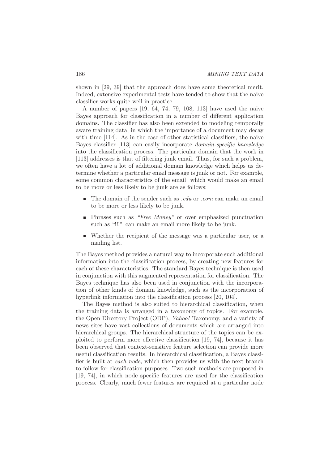shown in [29, 39] that the approach does have some theoretical merit. Indeed, extensive experimental tests have tended to show that the naive classifier works quite well in practice.

A number of papers [19, 64, 74, 79, 108, 113] have used the naive Bayes approach for classification in a number of different application domains. The classifier has also been extended to modeling temporally aware training data, in which the importance of a document may decay with time [114]. As in the case of other statistical classifiers, the naive Bayes classifier [113] can easily incorporate *domain-specific knowledge* into the classification process. The particular domain that the work in [113] addresses is that of filtering junk email. Thus, for such a problem, we often have a lot of additional domain knowledge which helps us determine whether a particular email message is junk or not. For example, some common characteristics of the email which would make an email to be more or less likely to be junk are as follows:

- The domain of the sender such as *.edu* or *.com* can make an email to be more or less likely to be junk.
- Phrases such as *"Free Money"* or over emphasized punctuation such as "!!!" can make an email more likely to be junk.
- Whether the recipient of the message was a particular user, or a mailing list.

The Bayes method provides a natural way to incorporate such additional information into the classification process, by creating new features for each of these characteristics. The standard Bayes technique is then used in conjunction with this augmented representation for classification. The Bayes technique has also been used in conjunction with the incorporation of other kinds of domain knowledge, such as the incorporation of hyperlink information into the classification process [20, 104].

The Bayes method is also suited to hierarchical classification, when the training data is arranged in a taxonomy of topics. For example, the Open Directory Project (ODP), *Yahoo!* Taxonomy, and a variety of news sites have vast collections of documents which are arranged into hierarchical groups. The hierarchical structure of the topics can be exploited to perform more effective classification [19, 74], because it has been observed that context-sensitive feature selection can provide more useful classification results. In hierarchical classification, a Bayes classifier is built at *each node*, which then provides us with the next branch to follow for classification purposes. Two such methods are proposed in [19, 74], in which node specific features are used for the classification process. Clearly, much fewer features are required at a particular node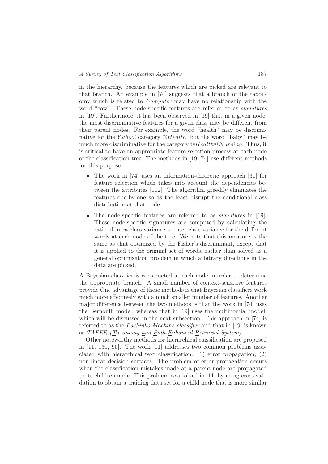in the hierarchy, because the features which are picked are relevant to that branch. An example in [74] suggests that a branch of the taxonomy which is related to *Computer* may have no relationship with the word "cow". These node-specific features are referred to as *signatures* in [19]. Furthermore, it has been observed in [19] that in a given node, the most discriminative features for a given class may be different from their parent nodes. For example, the word "health" may be discriminative for the Yahoo! category @Health, but the word "baby" may be much more discriminative for the category  $@Health@Nursing$ . Thus, it is critical to have an appropriate feature selection process at each node of the classification tree. The methods in [19, 74] use different methods for this purpose.

- The work in [74] uses an information-theoretic approach [31] for feature selection which takes into account the dependencies between the attributes [112]. The algorithm greedily eliminates the features one-by-one so as the least disrupt the conditional class distribution at that node.
- The node-specific features are referred to as *signatures* in [19]. These node-specific signatures are computed by calculating the ratio of intra-class variance to inter-class variance for the different words at each node of the tree. We note that this measure is the same as that optimized by the Fisher's discriminant, except that it is applied to the original set of words, rather than solved as a general optimization problem in which arbitrary directions in the data are picked.

A Bayesian classifier is constructed at each node in order to determine the appropriate branch. A small number of context-sensitive features provide One advantage of these methods is that Bayesian classifiers work much more effectively with a much smaller number of features. Another major difference between the two methods is that the work in [74] uses the Bernoulli model, whereas that in [19] uses the multinomial model, which will be discussed in the next subsection. This approach in [74] is referred to as the *Pachinko Machine classifier* and that in [19] is known as *TAPER (Taxonomy and Path Enhanced Retrieval System)*.

Other noteworthy methods for hierarchical classification are proposed in [11, 130, 95]. The work [11] addresses two common problems associated with hierarchical text classification: (1) error propagation; (2) non-linear decision surfaces. The problem of error propagation occurs when the classification mistakes made at a parent node are propagated to its children node. This problem was solved in [11] by using cross validation to obtain a training data set for a child node that is more similar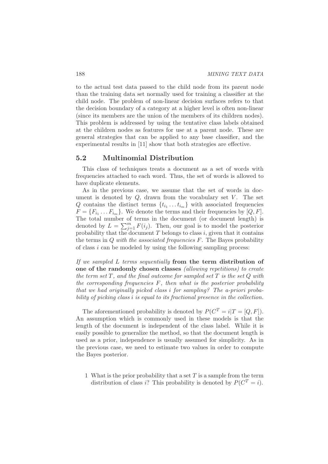to the actual test data passed to the child node from its parent node than the training data set normally used for training a classifier at the child node. The problem of non-linear decision surfaces refers to that the decision boundary of a category at a higher level is often non-linear (since its members are the union of the members of its children nodes). This problem is addressed by using the tentative class labels obtained at the children nodes as features for use at a parent node. These are general strategies that can be applied to any base classifier, and the experimental results in [11] show that both strategies are effective.

## **5.2 Multinomial Distribution**

This class of techniques treats a document as a set of words with frequencies attached to each word. Thus, the set of words is allowed to have duplicate elements.

As in the previous case, we assume that the set of words in document is denoted by  $Q$ , drawn from the vocabulary set  $V$ . The set Q contains the distinct terms  $\{t_{i_1} \ldots t_{i_m}\}$  with associated frequencies  $F = \{F_{i_1} \ldots F_{i_m}\}.$  We denote the terms and their frequencies by  $[Q, F].$ The total number of terms in the document (or document length) is denoted by  $L = \sum_{j=1}^{m} F(i_j)$ . Then, our goal is to model the posterior probability that the document  $T$  belongs to class  $i$ , given that it contains the terms in Q *with the associated frequencies* F. The Bayes probability of class i can be modeled by using the following sampling process:

*If we sampled* L *terms sequentially* **from the term distribution of one of the randomly chosen classes** *(allowing repetitions) to create the term set* T*, and the final outcome for sampled set* T *is the set* Q *with the corresponding frequencies* F*, then what is the posterior probability that we had originally picked class* i *for sampling? The a-priori probability of picking class* i *is equal to its fractional presence in the collection.*

The aforementioned probability is denoted by  $P(C^T = i|T = [Q, F])$ . An assumption which is commonly used in these models is that the length of the document is independent of the class label. While it is easily possible to generalize the method, so that the document length is used as a prior, independence is usually assumed for simplicity. As in the previous case, we need to estimate two values in order to compute the Bayes posterior.

1 What is the prior probability that a set  $T$  is a sample from the term distribution of class i? This probability is denoted by  $P(C^T = i)$ .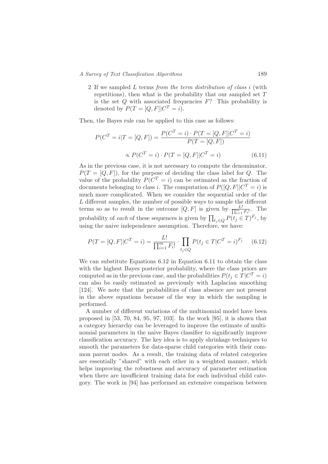2 If we sampled L terms *from the term distribution of class* i (with repetitions), then what is the probability that our sampled set T is the set  $Q$  with associated frequencies  $F$ ? This probability is denoted by  $P(T = [Q, F]|C^T = i)$ .

Then, the Bayes rule can be applied to this case as follows:

$$
P(C^{T} = i|T = [Q, F]) = \frac{P(C^{T} = i) \cdot P(T = [Q, F]|C^{T} = i)}{P(T = [Q, F])}
$$

$$
\propto P(C^{T} = i) \cdot P(T = [Q, F]|C^{T} = i)
$$
(6.11)

As in the previous case, it is not necessary to compute the denominator,  $P(T = [Q, F])$ , for the purpose of deciding the class label for Q. The value of the probability  $P(C^T = i)$  can be estimated as the fraction of documents belonging to class i. The computation of  $P([Q, F]|C^T = i)$  is much more complicated. When we consider the sequential order of the L different samples, the number of possible ways to sample the different terms so as to result in the outcome  $[Q, F]$  is given by  $\frac{L!}{\prod_{i=1}^m F_i!}$ . The probability of *each* of these sequences is given by  $\prod_{t_j \in Q} P(t_j \in T)^{F_j}$ , by using the naive independence assumption. Therefore, we have:

$$
P(T = [Q, F]|C^T = i) = \frac{L!}{\prod_{i=1}^m F_i!} \cdot \prod_{t_j \in Q} P(t_j \in T|C^T = i)^{F_j} \tag{6.12}
$$

We can substitute Equations 6.12 in Equation 6.11 to obtain the class with the highest Bayes posterior probability, where the class priors are computed as in the previous case, and the probabilities  $P(t_i \in \hat{T} | C^T = i)$ can also be easily estimated as previously with Laplacian smoothing [124]. We note that the probabilities of class absence are not present in the above equations because of the way in which the sampling is performed.

A number of different variations of the multinomial model have been proposed in [53, 70, 84, 95, 97, 103]. In the work [95], it is shown that a category hierarchy can be leveraged to improve the estimate of multinomial parameters in the naive Bayes classifier to significantly improve classification accuracy. The key idea is to apply shrinkage techniques to smooth the parameters for data-sparse child categories with their common parent nodes. As a result, the training data of related categories are essentially "shared" with each other in a weighted manner, which helps improving the robustness and accuracy of parameter estimation when there are insufficient training data for each individual child category. The work in [94] has performed an extensive comparison between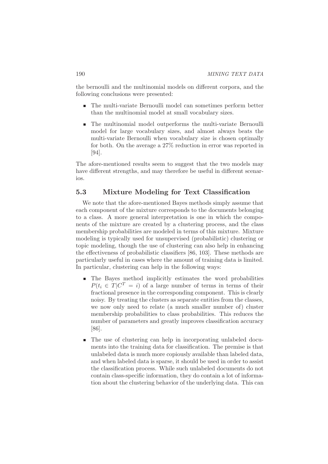the bernoulli and the multinomial models on different corpora, and the following conclusions were presented:

- The multi-variate Bernoulli model can sometimes perform better than the multinomial model at small vocabulary sizes.
- The multinomial model outperforms the multi-variate Bernoulli model for large vocabulary sizes, and almost always beats the multi-variate Bernoulli when vocabulary size is chosen optimally for both. On the average a 27% reduction in error was reported in [94].

The afore-mentioned results seem to suggest that the two models may have different strengths, and may therefore be useful in different scenarios.

# **5.3 Mixture Modeling for Text Classification**

We note that the afore-mentioned Bayes methods simply assume that each component of the mixture corresponds to the documents belonging to a class. A more general interpretation is one in which the components of the mixture are created by a clustering process, and the class membership probabilities are modeled in terms of this mixture. Mixture modeling is typically used for unsupervised (probabilistic) clustering or topic modeling, though the use of clustering can also help in enhancing the effectiveness of probabilistic classifiers [86, 103]. These methods are particularly useful in cases where the amount of training data is limited. In particular, clustering can help in the following ways:

- The Bayes method implicitly estimates the word probabilities  $P(t_i \in T | C^T = i)$  of a large number of terms in terms of their fractional presence in the corresponding component. This is clearly noisy. By treating the clusters as separate entities from the classes, we now only need to relate (a much smaller number of) cluster membership probabilities to class probabilities. This reduces the number of parameters and greatly improves classification accuracy [86].
- The use of clustering can help in incorporating unlabeled documents into the training data for classification. The premise is that unlabeled data is much more copiously available than labeled data, and when labeled data is sparse, it should be used in order to assist the classification process. While such unlabeled documents do not contain class-specific information, they do contain a lot of information about the clustering behavior of the underlying data. This can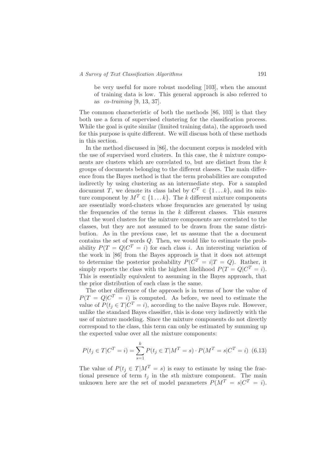be very useful for more robust modeling [103], when the amount of training data is low. This general approach is also referred to as *co-training* [9, 13, 37].

The common characteristic of both the methods [86, 103] is that they both use a form of supervised clustering for the classification process. While the goal is quite similar (limited training data), the approach used for this purpose is quite different. We will discuss both of these methods in this section.

In the method discussed in [86], the document corpus is modeled with the use of supervised word clusters. In this case, the  $k$  mixture components are clusters which are correlated to, but are distinct from the k groups of documents belonging to the different classes. The main difference from the Bayes method is that the term probabilities are computed indirectly by using clustering as an intermediate step. For a sampled document T, we denote its class label by  $C^T \in \{1...k\}$ , and its mixture component by  $M^T \in \{1 \dots k\}$ . The k different mixture components are essentially word-clusters whose frequencies are generated by using the frequencies of the terms in the  $k$  different classes. This ensures that the word clusters for the mixture components are correlated to the classes, but they are not assumed to be drawn from the same distribution. As in the previous case, let us assume that the a document contains the set of words Q. Then, we would like to estimate the probability  $P(T = Q|C^T = i)$  for each class i. An interesting variation of the work in [86] from the Bayes approach is that it does not attempt to determine the posterior probability  $P(C^T = i|T = Q)$ . Rather, it simply reports the class with the highest likelihood  $P(T = Q|C^T = i)$ . This is essentially equivalent to assuming in the Bayes approach, that the prior distribution of each class is the same.

The other difference of the approach is in terms of how the value of  $P(T = Q|C^T = i)$  is computed. As before, we need to estimate the value of  $P(t_i \in T | C^T = i)$ , according to the naive Bayes rule. However, unlike the standard Bayes classifier, this is done very indirectly with the use of mixture modeling. Since the mixture components do not directly correspond to the class, this term can only be estimated by summing up the expected value over all the mixture components:

$$
P(t_j \in T | C^T = i) = \sum_{s=1}^{k} P(t_j \in T | M^T = s) \cdot P(M^T = s | C^T = i) \tag{6.13}
$$

The value of  $P(t_j \in T | M^T = s)$  is easy to estimate by using the fractional presence of term  $t_i$  in the sth mixture component. The main unknown here are the set of model parameters  $P(M^T = s|C^T = i)$ .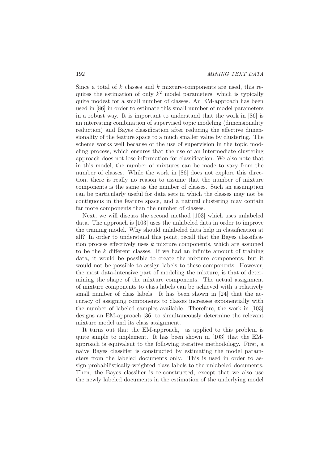Since a total of  $k$  classes and  $k$  mixture-components are used, this requires the estimation of only  $k^2$  model parameters, which is typically quite modest for a small number of classes. An EM-approach has been used in [86] in order to estimate this small number of model parameters in a robust way. It is important to understand that the work in [86] is an interesting combination of supervised topic modeling (dimensionality reduction) and Bayes classification after reducing the effective dimensionality of the feature space to a much smaller value by clustering. The scheme works well because of the use of supervision in the topic modeling process, which ensures that the use of an intermediate clustering approach does not lose information for classification. We also note that in this model, the number of mixtures can be made to vary from the number of classes. While the work in [86] does not explore this direction, there is really no reason to assume that the number of mixture components is the same as the number of classes. Such an assumption can be particularly useful for data sets in which the classes may not be contiguous in the feature space, and a natural clustering may contain far more components than the number of classes.

Next, we will discuss the second method [103] which uses unlabeled data. The approach is [103] uses the unlabeled data in order to improve the training model. Why should unlabeled data help in classification at all? In order to understand this point, recall that the Bayes classification process effectively uses  $k$  mixture components, which are assumed to be the  $k$  different classes. If we had an infinite amount of training data, it would be possible to create the mixture components, but it would not be possible to assign labels to these components. However, the most data-intensive part of modeling the mixture, is that of determining the shape of the mixture components. The actual assignment of mixture components to class labels can be achieved with a relatively small number of class labels. It has been shown in [24] that the accuracy of assigning components to classes increases exponentially with the number of labeled samples available. Therefore, the work in [103] designs an EM-approach [36] to simultaneously determine the relevant mixture model and its class assignment.

It turns out that the EM-approach, as applied to this problem is quite simple to implement. It has been shown in [103] that the EMapproach is equivalent to the following iterative methodology. First, a naive Bayes classifier is constructed by estimating the model parameters from the labeled documents only. This is used in order to assign probabilistically-weighted class labels to the unlabeled documents. Then, the Bayes classifier is re-constructed, except that we also use the newly labeled documents in the estimation of the underlying model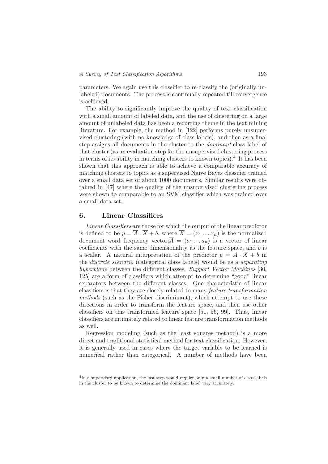parameters. We again use this classifier to re-classify the (originally unlabeled) documents. The process is continually repeated till convergence is achieved.

The ability to significantly improve the quality of text classification with a small amount of labeled data, and the use of clustering on a large amount of unlabeled data has been a recurring theme in the text mining literature. For example, the method in [122] performs purely unsupervised clustering (with no knowledge of class labels), and then as a final step assigns all documents in the cluster to the *dominant* class label of that cluster (as an evaluation step for the unsupervised clustering process in terms of its ability in matching clusters to known topics).<sup>4</sup> It has been shown that this approach is able to achieve a comparable accuracy of matching clusters to topics as a supervised Naive Bayes classifier trained over a small data set of about 1000 documents. Similar results were obtained in [47] where the quality of the unsupervised clustering process were shown to comparable to an SVM classifier which was trained over a small data set.

# **6. Linear Classifiers**

*Linear Classifiers* are those for which the output of the linear predictor is defined to be  $p = \overline{A} \cdot \overline{X} + b$ , where  $\overline{X} = (x_1 \dots x_n)$  is the normalized document word frequency vector,  $\overline{A} = (a_1 \dots a_n)$  is a vector of linear coefficients with the same dimensionality as the feature space, and b is a scalar. A natural interpretation of the predictor  $p = \overline{A} \cdot \overline{X} + b$  in the *discrete scenario* (categorical class labels) would be as a *separating hyperplane* between the different classes. *Support Vector Machines* [30, 125] are a form of classifiers which attempt to determine "good" linear separators between the different classes. One characteristic of linear classifiers is that they are closely related to many *feature transformation methods* (such as the Fisher discriminant), which attempt to use these directions in order to transform the feature space, and then use other classifiers on this transformed feature space [51, 56, 99]. Thus, linear classifiers are intimately related to linear feature transformation methods as well.

Regression modeling (such as the least squares method) is a more direct and traditional statistical method for text classification. However, it is generally used in cases where the target variable to be learned is numerical rather than categorical. A number of methods have been

<sup>&</sup>lt;sup>4</sup>In a supervised application, the last step would require only a small number of class labels in the cluster to be known to determine the dominant label very accurately.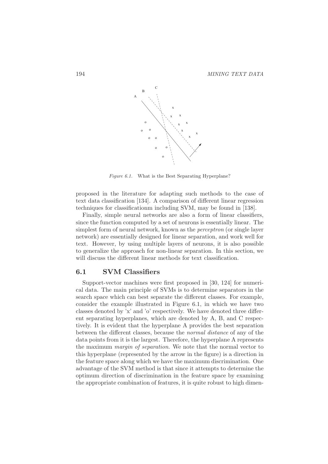

*Figure 6.1.* What is the Best Separating Hyperplane?

proposed in the literature for adapting such methods to the case of text data classification [134]. A comparison of different linear regression techniques for classificationm including SVM, may be found in [138].

Finally, simple neural networks are also a form of linear classifiers, since the function computed by a set of neurons is essentially linear. The simplest form of neural network, known as the *perceptron* (or single layer network) are essentially designed for linear separation, and work well for text. However, by using multiple layers of neurons, it is also possible to generalize the approach for non-linear separation. In this section, we will discuss the different linear methods for text classification.

#### **6.1 SVM Classifiers**

Support-vector machines were first proposed in [30, 124] for numerical data. The main principle of SVMs is to determine separators in the search space which can best separate the different classes. For example, consider the example illustrated in Figure 6.1, in which we have two classes denoted by 'x' and 'o' respectively. We have denoted three different separating hyperplanes, which are denoted by A, B, and C respectively. It is evident that the hyperplane A provides the best separation between the different classes, because the *normal distance* of any of the data points from it is the largest. Therefore, the hyperplane A represents the maximum *margin of separation*. We note that the normal vector to this hyperplane (represented by the arrow in the figure) is a direction in the feature space along which we have the maximum discrimination. One advantage of the SVM method is that since it attempts to determine the optimum direction of discrimination in the feature space by examining the appropriate combination of features, it is quite robust to high dimen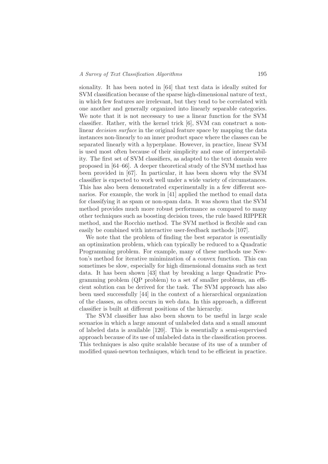sionality. It has been noted in [64] that text data is ideally suited for SVM classification because of the sparse high-dimensional nature of text, in which few features are irrelevant, but they tend to be correlated with one another and generally organized into linearly separable categories. We note that it is not necessary to use a linear function for the SVM classifier. Rather, with the kernel trick [6], SVM can construct a nonlinear *decision surface* in the original feature space by mapping the data instances non-linearly to an inner product space where the classes can be separated linearly with a hyperplane. However, in practice, linear SVM is used most often because of their simplicity and ease of interpretability. The first set of SVM classifiers, as adapted to the text domain were proposed in [64–66]. A deeper theoretical study of the SVM method has been provided in [67]. In particular, it has been shown why the SVM classifier is expected to work well under a wide variety of circumstances. This has also been demonstrated experimentally in a few different scenarios. For example, the work in [41] applied the method to email data for classifying it as spam or non-spam data. It was shown that the SVM method provides much more robust performance as compared to many other techniques such as boosting decision trees, the rule based RIPPER method, and the Rocchio method. The SVM method is flexible and can easily be combined with interactive user-feedback methods [107].

We note that the problem of finding the best separator is essentially an optimization problem, which can typically be reduced to a Quadratic Programming problem. For example, many of these methods use Newton's method for iterative minimization of a convex function. This can sometimes be slow, especially for high dimensional domains such as text data. It has been shown [43] that by breaking a large Quadratic Programming problem (QP problem) to a set of smaller problems, an efficient solution can be derived for the task. The SVM approach has also been used successfully [44] in the context of a hierarchical organization of the classes, as often occurs in web data. In this approach, a different classifier is built at different positions of the hierarchy.

The SVM classifier has also been shown to be useful in large scale scenarios in which a large amount of unlabeled data and a small amount of labeled data is available [120]. This is essentially a semi-supervised approach because of its use of unlabeled data in the classification process. This techniques is also quite scalable because of its use of a number of modified quasi-newton techniques, which tend to be efficient in practice.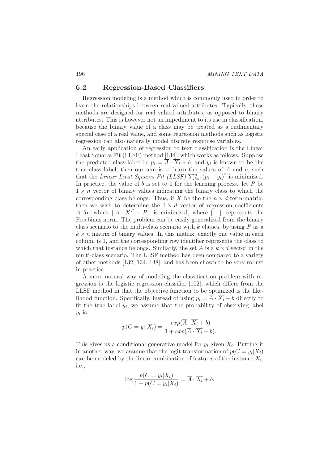# **6.2 Regression-Based Classifiers**

Regression modeling is a method which is commonly used in order to learn the relationships between real-valued attributes. Typically, these methods are designed for real valued attributes, as opposed to binary attributes. This is however not an impediment to its use in classification, because the binary value of a class may be treated as a rudimentary special case of a real value, and some regression methods such as logistic regression can also naturally model discrete response variables.

An early application of regression to text classification is the Linear Least Squares Fit (LLSF) method [134], which works as follows. Suppose the predicted class label be  $p_i = \overline{A} \cdot \overline{X_i} + b$ , and  $y_i$  is known to be the true class label, then our aim is to learn the values of  $A$  and  $b$ , such that the *Linear Least Squares Fit (LLSF)*  $\sum_{i=1}^{n} (p_i - y_i)^2$  is minimized. In practice, the value of  $b$  is set to 0 for the learning process. let  $P$  be  $1 \times n$  vector of binary values indicating the binary class to which the corresponding class belongs. Thus, if X be the the  $n \times d$  term-matrix, then we wish to determine the  $1 \times d$  vector of regression coefficients A for which  $||A \cdot X^T - P||$  is minimized, where  $|| \cdot ||$  represents the Froebinus norm. The problem can be easily generalized from the binary class scenario to the multi-class scenario with  $k$  classes, by using  $P$  as a  $k \times n$  matrix of binary values. In this matrix, exactly one value in each column is 1, and the corresponding row identifier represents the class to which that instance belongs. Similarly, the set A is a  $k \times d$  vector in the multi-class scenario. The LLSF method has been compared to a variety of other methods [132, 134, 138], and has been shown to be very robust in practice.

A more natural way of modeling the classification problem with regression is the logistic regression classifier [102], which differs from the LLSF method in that the objective function to be optimized is the likelihood function. Specifically, instead of using  $p_i = \overline{A} \cdot \overline{X_i} + b$  directly to fit the true label  $y_i$ , we assume that the probability of observing label  $y_i$  is:

$$
p(C = y_i | X_i) = \frac{exp(\overline{A} \cdot \overline{X_i} + b)}{1 + exp(\overline{A} \cdot \overline{X_i} + b)}.
$$

This gives us a conditional generative model for  $y_i$  given  $X_i$ . Putting it in another way, we assume that the logit transformation of  $p(C = y_i|X_i)$ can be modeled by the linear combination of features of the instance  $X_i$ , i.e.,

$$
\log \frac{p(C = y_i | X_i)}{1 - p(C = y_i | X_i)} = \overline{A} \cdot \overline{X_i} + b.
$$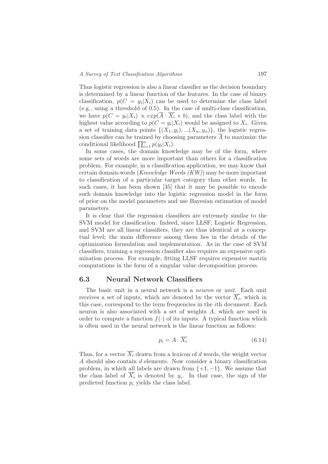Thus logistic regression is also a linear classifier as the decision boundary is determined by a linear function of the features. In the case of binary classification,  $p(C = y_i|X_i)$  can be used to determine the class label (e.g., using a threshold of 0.5). In the case of multi-class classification, we have  $p(C = y_i|X_i) \propto exp(\overline{A} \cdot \overline{X_i} + b)$ , and the class label with the highest value according to  $p(C = y_i | X_i)$  would be assigned to  $X_i$ . Given a set of training data points  $\{(X_1,y_i),...,(X_n,y_n)\}\)$ , the logistic regression classifier can be trained by choosing parameters  $\overline{A}$  to maximize the conditional likelihood  $\prod_{i=1}^{n} p(y_i|X_i)$ .

In some cases, the domain knowledge may be of the form, where some sets of words are more important than others for a classification problem. For example, in a classification application, we may know that certain domain-words (*Knowledge Words (KW)*) may be more important to classification of a particular target category than other words. In such cases, it has been shown [35] that it may be possible to encode such domain knowledge into the logistic regression model in the form of prior on the model parameters and use Bayesian estimation of model parameters.

It is clear that the regression classifiers are extremely similar to the SVM model for classification. Indeed, since LLSF, Logistic Regression, and SVM are all linear classifiers, they are thus identical at a conceptual level; the main difference among them lies in the details of the optimization formulation and implementation. As in the case of SVM classifiers, training a regression classifier also requires an expensive optimization process. For example, fitting LLSF requires expensive matrix computations in the form of a singular value decomposition process.

## **6.3 Neural Network Classifiers**

The basic unit in a neural network is a *neuron* or *unit*. Each unit receives a set of inputs, which are denoted by the vector  $X_i$ , which in this case, correspond to the term frequencies in the ith document. Each neuron is also associated with a set of weights A, which are used in order to compute a function  $f(\cdot)$  of its inputs. A typical function which is often used in the neural network is the linear function as follows:

$$
p_i = A \cdot \overline{X_i} \tag{6.14}
$$

Thus, for a vector  $\overline{X_i}$  drawn from a lexicon of d words, the weight vector A should also contain d elements. Now consider a binary classification problem, in which all labels are drawn from  $\{+1, -1\}$ . We assume that the class label of  $\overline{X_i}$  is denoted by  $y_i$ . In that case, the sign of the predicted function  $p_i$  yields the class label.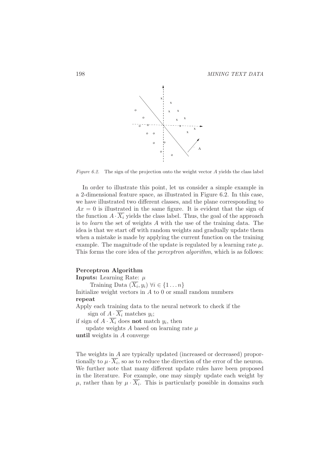

*Figure 6.2.* The sign of the projection onto the weight vector A yields the class label

In order to illustrate this point, let us consider a simple example in a 2-dimensional feature space, as illustrated in Figure 6.2. In this case, we have illustrated two different classes, and the plane corresponding to  $Ax = 0$  is illustrated in the same figure. It is evident that the sign of the function  $A \cdot \overline{X_i}$  yields the class label. Thus, the goal of the approach is to *learn* the set of weights A with the use of the training data. The idea is that we start off with random weights and gradually update them when a mistake is made by applying the current function on the training example. The magnitude of the update is regulated by a learning rate  $\mu$ . This forms the core idea of the *perceptron algorithm*, which is as follows:

### **Perceptron Algorithm**

**Inputs:** Learning Rate: μ

Training Data  $(\overline{X_i}, y_i)$   $\forall i \in \{1 \dots n\}$ 

Initialize weight vectors in  $A$  to  $0$  or small random numbers **repeat**

Apply each training data to the neural network to check if the sign of  $A \cdot \overline{X_i}$  matches  $y_i$ ;

if sign of  $A \cdot \overline{X_i}$  does **not** match  $y_i$ , then

update weights A based on learning rate  $\mu$ 

**until** weights in A converge

The weights in A are typically updated (increased or decreased) proportionally to  $\mu \cdot \overline{X_i}$ , so as to reduce the direction of the error of the neuron. We further note that many different update rules have been proposed in the literature. For example, one may simply update each weight by  $\mu$ , rather than by  $\mu \cdot \overline{X_i}$ . This is particularly possible in domains such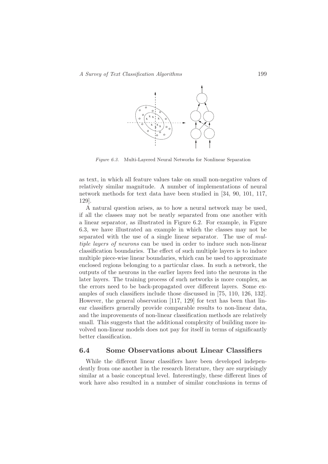

*Figure 6.3.* Multi-Layered Neural Networks for Nonlinear Separation

as text, in which all feature values take on small non-negative values of relatively similar magnitude. A number of implementations of neural network methods for text data have been studied in [34, 90, 101, 117, 129].

A natural question arises, as to how a neural network may be used, if all the classes may not be neatly separated from one another with a linear separator, as illustrated in Figure 6.2. For example, in Figure 6.3, we have illustrated an example in which the classes may not be separated with the use of a single linear separator. The use of *multiple layers of neurons* can be used in order to induce such non-linear classification boundaries. The effect of such multiple layers is to induce multiple piece-wise linear boundaries, which can be used to approximate enclosed regions belonging to a particular class. In such a network, the outputs of the neurons in the earlier layers feed into the neurons in the later layers. The training process of such networks is more complex, as the errors need to be back-propagated over different layers. Some examples of such classifiers include those discussed in [75, 110, 126, 132]. However, the general observation [117, 129] for text has been that linear classifiers generally provide comparable results to non-linear data, and the improvements of non-linear classification methods are relatively small. This suggests that the additional complexity of building more involved non-linear models does not pay for itself in terms of significantly better classification.

# **6.4 Some Observations about Linear Classifiers**

While the different linear classifiers have been developed independently from one another in the research literature, they are surprisingly similar at a basic conceptual level. Interestingly, these different lines of work have also resulted in a number of similar conclusions in terms of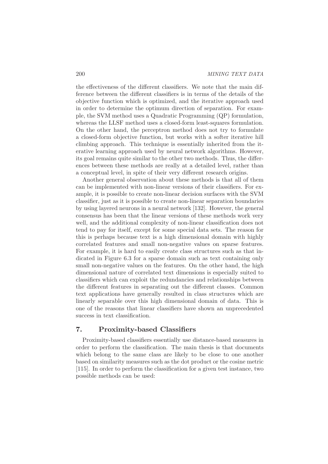the effectiveness of the different classifiers. We note that the main difference between the different classifiers is in terms of the details of the objective function which is optimized, and the iterative approach used in order to determine the optimum direction of separation. For example, the SVM method uses a Quadratic Programming (QP) formulation, whereas the LLSF method uses a closed-form least-squares formulation. On the other hand, the perceptron method does not try to formulate a closed-form objective function, but works with a softer iterative hill climbing approach. This technique is essentially inherited from the iterative learning approach used by neural network algorithms. However, its goal remains quite similar to the other two methods. Thus, the differences between these methods are really at a detailed level, rather than a conceptual level, in spite of their very different research origins.

Another general observation about these methods is that all of them can be implemented with non-linear versions of their classifiers. For example, it is possible to create non-linear decision surfaces with the SVM classifier, just as it is possible to create non-linear separation boundaries by using layered neurons in a neural network [132]. However, the general consensus has been that the linear versions of these methods work very well, and the additional complexity of non-linear classification does not tend to pay for itself, except for some special data sets. The reason for this is perhaps because text is a high dimensional domain with highly correlated features and small non-negative values on sparse features. For example, it is hard to easily create class structures such as that indicated in Figure 6.3 for a sparse domain such as text containing only small non-negative values on the features. On the other hand, the high dimensional nature of correlated text dimensions is especially suited to classifiers which can exploit the redundancies and relationships between the different features in separating out the different classes. Common text applications have generally resulted in class structures which are linearly separable over this high dimensional domain of data. This is one of the reasons that linear classifiers have shown an unprecedented success in text classification.

# **7. Proximity-based Classifiers**

Proximity-based classifiers essentially use distance-based measures in order to perform the classification. The main thesis is that documents which belong to the same class are likely to be close to one another based on similarity measures such as the dot product or the cosine metric [115]. In order to perform the classification for a given test instance, two possible methods can be used: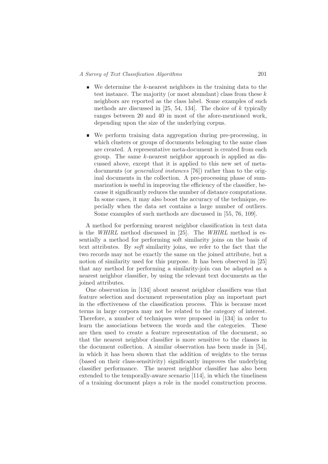- $\blacksquare$  We determine the k-nearest neighbors in the training data to the test instance. The majority (or most abundant) class from these  $k$ neighbors are reported as the class label. Some examples of such methods are discussed in [25, 54, 134]. The choice of  $k$  typically ranges between 20 and 40 in most of the afore-mentioned work, depending upon the size of the underlying corpus.
- We perform training data aggregation during pre-processing, in which clusters or groups of documents belonging to the same class are created. A representative meta-document is created from each group. The same k-nearest neighbor approach is applied as discussed above, except that it is applied to this new set of metadocuments (or *generalized instances* [76]) rather than to the original documents in the collection. A pre-processing phase of summarization is useful in improving the efficiency of the classifier, because it significantly reduces the number of distance computations. In some cases, it may also boost the accuracy of the technique, especially when the data set contains a large number of outliers. Some examples of such methods are discussed in [55, 76, 109].

A method for performing nearest neighbor classification in text data is the *WHIRL* method discussed in [25]. The *WHIRL* method is essentially a method for performing soft similarity joins on the basis of text attributes. By *soft* similarity joins, we refer to the fact that the two records may not be exactly the same on the joined attribute, but a notion of similarity used for this purpose. It has been observed in [25] that any method for performing a similarity-join can be adapted as a nearest neighbor classifier, by using the relevant text documents as the joined attributes.

One observation in [134] about nearest neighbor classifiers was that feature selection and document representation play an important part in the effectiveness of the classification process. This is because most terms in large corpora may not be related to the category of interest. Therefore, a number of techniques were proposed in [134] in order to learn the associations between the words and the categories. These are then used to create a feature representation of the document, so that the nearest neighbor classifier is more sensitive to the classes in the document collection. A similar observation has been made in [54], in which it has been shown that the addition of weights to the terms (based on their class-sensitivity) significantly improves the underlying classifier performance. The nearest neighbor classifier has also been extended to the temporally-aware scenario [114], in which the timeliness of a training document plays a role in the model construction process.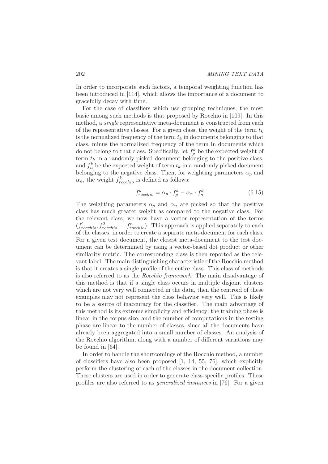In order to incorporate such factors, a temporal weighting function has been introduced in [114], which allows the importance of a document to gracefully decay with time.

For the case of classifiers which use grouping techniques, the most basic among such methods is that proposed by Rocchio in [109]. In this method, a *single* representative meta-document is constructed from each of the representative classes. For a given class, the weight of the term  $t_k$ is the normalized frequency of the term  $t_k$  in documents belonging to that class, minus the normalized frequency of the term in documents which do not belong to that class. Specifically, let  $f_p^k$  be the expected weight of term  $t_k$  in a randomly picked document belonging to the positive class, and  $f_n^k$  be the expected weight of term  $t_k$  in a randomly picked document belonging to the negative class. Then, for weighting parameters  $\alpha_p$  and  $\alpha_n$ , the weight  $f_{rocchio}^k$  is defined as follows:

$$
f_{rocchio}^k = \alpha_p \cdot f_p^k - \alpha_n \cdot f_n^k \tag{6.15}
$$

The weighting parameters  $\alpha_p$  and  $\alpha_n$  are picked so that the positive class has much greater weight as compared to the negative class. For the relevant class, we now have a vector representation of the terms  $(f_{rocchio}^1, f_{rocchio}^2, \ldots, f_{rocchio}^n)$ . This approach is applied separately to each of the classes, in order to create a separate meta-document for each class. For a given test document, the closest meta-document to the test document can be determined by using a vector-based dot product or other similarity metric. The corresponding class is then reported as the relevant label. The main distinguishing characteristic of the Rocchio method is that it creates a single profile of the entire class. This class of methods is also referred to as the *Rocchio framework*. The main disadvantage of this method is that if a single class occurs in multiple disjoint clusters which are not very well connected in the data, then the centroid of these examples may not represent the class behavior very well. This is likely to be a source of inaccuracy for the classifier. The main advantage of this method is its extreme simplicity and efficiency; the training phase is linear in the corpus size, and the number of computations in the testing phase are linear to the number of classes, since all the documents have already been aggregated into a small number of classes. An analysis of the Rocchio algorithm, along with a number of different variations may be found in [64].

In order to handle the shortcomings of the Rocchio method, a number of classifiers have also been proposed [1, 14, 55, 76], which explicitly perform the clustering of each of the classes in the document collection. These clusters are used in order to generate class-specific profiles. These profiles are also referred to as *generalized instances* in [76]. For a given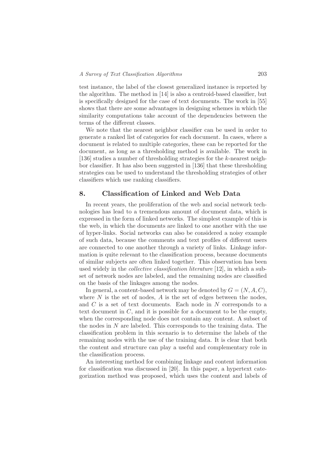test instance, the label of the closest generalized instance is reported by the algorithm. The method in [14] is also a centroid-based classifier, but is specifically designed for the case of text documents. The work in [55] shows that there are some advantages in designing schemes in which the similarity computations take account of the dependencies between the terms of the different classes.

We note that the nearest neighbor classifier can be used in order to generate a ranked list of categories for each document. In cases, where a document is related to multiple categories, these can be reported for the document, as long as a thresholding method is available. The work in [136] studies a number of thresholding strategies for the k-nearest neighbor classifier. It has also been suggested in [136] that these thresholding strategies can be used to understand the thresholding strategies of other classifiers which use ranking classifiers.

# **8. Classification of Linked and Web Data**

In recent years, the proliferation of the web and social network technologies has lead to a tremendous amount of document data, which is expressed in the form of linked networks. The simplest example of this is the web, in which the documents are linked to one another with the use of hyper-links. Social networks can also be considered a noisy example of such data, because the comments and text profiles of different users are connected to one another through a variety of links. Linkage information is quite relevant to the classification process, because documents of similar subjects are often linked together. This observation has been used widely in the *collective classification literature* [12], in which a subset of network nodes are labeled, and the remaining nodes are classified on the basis of the linkages among the nodes.

In general, a content-based network may be denoted by  $G = (N, A, C)$ , where  $N$  is the set of nodes,  $A$  is the set of edges between the nodes, and C is a set of text documents. Each node in N corresponds to a text document in  $C$ , and it is possible for a document to be the empty, when the corresponding node does not contain any content. A subset of the nodes in  $N$  are labeled. This corresponds to the training data. The classification problem in this scenario is to determine the labels of the remaining nodes with the use of the training data. It is clear that both the content and structure can play a useful and complementary role in the classification process.

An interesting method for combining linkage and content information for classification was discussed in [20]. In this paper, a hypertext categorization method was proposed, which uses the content and labels of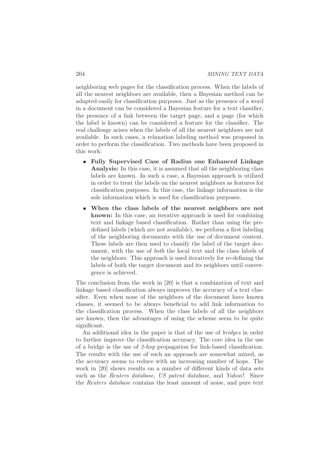neighboring web pages for the classification process. When the labels of all the nearest neighbors are available, then a Bayesian method can be adapted easily for classification purposes. Just as the presence of a word in a document can be considered a Bayesian feature for a text classifier, the presence of a link between the target page, and a page (for which the label is known) can be considered a feature for the classifier. The real challenge arises when the labels of all the nearest neighbors are not available. In such cases, a relaxation labeling method was proposed in order to perform the classification. Two methods have been proposed in this work:

- **Fully Supervised Case of Radius one Enhanced Linkage Analysis:** In this case, it is assumed that all the neighboring class labels are known. In such a case, a Bayesian approach is utilized in order to treat the labels on the nearest neighbors as features for classification purposes. In this case, the linkage information is the sole information which is used for classification purposes.
- **When the class labels of the nearest neighbors are not known:** In this case, an iterative approach is used for combining text and linkage based classification. Rather than using the predefined labels (which are not available), we perform a first labeling of the neighboring documents with the use of document content. These labels are then used to classify the label of the target document, with the use of *both* the local text and the class labels of the neighbors. This approach is used iteratively for re-defining the labels of both the target document and its neighbors until convergence is achieved.

The conclusion from the work in [20] is that a combination of text and linkage based classification always improves the accuracy of a text classifier. Even when none of the neighbors of the document have known classes, it seemed to be always beneficial to add link information to the classification process. When the class labels of all the neighbors are known, then the advantages of using the scheme seem to be quite significant.

An additional idea in the paper is that of the use of *bridges* in order to further improve the classification accuracy. The core idea in the use of a bridge is the use of *2-hop* propagation for link-based classification. The results with the use of such an approach are somewhat mixed, as the accuracy seems to reduce with an increasing number of hops. The work in [20] shows results on a number of different kinds of data sets such as the *Reuters database*, *US patent database*, and *Yahoo!*. Since the *Reuters database* contains the least amount of noise, and pure text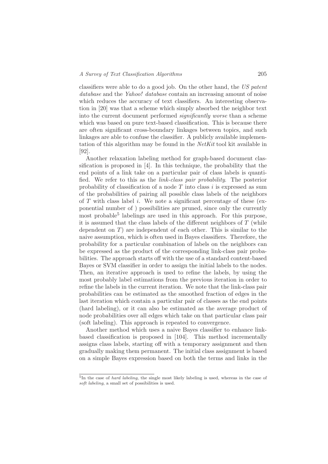classifiers were able to do a good job. On the other hand, the *US patent database* and the *Yahoo! database* contain an increasing amount of noise which reduces the accuracy of text classifiers. An interesting observation in [20] was that a scheme which simply absorbed the neighbor text into the current document performed *significantly worse* than a scheme which was based on pure text-based classification. This is because there are often significant cross-boundary linkages between topics, and such linkages are able to confuse the classifier. A publicly available implementation of this algorithm may be found in the *NetKit* tool kit available in [92].

Another relaxation labeling method for graph-based document classification is proposed in [4]. In this technique, the probability that the end points of a link take on a particular pair of class labels is quantified. We refer to this as the *link-class pair probability*. The posterior probability of classification of a node  $T$  into class i is expressed as sum of the probabilities of pairing all possible class labels of the neighbors of  $T$  with class label  $i$ . We note a significant percentage of these (exponential number of ) possibilities are pruned, since only the currently most probable $5$  labelings are used in this approach. For this purpose, it is assumed that the class labels of the different neighbors of  $T$  (while dependent on  $T$ ) are independent of each other. This is similar to the naive assumption, which is often used in Bayes classifiers. Therefore, the probability for a particular combination of labels on the neighbors can be expressed as the product of the corresponding link-class pair probabilities. The approach starts off with the use of a standard content-based Bayes or SVM classifier in order to assign the initial labels to the nodes. Then, an iterative approach is used to refine the labels, by using the most probably label estimations from the previous iteration in order to refine the labels in the current iteration. We note that the link-class pair probabilities can be estimated as the smoothed fraction of edges in the last iteration which contain a particular pair of classes as the end points (hard labeling), or it can also be estimated as the average product of node probabilities over all edges which take on that particular class pair (soft labeling). This approach is repeated to convergence.

Another method which uses a naive Bayes classifier to enhance linkbased classification is proposed in [104]. This method incrementally assigns class labels, starting off with a temporary assignment and then gradually making them permanent. The initial class assignment is based on a simple Bayes expression based on both the terms and links in the

<sup>&</sup>lt;sup>5</sup>In the case of *hard labeling*, the single most likely labeling is used, whereas in the case of soft labeling, a small set of possibilities is used.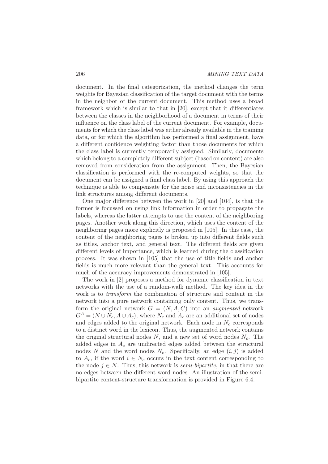document. In the final categorization, the method changes the term weights for Bayesian classification of the target document with the terms in the neighbor of the current document. This method uses a broad framework which is similar to that in [20], except that it differentiates between the classes in the neighborhood of a document in terms of their influence on the class label of the current document. For example, documents for which the class label was either already available in the training data, or for which the algorithm has performed a final assignment, have a different confidence weighting factor than those documents for which the class label is currently temporarily assigned. Similarly, documents which belong to a completely different subject (based on content) are also removed from consideration from the assignment. Then, the Bayesian classification is performed with the re-computed weights, so that the document can be assigned a final class label. By using this approach the technique is able to compensate for the noise and inconsistencies in the link structures among different documents.

One major difference between the work in [20] and [104], is that the former is focussed on using link information in order to propagate the labels, whereas the latter attempts to use the content of the neighboring pages. Another work along this direction, which uses the content of the neighboring pages more explicitly is proposed in [105]. In this case, the content of the neighboring pages is broken up into different fields such as titles, anchor text, and general text. The different fields are given different levels of importance, which is learned during the classification process. It was shown in [105] that the use of title fields and anchor fields is much more relevant than the general text. This accounts for much of the accuracy improvements demonstrated in [105].

The work in [2] proposes a method for dynamic classification in text networks with the use of a random-walk method. The key idea in the work is to *transform* the combination of structure and content in the network into a pure network containing only content. Thus, we transform the original network  $G = (N, A, C)$  into an *augmented* network  $G^{A} = (N \cup N_{c}, A \cup A_{c})$ , where  $N_{c}$  and  $A_{c}$  are an additional set of nodes and edges added to the original network. Each node in  $N_c$  corresponds to a distinct word in the lexicon. Thus, the augmented network contains the original structural nodes N, and a new set of word nodes  $N_c$ . The added edges in  $A_c$  are undirected edges added between the structural nodes N and the word nodes  $N_c$ . Specifically, an edge  $(i, j)$  is added to  $A_c$ , if the word  $i \in N_c$  occurs in the text content corresponding to the node  $j \in N$ . Thus, this network is *semi-bipartite*, in that there are no edges between the different word nodes. An illustration of the semibipartite content-structure transformation is provided in Figure 6.4.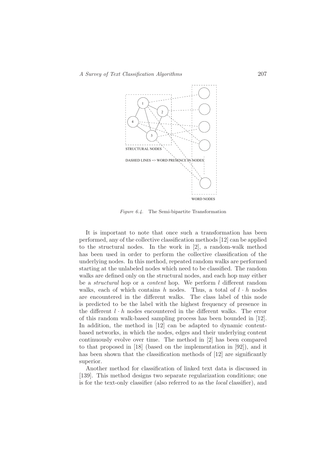

*Figure 6.4.* The Semi-bipartite Transformation

It is important to note that once such a transformation has been performed, any of the collective classification methods [12] can be applied to the structural nodes. In the work in [2], a random-walk method has been used in order to perform the collective classification of the underlying nodes. In this method, repeated random walks are performed starting at the unlabeled nodes which need to be classified. The random walks are defined only on the structural nodes, and each hop may either be a *structural* hop or a *content* hop. We perform l different random walks, each of which contains h nodes. Thus, a total of  $l \cdot h$  nodes are encountered in the different walks. The class label of this node is predicted to be the label with the highest frequency of presence in the different  $l \cdot h$  nodes encountered in the different walks. The error of this random walk-based sampling process has been bounded in [12]. In addition, the method in [12] can be adapted to dynamic contentbased networks, in which the nodes, edges and their underlying content continuously evolve over time. The method in [2] has been compared to that proposed in [18] (based on the implementation in [92]), and it has been shown that the classification methods of [12] are significantly superior.

Another method for classification of linked text data is discussed in [139]. This method designs two separate regularization conditions; one is for the text-only classifier (also referred to as the *local* classifier), and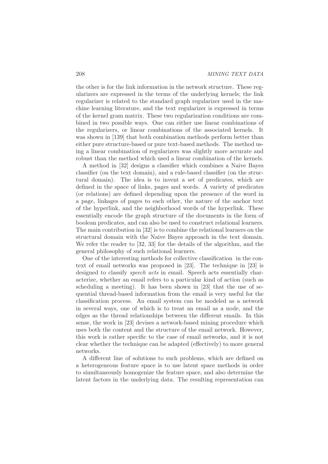the other is for the link information in the network structure. These regularizers are expressed in the terms of the underlying kernels; the link regularizer is related to the standard graph regularizer used in the machine learning literature, and the text regularizer is expressed in terms of the kernel gram matrix. These two regularization conditions are combined in two possible ways. One can either use linear combinations of the regularizers, or linear combinations of the associated kernels. It was shown in [139] that both combination methods perform better than either pure structure-based or pure text-based methods. The method using a linear combination of regularizers was slightly more accurate and robust than the method which used a linear combination of the kernels.

A method in [32] designs a classifier which combines a Naive Bayes classifier (on the text domain), and a rule-based classifier (on the structural domain). The idea is to invent a set of predicates, which are defined in the space of links, pages and words. A variety of predicates (or relations) are defined depending upon the presence of the word in a page, linkages of pages to each other, the nature of the anchor text of the hyperlink, and the neighborhood words of the hyperlink. These essentially encode the graph structure of the documents in the form of boolean predicates, and can also be used to construct relational learners. The main contribution in [32] is to combine the relational learners on the structural domain with the Naive Bayes approach in the text domain. We refer the reader to [32, 33] for the details of the algorithm, and the general philosophy of such relational learners.

One of the interesting methods for collective classification in the context of email networks was proposed in [23]. The technique in [23] is designed to classify *speech acts* in email. Speech acts essentially characterize, whether an email refers to a particular kind of action (such as scheduling a meeting). It has been shown in [23] that the use of sequential thread-based information from the email is very useful for the classification process. An email system can be modeled as a network in several ways, one of which is to treat an email as a node, and the edges as the thread relationships between the different emails. In this sense, the work in [23] devises a network-based mining procedure which uses both the content and the structure of the email network. However, this work is rather specific to the case of email networks, and it is not clear whether the technique can be adapted (effectively) to more general networks.

A different line of solutions to such problems, which are defined on a heterogeneous feature space is to use latent space methods in order to simultaneously homogenize the feature space, and also determine the latent factors in the underlying data. The resulting representation can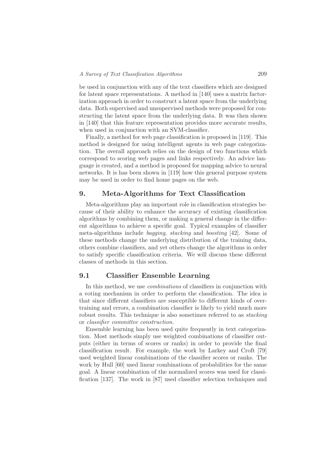be used in conjunction with any of the text classifiers which are designed for latent space representations. A method in [140] uses a matrix factorization approach in order to construct a latent space from the underlying data. Both supervised and unsupervised methods were proposed for constructing the latent space from the underlying data. It was then shown in [140] that this feature representation provides more accurate results, when used in conjunction with an SVM-classifier.

Finally, a method for web page classification is proposed in [119]. This method is designed for using intelligent agents in web page categorization. The overall approach relies on the design of two functions which correspond to scoring web pages and links respectively. An advice language is created, and a method is proposed for mapping advice to neural networks. It is has been shown in [119] how this general purpose system may be used in order to find home pages on the web.

## **9. Meta-Algorithms for Text Classification**

Meta-algorithms play an important role in classification strategies because of their ability to enhance the accuracy of existing classification algorithms by combining them, or making a general change in the different algorithms to achieve a specific goal. Typical examples of classifier meta-algorithms include *bagging*, *stacking* and *boosting* [42]. Some of these methods change the underlying distribution of the training data, others combine classifiers, and yet others change the algorithms in order to satisfy specific classification criteria. We will discuss these different classes of methods in this section.

### **9.1 Classifier Ensemble Learning**

In this method, we use *combinations* of classifiers in conjunction with a voting mechanism in order to perform the classification. The idea is that since different classifiers are susceptible to different kinds of overtraining and errors, a combination classifier is likely to yield much more robust results. This technique is also sometimes referred to as *stacking* or *classifier committee construction*.

Ensemble learning has been used quite frequently in text categorization. Most methods simply use weighted combinations of classifier outputs (either in terms of scores or ranks) in order to provide the final classification result. For example, the work by Larkey and Croft [79] used weighted linear combinations of the classifier scores or ranks. The work by Hull [60] used linear combinations of probabilities for the same goal. A linear combination of the normalized scores was used for classification [137]. The work in [87] used classifier selection techniques and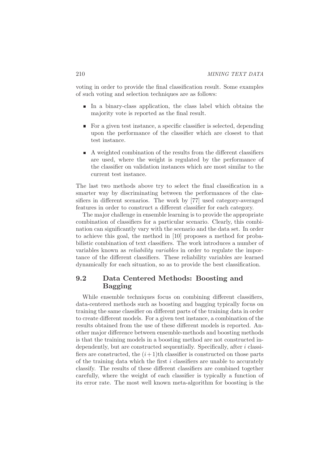voting in order to provide the final classification result. Some examples of such voting and selection techniques are as follows:

- In a binary-class application, the class label which obtains the majority vote is reported as the final result.
- For a given test instance, a specific classifier is selected, depending upon the performance of the classifier which are closest to that test instance.
- A weighted combination of the results from the different classifiers are used, where the weight is regulated by the performance of the classifier on validation instances which are most similar to the current test instance.

The last two methods above try to select the final classification in a smarter way by discriminating between the performances of the classifiers in different scenarios. The work by [77] used category-averaged features in order to construct a different classifier for each category.

The major challenge in ensemble learning is to provide the appropriate combination of classifiers for a particular scenario. Clearly, this combination can significantly vary with the scenario and the data set. In order to achieve this goal, the method in [10] proposes a method for probabilistic combination of text classifiers. The work introduces a number of variables known as *reliability variables* in order to regulate the importance of the different classifiers. These reliability variables are learned dynamically for each situation, so as to provide the best classification.

# **9.2 Data Centered Methods: Boosting and Bagging**

While ensemble techniques focus on combining different classifiers, data-centered methods such as boosting and bagging typically focus on training the same classifier on different parts of the training data in order to create different models. For a given test instance, a combination of the results obtained from the use of these different models is reported. Another major difference between ensemble-methods and boosting methods is that the training models in a boosting method are not constructed independently, but are constructed sequentially. Specifically, after i classifiers are constructed, the  $(i+1)$ <sup>th</sup> classifier is constructed on those parts of the training data which the first  $i$  classifiers are unable to accurately classify. The results of these different classifiers are combined together carefully, where the weight of each classifier is typically a function of its error rate. The most well known meta-algorithm for boosting is the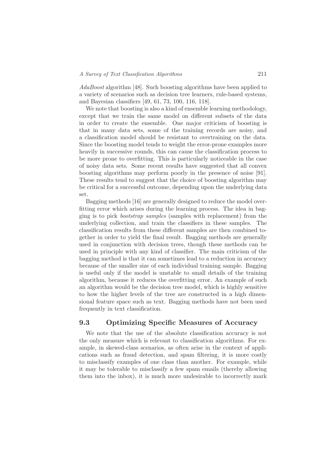*AdaBoost* algorithm [48]. Such boosting algorithms have been applied to a variety of scenarios such as decision tree learners, rule-based systems, and Bayesian classifiers [49, 61, 73, 100, 116, 118].

We note that boosting is also a kind of ensemble learning methodology, except that we train the same model on different subsets of the data in order to create the ensemble. One major criticism of boosting is that in many data sets, some of the training records are noisy, and a classification model should be resistant to overtraining on the data. Since the boosting model tends to weight the error-prone examples more heavily in successive rounds, this can cause the classification process to be more prone to overfitting. This is particularly noticeable in the case of noisy data sets. Some recent results have suggested that all convex boosting algorithms may perform poorly in the presence of noise [91]. These results tend to suggest that the choice of boosting algorithm may be critical for a successful outcome, depending upon the underlying data set.

Bagging methods [16] are generally designed to reduce the model overfitting error which arises during the learning process. The idea in bagging is to pick *bootstrap samples* (samples with replacement) from the underlying collection, and train the classifiers in these samples. The classification results from these different samples are then combined together in order to yield the final result. Bagging methods are generally used in conjunction with decision trees, though these methods can be used in principle with any kind of classifier. The main criticism of the bagging method is that it can sometimes lead to a reduction in accuracy because of the smaller size of each individual training sample. Bagging is useful only if the model is unstable to small details of the training algorithm, because it reduces the overfitting error. An example of such an algorithm would be the decision tree model, which is highly sensitive to how the higher levels of the tree are constructed in a high dimensional feature space such as text. Bagging methods have not been used frequently in text classification.

# **9.3 Optimizing Specific Measures of Accuracy**

We note that the use of the absolute classification accuracy is not the only measure which is relevant to classification algorithms. For example, in skewed-class scenarios, as often arise in the context of applications such as fraud detection, and spam filtering, it is more costly to misclassify examples of one class than another. For example, while it may be tolerable to misclassify a few spam emails (thereby allowing them into the inbox), it is much more undesirable to incorrectly mark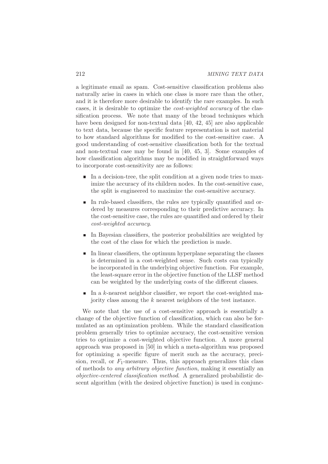a legitimate email as spam. Cost-sensitive classification problems also naturally arise in cases in which one class is more rare than the other, and it is therefore more desirable to identify the rare examples. In such cases, it is desirable to optimize the *cost-weighted accuracy* of the classification process. We note that many of the broad techniques which have been designed for non-textual data [40, 42, 45] are also applicable to text data, because the specific feature representation is not material to how standard algorithms for modified to the cost-sensitive case. A good understanding of cost-sensitive classification both for the textual and non-textual case may be found in [40, 45, 3]. Some examples of how classification algorithms may be modified in straightforward ways to incorporate cost-sensitivity are as follows:

- In a decision-tree, the split condition at a given node tries to maximize the accuracy of its children nodes. In the cost-sensitive case, the split is engineered to maximize the cost-sensitive accuracy.
- In rule-based classifiers, the rules are typically quantified and ordered by measures corresponding to their predictive accuracy. In the cost-sensitive case, the rules are quantified and ordered by their *cost-weighted accuracy*.
- In Bayesian classifiers, the posterior probabilities are weighted by the cost of the class for which the prediction is made.
- In linear classifiers, the optimum hyperplane separating the classes is determined in a cost-weighted sense. Such costs can typically be incorporated in the underlying objective function. For example, the least-square error in the objective function of the LLSF method can be weighted by the underlying costs of the different classes.
- In a k-nearest neighbor classifier, we report the cost-weighted majority class among the  $k$  nearest neighbors of the test instance.

We note that the use of a cost-sensitive approach is essentially a change of the objective function of classification, which can also be formulated as an optimization problem. While the standard classification problem generally tries to optimize accuracy, the cost-sensitive version tries to optimize a cost-weighted objective function. A more general approach was proposed in [50] in which a meta-algorithm was proposed for optimizing a specific figure of merit such as the accuracy, precision, recall, or  $F_1$ -measure. Thus, this approach generalizes this class of methods to *any arbitrary objective function*, making it essentially an *objective-centered classification method*. A generalized probabilistic descent algorithm (with the desired objective function) is used in conjunc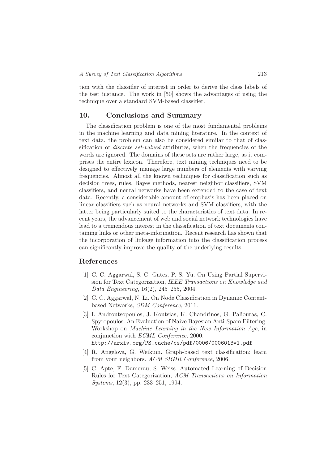tion with the classifier of interest in order to derive the class labels of the test instance. The work in [50] shows the advantages of using the technique over a standard SVM-based classifier.

### **10. Conclusions and Summary**

The classification problem is one of the most fundamental problems in the machine learning and data mining literature. In the context of text data, the problem can also be considered similar to that of classification of *discrete set-valued* attributes, when the frequencies of the words are ignored. The domains of these sets are rather large, as it comprises the entire lexicon. Therefore, text mining techniques need to be designed to effectively manage large numbers of elements with varying frequencies. Almost all the known techniques for classification such as decision trees, rules, Bayes methods, nearest neighbor classifiers, SVM classifiers, and neural networks have been extended to the case of text data. Recently, a considerable amount of emphasis has been placed on linear classifiers such as neural networks and SVM classifiers, with the latter being particularly suited to the characteristics of text data. In recent years, the advancement of web and social network technologies have lead to a tremendous interest in the classification of text documents containing links or other meta-information. Recent research has shown that the incorporation of linkage information into the classification process can significantly improve the quality of the underlying results.

## **References**

- [1] C. C. Aggarwal, S. C. Gates, P. S. Yu. On Using Partial Supervision for Text Categorization, *IEEE Transactions on Knowledge and Data Engineering*, 16(2), 245–255, 2004.
- [2] C. C. Aggarwal, N. Li. On Node Classification in Dynamic Contentbased Networks, *SDM Conference*, 2011.
- [3] I. Androutsopoulos, J. Koutsias, K. Chandrinos, G. Paliouras, C. Spyropoulos. An Evaluation of Naive Bayesian Anti-Spam Filtering. Workshop on *Machine Learning in the New Information Age*, in conjunction with *ECML Conference*, 2000. http://arxiv.org/PS\_cache/cs/pdf/0006/0006013v1.pdf
- [4] R. Angelova, G. Weikum. Graph-based text classification: learn from your neighbors. *ACM SIGIR Conference*, 2006.
- [5] C. Apte, F. Damerau, S. Weiss. Automated Learning of Decision Rules for Text Categorization, *ACM Transactions on Information Systems*, 12(3), pp. 233–251, 1994.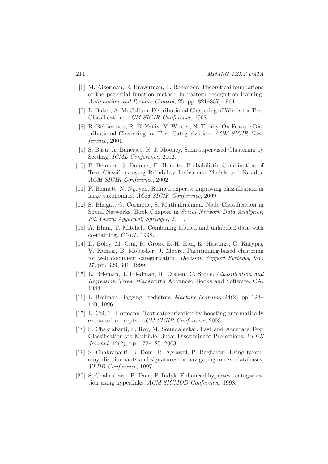- [6] M. Aizerman, E. Braverman, L. Rozonoer. Theoretical foundations of the potential function method in pattern recognition learning, *Automation and Remote Control*, 25: pp. 821–837, 1964.
- [7] L. Baker, A. McCallum. Distributional Clustering of Words for Text Classification, *ACM SIGIR Conference*, 1998.
- [8] R. Bekkerman, R. El-Yaniv, Y. Winter, N. Tishby. On Feature Distributional Clustering for Text Categorization. *ACM SIGIR Conference*, 2001.
- [9] S. Basu, A. Banerjee, R. J. Mooney. Semi-supervised Clustering by Seeding. *ICML Conference*, 2002.
- [10] P. Bennett, S. Dumais, E. Horvitz. Probabilistic Combination of Text Classifiers using Reliability Indicators: Models and Results. *ACM SIGIR Conference*, 2002.
- [11] P. Bennett, N. Nguyen. Refined experts: improving classification in large taxonomies. *ACM SIGIR Conference*, 2009.
- [12] S. Bhagat, G. Cormode, S. Muthukrishnan. Node Classification in Social Networks, Book Chapter in *Social Network Data Analytics, Ed. Charu Aggarwal, Springer*, 2011.
- [13] A. Blum, T. Mitchell. Combining labeled and unlabeled data with co-training. *COLT*, 1998.
- [14] D. Boley, M. Gini, R. Gross, E.-H. Han, K. Hastings, G. Karypis, V. Kumar, B. Mobasher, J. Moore. Partitioning-based clustering for web document categorization. *Decision Support Systems*, Vol. 27, pp. 329–341, 1999.
- [15] L. Brieman, J. Friedman, R. Olshen, C. Stone. *Classification and Regression Trees*, Wadsworth Advanced Books and Software, CA, 1984.
- [16] L. Breiman. Bagging Predictors. *Machine Learning*, 24(2), pp. 123– 140, 1996.
- [17] L. Cai, T. Hofmann. Text categorization by boosting automatically extracted concepts. *ACM SIGIR Conference*, 2003.
- [18] S. Chakrabarti, S. Roy, M. Soundalgekar. Fast and Accurate Text Classification via Multiple Linear Discriminant Projections, *VLDB Journal*, 12(2), pp. 172–185, 2003.
- [19] S. Chakrabarti, B. Dom. R. Agrawal, P. Raghavan. Using taxonomy, discriminants and signatures for navigating in text databases, *VLDB Conference*, 1997.
- [20] S. Chakrabarti, B. Dom, P. Indyk. Enhanced hypertext categorization using hyperlinks. *ACM SIGMOD Conference*, 1998.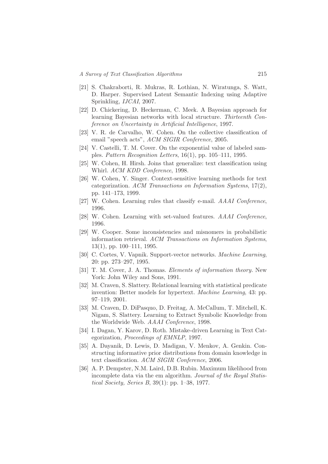- [21] S. Chakraborti, R. Mukras, R. Lothian, N. Wiratunga, S. Watt, D. Harper. Supervised Latent Semantic Indexing using Adaptive Sprinkling, *IJCAI*, 2007.
- [22] D. Chickering, D. Heckerman, C. Meek. A Bayesian approach for learning Bayesian networks with local structure. *Thirteenth Conference on Uncertainty in Artificial Intelligence*, 1997.
- [23] V. R. de Carvalho, W. Cohen. On the collective classification of email "speech acts", *ACM SIGIR Conference*, 2005.
- [24] V. Castelli, T. M. Cover. On the exponential value of labeled samples. *Pattern Recognition Letters*, 16(1), pp. 105–111, 1995.
- [25] W. Cohen, H. Hirsh. Joins that generalize: text classification using Whirl. *ACM KDD Conference*, 1998.
- [26] W. Cohen, Y. Singer. Context-sensitive learning methods for text categorization. *ACM Transactions on Information Systems*, 17(2), pp. 141–173, 1999.
- [27] W. Cohen. Learning rules that classify e-mail. *AAAI Conference*, 1996.
- [28] W. Cohen. Learning with set-valued features. *AAAI Conference*, 1996.
- [29] W. Cooper. Some inconsistencies and misnomers in probabilistic information retrieval. *ACM Transactions on Information Systems*, 13(1), pp. 100–111, 1995.
- [30] C. Cortes, V. Vapnik. Support-vector networks. *Machine Learning*, 20: pp. 273–297, 1995.
- [31] T. M. Cover, J. A. Thomas. *Elements of information theory.* New York: John Wiley and Sons, 1991.
- [32] M. Craven, S. Slattery. Relational learning with statistical predicate invention: Better models for hypertext. *Machine Learning*, 43: pp. 97–119, 2001.
- [33] M. Craven, D. DiPasquo, D. Freitag, A. McCallum, T. Mitchell, K. Nigam, S. Slattery. Learning to Extract Symbolic Knowledge from the Worldwide Web. *AAAI Conference*, 1998.
- [34] I. Dagan, Y. Karov, D. Roth. Mistake-driven Learning in Text Categorization, *Proceedings of EMNLP*, 1997.
- [35] A. Dayanik, D. Lewis, D. Madigan, V. Menkov, A. Genkin. Constructing informative prior distributions from domain knowledge in text classification. *ACM SIGIR Conference*, 2006.
- [36] A. P. Dempster, N.M. Laird, D.B. Rubin. Maximum likelihood from incomplete data via the em algorithm. *Journal of the Royal Statistical Society, Series B*, 39(1): pp. 1–38, 1977.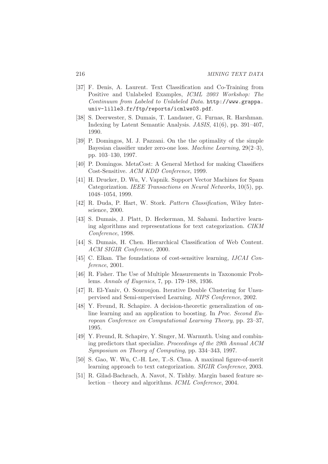- [37] F. Denis, A. Laurent. Text Classification and Co-Training from Positive and Unlabeled Examples, *ICML 2003 Workshop: The Continuum from Labeled to Unlabeled Data.* http://www.grappa. univ-lille3.fr/ftp/reports/icmlws03.pdf.
- [38] S. Deerwester, S. Dumais, T. Landauer, G. Furnas, R. Harshman. Indexing by Latent Semantic Analysis. *JASIS*, 41(6), pp. 391–407, 1990.
- [39] P. Domingos, M. J. Pazzani. On the the optimality of the simple Bayesian classifier under zero-one loss. *Machine Learning*, 29(2–3), pp. 103–130, 1997.
- [40] P. Domingos. MetaCost: A General Method for making Classifiers Cost-Sensitive. *ACM KDD Conference*, 1999.
- [41] H. Drucker, D. Wu, V. Vapnik. Support Vector Machines for Spam Categorization. *IEEE Transactions on Neural Networks*, 10(5), pp. 1048–1054, 1999.
- [42] R. Duda, P. Hart, W. Stork. *Pattern Classification*, Wiley Interscience, 2000.
- [43] S. Dumais, J. Platt, D. Heckerman, M. Sahami. Inductive learning algorithms and representations for text categorization. *CIKM Conference*, 1998.
- [44] S. Dumais, H. Chen. Hierarchical Classification of Web Content. *ACM SIGIR Conference*, 2000.
- [45] C. Elkan. The foundations of cost-sensitive learning, *IJCAI Conference*, 2001.
- [46] R. Fisher. The Use of Multiple Measurements in Taxonomic Problems. *Annals of Eugenics*, 7, pp. 179–188, 1936.
- [47] R. El-Yaniv, O. Souroujon. Iterative Double Clustering for Unsupervised and Semi-supervised Learning. *NIPS Conference*, 2002.
- [48] Y. Freund, R. Schapire. A decision-theoretic generalization of online learning and an application to boosting. In *Proc. Second European Conference on Computational Learning Theory*, pp. 23–37, 1995.
- [49] Y. Freund, R. Schapire, Y. Singer, M. Warmuth. Using and combining predictors that specialize. *Proceedings of the 29th Annual ACM Symposium on Theory of Computing*, pp. 334–343, 1997.
- [50] S. Gao, W. Wu, C.-H. Lee, T.-S. Chua. A maximal figure-of-merit learning approach to text categorization. *SIGIR Conference*, 2003.
- [51] R. Gilad-Bachrach, A. Navot, N. Tishby. Margin based feature selection – theory and algorithms. *ICML Conference*, 2004.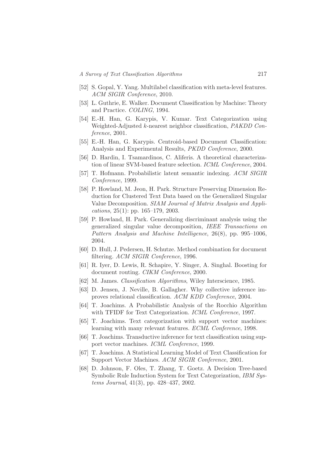- [52] S. Gopal, Y. Yang. Multilabel classification with meta-level features. *ACM SIGIR Conference*, 2010.
- [53] L. Guthrie, E. Walker. Document Classification by Machine: Theory and Practice. *COLING*, 1994.
- [54] E.-H. Han, G. Karypis, V. Kumar. Text Categorization using Weighted-Adjusted k-nearest neighbor classification, *PAKDD Conference*, 2001.
- [55] E.-H. Han, G. Karypis. Centroid-based Document Classification: Analysis and Experimental Results, *PKDD Conference*, 2000.
- [56] D. Hardin, I. Tsamardinos, C. Aliferis. A theoretical characterization of linear SVM-based feature selection. *ICML Conference*, 2004.
- [57] T. Hofmann. Probabilistic latent semantic indexing. *ACM SIGIR Conference*, 1999.
- [58] P. Howland, M. Jeon, H. Park. Structure Preserving Dimension Reduction for Clustered Text Data based on the Generalized Singular Value Decomposition. *SIAM Journal of Matrix Analysis and Applications*, 25(1): pp. 165–179, 2003.
- [59] P. Howland, H. Park. Generalizing discriminant analysis using the generalized singular value decomposition, *IEEE Transactions on Pattern Analysis and Machine Intelligence*, 26(8), pp. 995–1006, 2004.
- [60] D. Hull, J. Pedersen, H. Schutze. Method combination for document filtering. *ACM SIGIR Conference*, 1996.
- [61] R. Iyer, D. Lewis, R. Schapire, Y. Singer, A. Singhal. Boosting for document routing. *CIKM Conference*, 2000.
- [62] M. James. *Classification Algorithms*, Wiley Interscience, 1985.
- [63] D. Jensen, J. Neville, B. Gallagher. Why collective inference improves relational classification. *ACM KDD Conference*, 2004.
- [64] T. Joachims. A Probabilistic Analysis of the Rocchio Algorithm with TFIDF for Text Categorization. *ICML Conference*, 1997.
- [65] T. Joachims. Text categorization with support vector machines: learning with many relevant features. *ECML Conference*, 1998.
- [66] T. Joachims. Transductive inference for text classification using support vector machines. *ICML Conference*, 1999.
- [67] T. Joachims. A Statistical Learning Model of Text Classification for Support Vector Machines. *ACM SIGIR Conference*, 2001.
- [68] D. Johnson, F. Oles, T. Zhang, T. Goetz. A Decision Tree-based Symbolic Rule Induction System for Text Categorization, *IBM Systems Journal*, 41(3), pp. 428–437, 2002.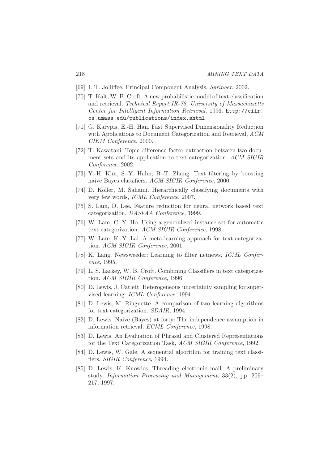- [69] I. T. Jolliffee. Principal Component Analysis. *Springer*, 2002.
- [70] T. Kalt, W. B. Croft. A new probabilistic model of text classification and retrieval. *Technical Report IR-78, University of Massachusetts Center for Intelligent Information Retrieval*, 1996. http://ciir. cs.umass.edu/publications/index.shtml
- [71] G. Karypis, E.-H. Han. Fast Supervised Dimensionality Reduction with Applications to Document Categorization and Retrieval, *ACM CIKM Conference*, 2000.
- [72] T. Kawatani. Topic difference factor extraction between two document sets and its application to text categorization. *ACM SIGIR Conference*, 2002.
- [73] Y.-H. Kim, S.-Y. Hahn, B.-T. Zhang. Text filtering by boosting naive Bayes classifiers. *ACM SIGIR Conference*, 2000.
- [74] D. Koller, M. Sahami. Hierarchically classifying documents with very few words, *ICML Conference*, 2007.
- [75] S. Lam, D. Lee. Feature reduction for neural network based text categorization. *DASFAA Conference*, 1999.
- [76] W. Lam, C. Y. Ho. Using a generalized instance set for automatic text categorization. *ACM SIGIR Conference*, 1998.
- [77] W. Lam, K.-Y. Lai. A meta-learning approach for text categorization. *ACM SIGIR Conference*, 2001.
- [78] K. Lang. Newsweeder: Learning to filter netnews. *ICML Conference*, 1995.
- [79] L. S. Larkey, W. B. Croft. Combining Classifiers in text categorization. *ACM SIGIR Conference*, 1996.
- [80] D. Lewis, J. Catlett. Heterogeneous uncertainty sampling for supervised learning. *ICML Conference*, 1994.
- [81] D. Lewis, M. Ringuette. A comparison of two learning algorithms for text categorization. *SDAIR*, 1994.
- [82] D. Lewis. Naive (Bayes) at forty: The independence assumption in information retrieval. *ECML Conference*, 1998.
- [83] D. Lewis. An Evaluation of Phrasal and Clustered Representations for the Text Categorization Task, *ACM SIGIR Conference*, 1992.
- [84] D. Lewis, W. Gale. A sequential algorithm for training text classifiers, *SIGIR Conference*, 1994.
- [85] D. Lewis, K. Knowles. Threading electronic mail: A preliminary study. *Information Processing and Management*, 33(2), pp. 209– 217, 1997.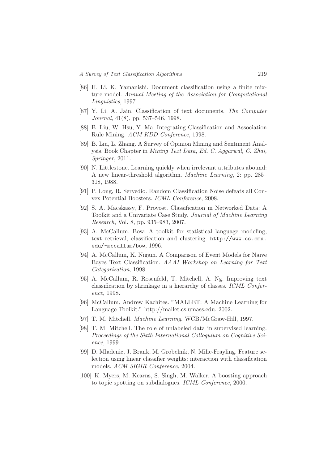- [86] H. Li, K. Yamanishi. Document classification using a finite mixture model. *Annual Meeting of the Association for Computational Linguistics*, 1997.
- [87] Y. Li, A. Jain. Classification of text documents. *The Computer Journal*, 41(8), pp. 537–546, 1998.
- [88] B. Liu, W. Hsu, Y. Ma. Integrating Classification and Association Rule Mining. *ACM KDD Conference*, 1998.
- [89] B. Liu, L. Zhang. A Survey of Opinion Mining and Sentiment Analysis. Book Chapter in *Mining Text Data, Ed. C. Aggarwal, C. Zhai, Springer*, 2011.
- [90] N. Littlestone. Learning quickly when irrelevant attributes abound: A new linear-threshold algorithm. *Machine Learning*, 2: pp. 285– 318, 1988.
- [91] P. Long, R. Servedio. Random Classification Noise defeats all Convex Potential Boosters. *ICML Conference*, 2008.
- [92] S. A. Macskassy, F. Provost. Classification in Networked Data: A Toolkit and a Univariate Case Study, *Journal of Machine Learning Research*, Vol. 8, pp. 935–983, 2007.
- [93] A. McCallum. Bow: A toolkit for statistical language modeling, text retrieval, classification and clustering. http://www.cs.cmu. edu/~mccallum/bow, 1996.
- [94] A. McCallum, K. Nigam. A Comparison of Event Models for Naive Bayes Text Classification. *AAAI Workshop on Learning for Text Categorization*, 1998.
- [95] A. McCallum, R. Rosenfeld, T. Mitchell, A. Ng. Improving text classification by shrinkage in a hierarchy of classes. *ICML Conference*, 1998.
- [96] McCallum, Andrew Kachites. "MALLET: A Machine Learning for Language Toolkit." http://mallet.cs.umass.edu. 2002.
- [97] T. M. Mitchell. *Machine Learning*. WCB/McGraw-Hill, 1997.
- [98] T. M. Mitchell. The role of unlabeled data in supervised learning. *Proceedings of the Sixth International Colloquium on Cognitive Science*, 1999.
- [99] D. Mladenic, J. Brank, M. Grobelnik, N. Milic-Frayling. Feature selection using linear classifier weights: interaction with classification models. *ACM SIGIR Conference*, 2004.
- [100] K. Myers, M. Kearns, S. Singh, M. Walker. A boosting approach to topic spotting on subdialogues. *ICML Conference*, 2000.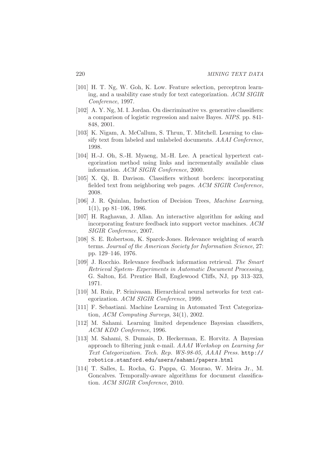- [101] H. T. Ng, W. Goh, K. Low. Feature selection, perceptron learning, and a usability case study for text categorization. *ACM SIGIR Conference*, 1997.
- [102] A. Y. Ng, M. I. Jordan. On discriminative vs. generative classifiers: a comparison of logistic regression and naive Bayes. *NIPS*. pp. 841- 848, 2001.
- [103] K. Nigam, A. McCallum, S. Thrun, T. Mitchell. Learning to classify text from labeled and unlabeled documents. *AAAI Conference*, 1998.
- [104] H.-J. Oh, S.-H. Myaeng, M.-H. Lee. A practical hypertext categorization method using links and incrementally available class information. *ACM SIGIR Conference*, 2000.
- [105] X. Qi, B. Davison. Classifiers without borders: incorporating fielded text from neighboring web pages. *ACM SIGIR Conference*, 2008.
- [106] J. R. Quinlan, Induction of Decision Trees, *Machine Learning*, 1(1), pp 81–106, 1986.
- [107] H. Raghavan, J. Allan. An interactive algorithm for asking and incorporating feature feedback into support vector machines. *ACM SIGIR Conference*, 2007.
- [108] S. E. Robertson, K. Sparck-Jones. Relevance weighting of search terms. *Journal of the American Society for Information Science*, 27: pp. 129–146, 1976.
- [109] J. Rocchio. Relevance feedback information retrieval. *The Smart Retrieval System- Experiments in Automatic Document Processing*, G. Salton, Ed. Prentice Hall, Englewood Cliffs, NJ, pp 313–323, 1971.
- [110] M. Ruiz, P. Srinivasan. Hierarchical neural networks for text categorization. *ACM SIGIR Conference*, 1999.
- [111] F. Sebastiani. Machine Learning in Automated Text Categorization, *ACM Computing Surveys*, 34(1), 2002.
- [112] M. Sahami. Learning limited dependence Bayesian classifiers, *ACM KDD Conference*, 1996.
- [113] M. Sahami, S. Dumais, D. Heckerman, E. Horvitz. A Bayesian approach to filtering junk e-mail. *AAAI Workshop on Learning for Text Categorization. Tech. Rep. WS-98-05, AAAI Press.* http:// robotics.stanford.edu/users/sahami/papers.html
- [114] T. Salles, L. Rocha, G. Pappa, G. Mourao, W. Meira Jr., M. Goncalves. Temporally-aware algorithms for document classification. *ACM SIGIR Conference*, 2010.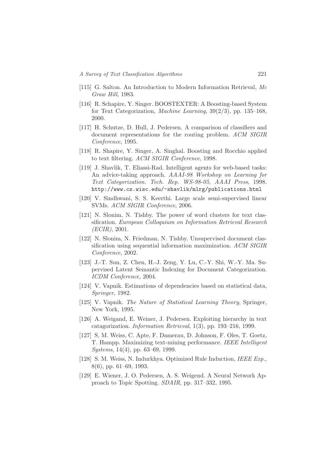- [115] G. Salton. An Introduction to Modern Information Retrieval, *Mc Graw Hill*, 1983.
- [116] R. Schapire, Y. Singer. BOOSTEXTER: A Boosting-based System for Text Categorization, *Machine Learning*, 39(2/3), pp. 135–168, 2000.
- [117] H. Schutze, D. Hull, J. Pedersen. A comparison of classifiers and document representations for the routing problem. *ACM SIGIR Conference*, 1995.
- [118] R. Shapire, Y. Singer, A. Singhal. Boosting and Rocchio applied to text filtering. *ACM SIGIR Conference*, 1998.
- [119] J. Shavlik, T. Eliassi-Rad. Intelligent agents for web-based tasks: An advice-taking approach. *AAAI-98 Workshop on Learning for Text Categorization. Tech. Rep. WS-98-05, AAAI Press*, 1998. http://www.cs.wisc.edu/~shavlik/mlrg/publications.html
- [120] V. Sindhwani, S. S. Keerthi. Large scale semi-supervised linear SVMs. *ACM SIGIR Conference*, 2006.
- [121] N. Slonim, N. Tishby. The power of word clusters for text classification. *European Colloquium on Information Retrieval Research (ECIR)*, 2001.
- [122] N. Slonim, N. Friedman, N. Tishby. Unsupervised document classification using sequential information maximization. *ACM SIGIR Conference*, 2002.
- [123] J.-T. Sun, Z. Chen, H.-J. Zeng, Y. Lu, C.-Y. Shi, W.-Y. Ma. Supervised Latent Semantic Indexing for Document Categorization. *ICDM Conference*, 2004.
- [124] V. Vapnik. Estimations of dependencies based on statistical data, *Springer*, 1982.
- [125] V. Vapnik. *The Nature of Statistical Learning Theory*, Springer, New York, 1995.
- [126] A. Weigand, E. Weiner, J. Pedersen. Exploiting hierarchy in text catagorization. *Information Retrieval*, 1(3), pp. 193–216, 1999.
- [127] S, M. Weiss, C. Apte, F. Damerau, D. Johnson, F. Oles, T. Goetz, T. Hampp. Maximizing text-mining performance. *IEEE Intelligent Systems*, 14(4), pp. 63–69, 1999.
- [128] S. M. Weiss, N. Indurkhya. Optimized Rule Induction, *IEEE Exp.*, 8(6), pp. 61–69, 1993.
- [129] E. Wiener, J. O. Pedersen, A. S. Weigend. A Neural Network Approach to Topic Spotting. *SDAIR*, pp. 317–332, 1995.